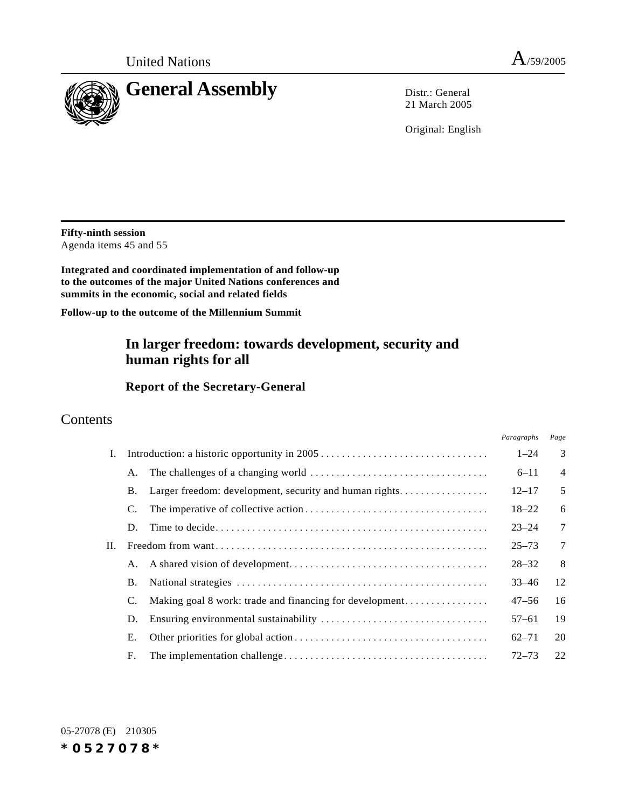

21 March 2005

Original: English

**Fifty-ninth session** Agenda items 45 and 55

**Integrated and coordinated implementation of and follow-up to the outcomes of the major United Nations conferences and summits in the economic, social and related fields**

**Follow-up to the outcome of the Millennium Summit**

# **In larger freedom: towards development, security and human rights for all**

# **Report of the Secretary-General**

# Contents

|    |             |                                                         | Paragraphs | Page           |
|----|-------------|---------------------------------------------------------|------------|----------------|
| L. |             |                                                         |            | 3              |
|    | A.          |                                                         | $6 - 11$   | $\overline{4}$ |
|    | <b>B.</b>   | Larger freedom: development, security and human rights  | $12 - 17$  | 5              |
|    | C.          |                                                         | $18 - 22$  | 6              |
|    | D.          |                                                         | $23 - 24$  | 7              |
| H. |             |                                                         |            | 7              |
|    | A.          |                                                         | $28 - 32$  | 8              |
|    | <b>B.</b>   |                                                         | $33 - 46$  | 12             |
|    | C.          | Making goal 8 work: trade and financing for development | $47 - 56$  | 16             |
|    | D.          |                                                         | 57–61      | 19             |
|    | Е.          |                                                         | $62 - 71$  | 20             |
|    | $F_{\cdot}$ |                                                         | $72 - 73$  | 22             |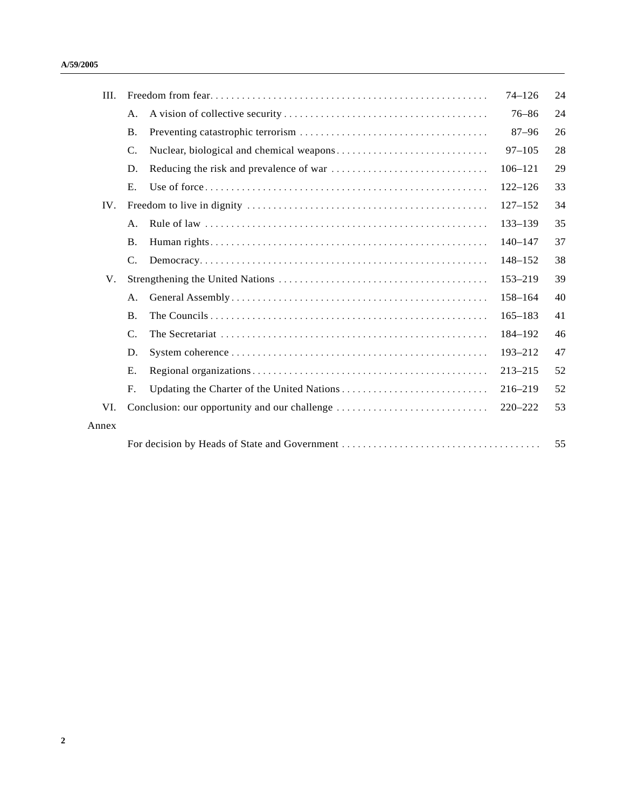| III.  |                 |                                               |             | 24 |
|-------|-----------------|-----------------------------------------------|-------------|----|
|       | A.              |                                               | $76 - 86$   | 24 |
|       | <b>B.</b>       |                                               | $87 - 96$   | 26 |
|       | C.              |                                               | $97 - 105$  | 28 |
|       | D.              |                                               | $106 - 121$ | 29 |
|       | E.              |                                               | $122 - 126$ | 33 |
| IV.   |                 |                                               |             | 34 |
|       | А.              |                                               | 133-139     | 35 |
|       | <b>B.</b>       |                                               | $140 - 147$ | 37 |
|       | $\mathcal{C}$ . |                                               | 148-152     | 38 |
| V.    |                 |                                               | $153 - 219$ | 39 |
|       | A.              |                                               | $158 - 164$ | 40 |
|       | <b>B.</b>       |                                               | $165 - 183$ | 41 |
|       | $\mathcal{C}$ . |                                               | 184-192     | 46 |
|       | D.              |                                               | 193-212     | 47 |
|       | E.              |                                               | $213 - 215$ | 52 |
|       | $F_{\cdot}$     |                                               | $216 - 219$ | 52 |
| VI.   |                 | Conclusion: our opportunity and our challenge | 220-222     | 53 |
| Annex |                 |                                               |             |    |
|       |                 |                                               |             | 55 |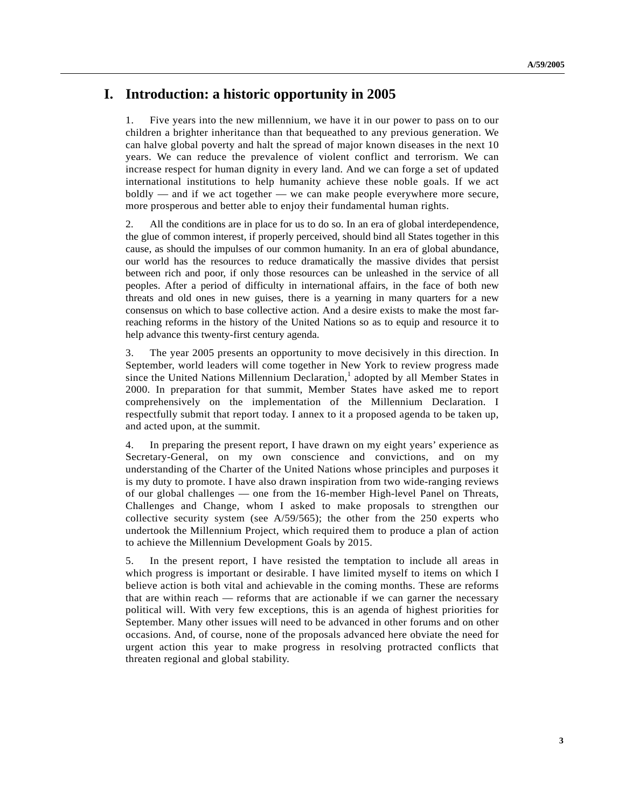# **I. Introduction: a historic opportunity in 2005**

1. Five years into the new millennium, we have it in our power to pass on to our children a brighter inheritance than that bequeathed to any previous generation. We can halve global poverty and halt the spread of major known diseases in the next 10 years. We can reduce the prevalence of violent conflict and terrorism. We can increase respect for human dignity in every land. And we can forge a set of updated international institutions to help humanity achieve these noble goals. If we act boldly — and if we act together — we can make people everywhere more secure, more prosperous and better able to enjoy their fundamental human rights.

2. All the conditions are in place for us to do so. In an era of global interdependence, the glue of common interest, if properly perceived, should bind all States together in this cause, as should the impulses of our common humanity. In an era of global abundance, our world has the resources to reduce dramatically the massive divides that persist between rich and poor, if only those resources can be unleashed in the service of all peoples. After a period of difficulty in international affairs, in the face of both new threats and old ones in new guises, there is a yearning in many quarters for a new consensus on which to base collective action. And a desire exists to make the most farreaching reforms in the history of the United Nations so as to equip and resource it to help advance this twenty-first century agenda.

3. The year 2005 presents an opportunity to move decisively in this direction. In September, world leaders will come together in New York to review progress made since the United Nations Millennium Declaration,<sup>1</sup> adopted by all Member States in 2000. In preparation for that summit, Member States have asked me to report comprehensively on the implementation of the Millennium Declaration. I respectfully submit that report today. I annex to it a proposed agenda to be taken up, and acted upon, at the summit.

4. In preparing the present report, I have drawn on my eight years' experience as Secretary-General, on my own conscience and convictions, and on my understanding of the Charter of the United Nations whose principles and purposes it is my duty to promote. I have also drawn inspiration from two wide-ranging reviews of our global challenges — one from the 16-member High-level Panel on Threats, Challenges and Change, whom I asked to make proposals to strengthen our collective security system (see  $A/59/565$ ); the other from the 250 experts who undertook the Millennium Project, which required them to produce a plan of action to achieve the Millennium Development Goals by 2015.

5. In the present report, I have resisted the temptation to include all areas in which progress is important or desirable. I have limited myself to items on which I believe action is both vital and achievable in the coming months. These are reforms that are within reach — reforms that are actionable if we can garner the necessary political will. With very few exceptions, this is an agenda of highest priorities for September. Many other issues will need to be advanced in other forums and on other occasions. And, of course, none of the proposals advanced here obviate the need for urgent action this year to make progress in resolving protracted conflicts that threaten regional and global stability.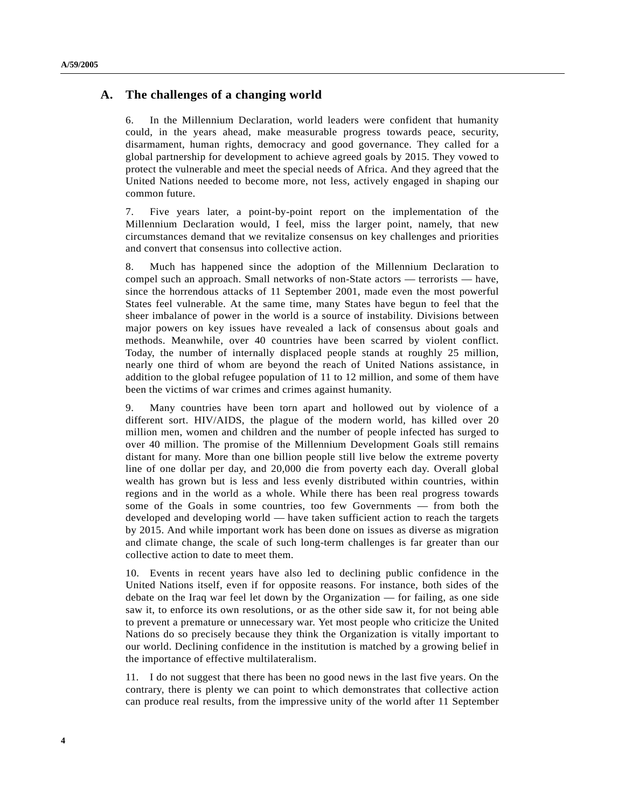### **A. The challenges of a changing world**

6. In the Millennium Declaration, world leaders were confident that humanity could, in the years ahead, make measurable progress towards peace, security, disarmament, human rights, democracy and good governance. They called for a global partnership for development to achieve agreed goals by 2015. They vowed to protect the vulnerable and meet the special needs of Africa. And they agreed that the United Nations needed to become more, not less, actively engaged in shaping our common future.

7. Five years later, a point-by-point report on the implementation of the Millennium Declaration would, I feel, miss the larger point, namely, that new circumstances demand that we revitalize consensus on key challenges and priorities and convert that consensus into collective action.

8. Much has happened since the adoption of the Millennium Declaration to compel such an approach. Small networks of non-State actors — terrorists — have, since the horrendous attacks of 11 September 2001, made even the most powerful States feel vulnerable. At the same time, many States have begun to feel that the sheer imbalance of power in the world is a source of instability. Divisions between major powers on key issues have revealed a lack of consensus about goals and methods. Meanwhile, over 40 countries have been scarred by violent conflict. Today, the number of internally displaced people stands at roughly 25 million, nearly one third of whom are beyond the reach of United Nations assistance, in addition to the global refugee population of 11 to 12 million, and some of them have been the victims of war crimes and crimes against humanity.

9. Many countries have been torn apart and hollowed out by violence of a different sort. HIV/AIDS, the plague of the modern world, has killed over 20 million men, women and children and the number of people infected has surged to over 40 million. The promise of the Millennium Development Goals still remains distant for many. More than one billion people still live below the extreme poverty line of one dollar per day, and 20,000 die from poverty each day. Overall global wealth has grown but is less and less evenly distributed within countries, within regions and in the world as a whole. While there has been real progress towards some of the Goals in some countries, too few Governments — from both the developed and developing world — have taken sufficient action to reach the targets by 2015. And while important work has been done on issues as diverse as migration and climate change, the scale of such long-term challenges is far greater than our collective action to date to meet them.

10. Events in recent years have also led to declining public confidence in the United Nations itself, even if for opposite reasons. For instance, both sides of the debate on the Iraq war feel let down by the Organization — for failing, as one side saw it, to enforce its own resolutions, or as the other side saw it, for not being able to prevent a premature or unnecessary war. Yet most people who criticize the United Nations do so precisely because they think the Organization is vitally important to our world. Declining confidence in the institution is matched by a growing belief in the importance of effective multilateralism.

11. I do not suggest that there has been no good news in the last five years. On the contrary, there is plenty we can point to which demonstrates that collective action can produce real results, from the impressive unity of the world after 11 September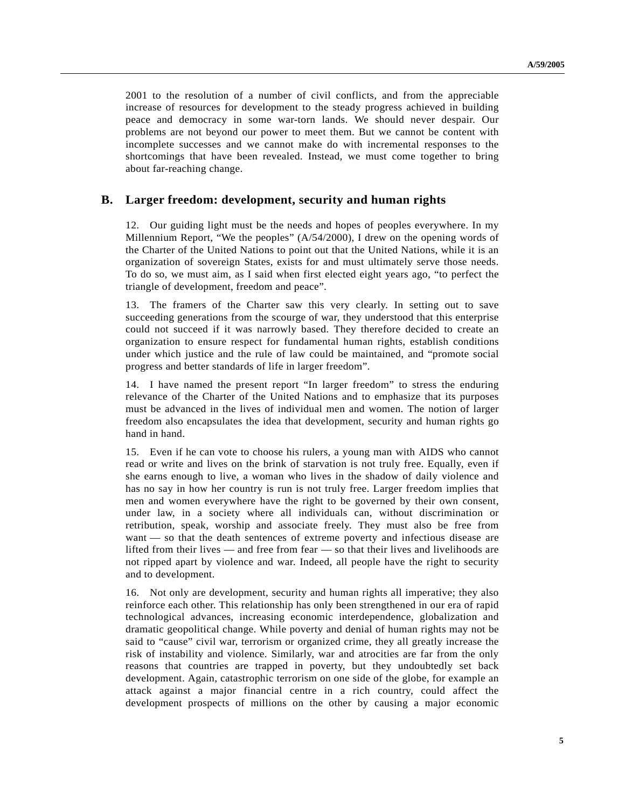2001 to the resolution of a number of civil conflicts, and from the appreciable increase of resources for development to the steady progress achieved in building peace and democracy in some war-torn lands. We should never despair. Our problems are not beyond our power to meet them. But we cannot be content with incomplete successes and we cannot make do with incremental responses to the shortcomings that have been revealed. Instead, we must come together to bring about far-reaching change.

### **B. Larger freedom: development, security and human rights**

12. Our guiding light must be the needs and hopes of peoples everywhere. In my Millennium Report, "We the peoples" (A/54/2000), I drew on the opening words of the Charter of the United Nations to point out that the United Nations, while it is an organization of sovereign States, exists for and must ultimately serve those needs. To do so, we must aim, as I said when first elected eight years ago, "to perfect the triangle of development, freedom and peace".

13. The framers of the Charter saw this very clearly. In setting out to save succeeding generations from the scourge of war, they understood that this enterprise could not succeed if it was narrowly based. They therefore decided to create an organization to ensure respect for fundamental human rights, establish conditions under which justice and the rule of law could be maintained, and "promote social progress and better standards of life in larger freedom".

14. I have named the present report "In larger freedom" to stress the enduring relevance of the Charter of the United Nations and to emphasize that its purposes must be advanced in the lives of individual men and women. The notion of larger freedom also encapsulates the idea that development, security and human rights go hand in hand.

15. Even if he can vote to choose his rulers, a young man with AIDS who cannot read or write and lives on the brink of starvation is not truly free. Equally, even if she earns enough to live, a woman who lives in the shadow of daily violence and has no say in how her country is run is not truly free. Larger freedom implies that men and women everywhere have the right to be governed by their own consent, under law, in a society where all individuals can, without discrimination or retribution, speak, worship and associate freely. They must also be free from want — so that the death sentences of extreme poverty and infectious disease are lifted from their lives — and free from fear — so that their lives and livelihoods are not ripped apart by violence and war. Indeed, all people have the right to security and to development.

16. Not only are development, security and human rights all imperative; they also reinforce each other. This relationship has only been strengthened in our era of rapid technological advances, increasing economic interdependence, globalization and dramatic geopolitical change. While poverty and denial of human rights may not be said to "cause" civil war, terrorism or organized crime, they all greatly increase the risk of instability and violence. Similarly, war and atrocities are far from the only reasons that countries are trapped in poverty, but they undoubtedly set back development. Again, catastrophic terrorism on one side of the globe, for example an attack against a major financial centre in a rich country, could affect the development prospects of millions on the other by causing a major economic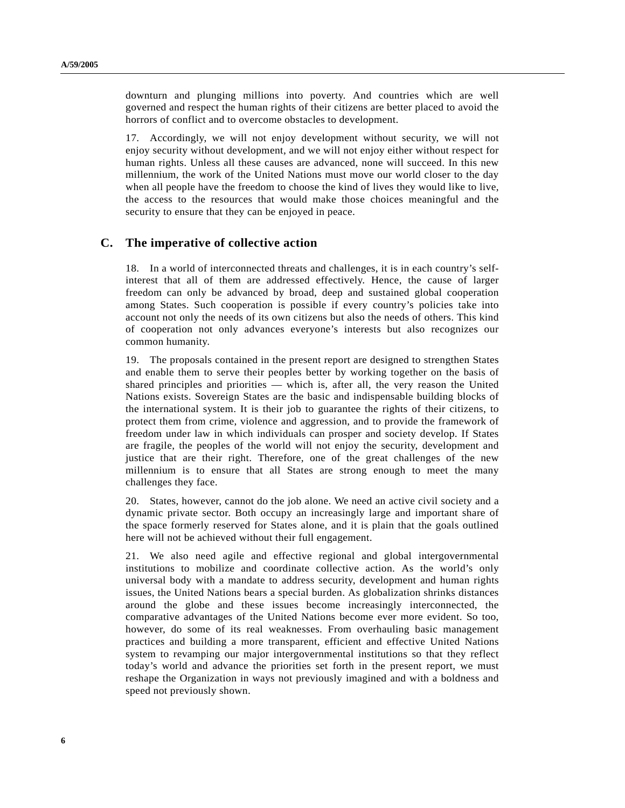downturn and plunging millions into poverty. And countries which are well governed and respect the human rights of their citizens are better placed to avoid the horrors of conflict and to overcome obstacles to development.

17. Accordingly, we will not enjoy development without security, we will not enjoy security without development, and we will not enjoy either without respect for human rights. Unless all these causes are advanced, none will succeed. In this new millennium, the work of the United Nations must move our world closer to the day when all people have the freedom to choose the kind of lives they would like to live, the access to the resources that would make those choices meaningful and the security to ensure that they can be enjoyed in peace.

### **C. The imperative of collective action**

18. In a world of interconnected threats and challenges, it is in each country's selfinterest that all of them are addressed effectively. Hence, the cause of larger freedom can only be advanced by broad, deep and sustained global cooperation among States. Such cooperation is possible if every country's policies take into account not only the needs of its own citizens but also the needs of others. This kind of cooperation not only advances everyone's interests but also recognizes our common humanity.

19. The proposals contained in the present report are designed to strengthen States and enable them to serve their peoples better by working together on the basis of shared principles and priorities — which is, after all, the very reason the United Nations exists. Sovereign States are the basic and indispensable building blocks of the international system. It is their job to guarantee the rights of their citizens, to protect them from crime, violence and aggression, and to provide the framework of freedom under law in which individuals can prosper and society develop. If States are fragile, the peoples of the world will not enjoy the security, development and justice that are their right. Therefore, one of the great challenges of the new millennium is to ensure that all States are strong enough to meet the many challenges they face.

20. States, however, cannot do the job alone. We need an active civil society and a dynamic private sector. Both occupy an increasingly large and important share of the space formerly reserved for States alone, and it is plain that the goals outlined here will not be achieved without their full engagement.

21. We also need agile and effective regional and global intergovernmental institutions to mobilize and coordinate collective action. As the world's only universal body with a mandate to address security, development and human rights issues, the United Nations bears a special burden. As globalization shrinks distances around the globe and these issues become increasingly interconnected, the comparative advantages of the United Nations become ever more evident. So too, however, do some of its real weaknesses. From overhauling basic management practices and building a more transparent, efficient and effective United Nations system to revamping our major intergovernmental institutions so that they reflect today's world and advance the priorities set forth in the present report, we must reshape the Organization in ways not previously imagined and with a boldness and speed not previously shown.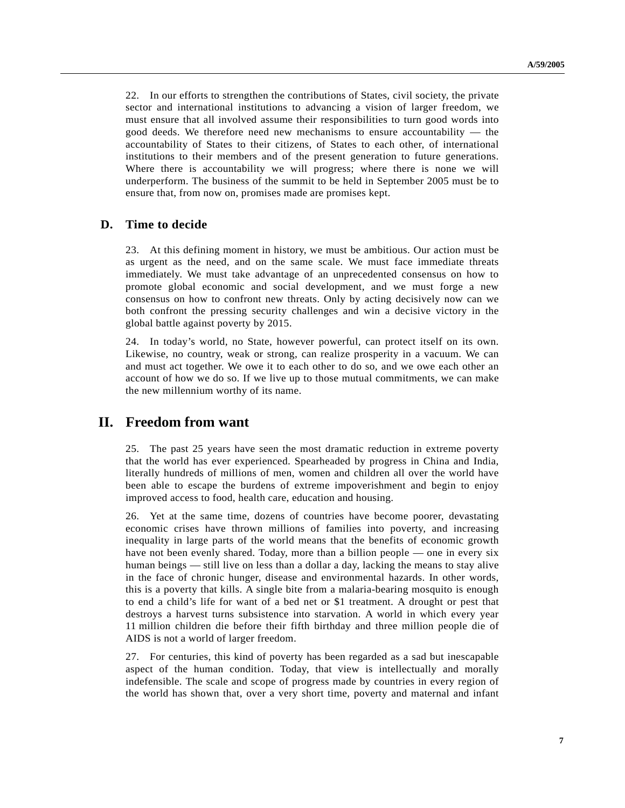22. In our efforts to strengthen the contributions of States, civil society, the private sector and international institutions to advancing a vision of larger freedom, we must ensure that all involved assume their responsibilities to turn good words into good deeds. We therefore need new mechanisms to ensure accountability — the accountability of States to their citizens, of States to each other, of international institutions to their members and of the present generation to future generations. Where there is accountability we will progress; where there is none we will underperform. The business of the summit to be held in September 2005 must be to ensure that, from now on, promises made are promises kept.

### **D. Time to decide**

23. At this defining moment in history, we must be ambitious. Our action must be as urgent as the need, and on the same scale. We must face immediate threats immediately. We must take advantage of an unprecedented consensus on how to promote global economic and social development, and we must forge a new consensus on how to confront new threats. Only by acting decisively now can we both confront the pressing security challenges and win a decisive victory in the global battle against poverty by 2015.

24. In today's world, no State, however powerful, can protect itself on its own. Likewise, no country, weak or strong, can realize prosperity in a vacuum. We can and must act together. We owe it to each other to do so, and we owe each other an account of how we do so. If we live up to those mutual commitments, we can make the new millennium worthy of its name.

# **II. Freedom from want**

25. The past 25 years have seen the most dramatic reduction in extreme poverty that the world has ever experienced. Spearheaded by progress in China and India, literally hundreds of millions of men, women and children all over the world have been able to escape the burdens of extreme impoverishment and begin to enjoy improved access to food, health care, education and housing.

26. Yet at the same time, dozens of countries have become poorer, devastating economic crises have thrown millions of families into poverty, and increasing inequality in large parts of the world means that the benefits of economic growth have not been evenly shared. Today, more than a billion people — one in every six human beings — still live on less than a dollar a day, lacking the means to stay alive in the face of chronic hunger, disease and environmental hazards. In other words, this is a poverty that kills. A single bite from a malaria-bearing mosquito is enough to end a child's life for want of a bed net or \$1 treatment. A drought or pest that destroys a harvest turns subsistence into starvation. A world in which every year 11 million children die before their fifth birthday and three million people die of AIDS is not a world of larger freedom.

27. For centuries, this kind of poverty has been regarded as a sad but inescapable aspect of the human condition. Today, that view is intellectually and morally indefensible. The scale and scope of progress made by countries in every region of the world has shown that, over a very short time, poverty and maternal and infant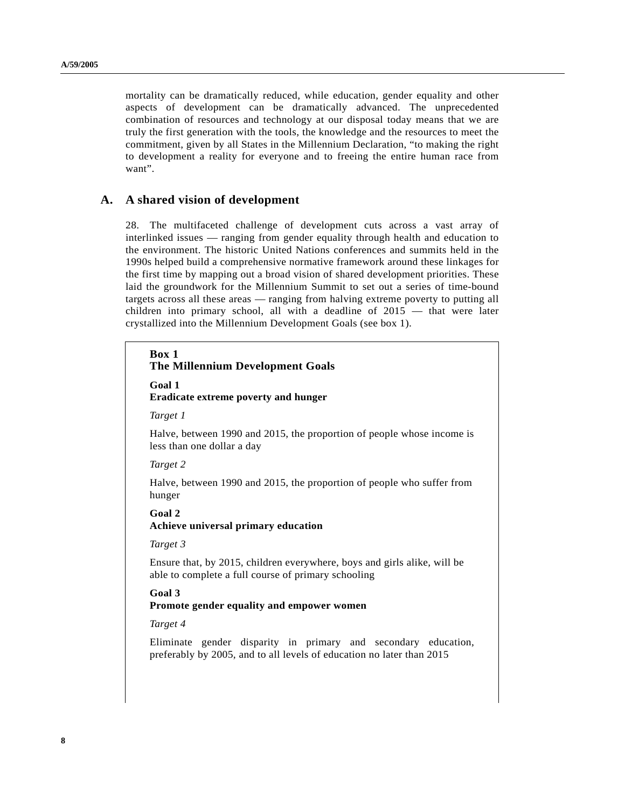mortality can be dramatically reduced, while education, gender equality and other aspects of development can be dramatically advanced. The unprecedented combination of resources and technology at our disposal today means that we are truly the first generation with the tools, the knowledge and the resources to meet the commitment, given by all States in the Millennium Declaration, "to making the right to development a reality for everyone and to freeing the entire human race from want".

### **A. A shared vision of development**

28. The multifaceted challenge of development cuts across a vast array of interlinked issues — ranging from gender equality through health and education to the environment. The historic United Nations conferences and summits held in the 1990s helped build a comprehensive normative framework around these linkages for the first time by mapping out a broad vision of shared development priorities. These laid the groundwork for the Millennium Summit to set out a series of time-bound targets across all these areas — ranging from halving extreme poverty to putting all children into primary school, all with a deadline of 2015 — that were later crystallized into the Millennium Development Goals (see box 1).

### **Box 1**

# **The Millennium Development Goals**

**Goal 1 Eradicate extreme poverty and hunger**

*Target 1*

Halve, between 1990 and 2015, the proportion of people whose income is less than one dollar a day

*Target 2*

Halve, between 1990 and 2015, the proportion of people who suffer from hunger

### **Goal 2 Achieve universal primary education**

*Target 3*

Ensure that, by 2015, children everywhere, boys and girls alike, will be able to complete a full course of primary schooling

### **Goal 3 Promote gender equality and empower women**

*Target 4*

Eliminate gender disparity in primary and secondary education, preferably by 2005, and to all levels of education no later than 2015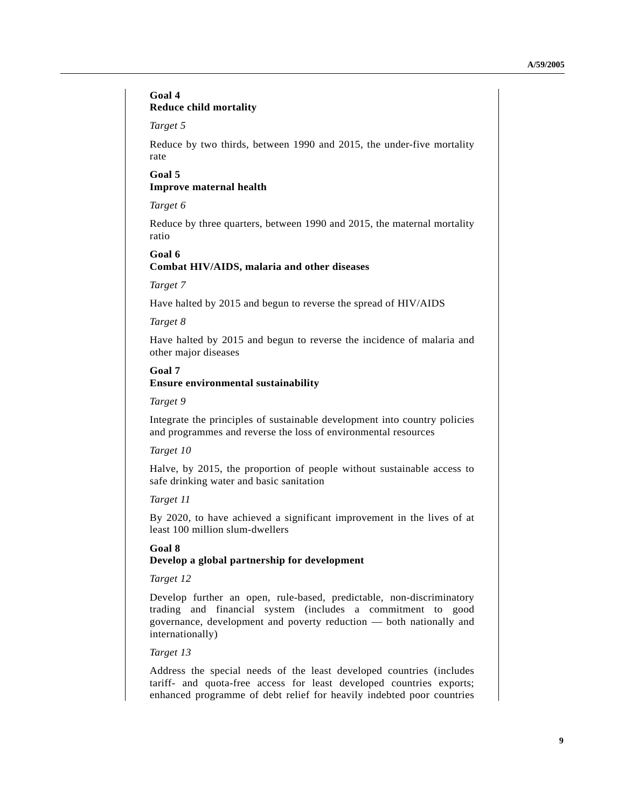#### **Goal 4 Reduce child mortality**

*Target 5*

Reduce by two thirds, between 1990 and 2015, the under-five mortality rate

### **Goal 5 Improve maternal health**

### *Target 6*

Reduce by three quarters, between 1990 and 2015, the maternal mortality ratio

### **Goal 6 Combat HIV/AIDS, malaria and other diseases**

*Target 7*

Have halted by 2015 and begun to reverse the spread of HIV/AIDS

#### *Target 8*

Have halted by 2015 and begun to reverse the incidence of malaria and other major diseases

#### **Goal 7 Ensure environmental sustainability**

### *Target 9*

Integrate the principles of sustainable development into country policies and programmes and reverse the loss of environmental resources

#### *Target 10*

Halve, by 2015, the proportion of people without sustainable access to safe drinking water and basic sanitation

#### *Target 11*

By 2020, to have achieved a significant improvement in the lives of at least 100 million slum-dwellers

### **Goal 8 Develop a global partnership for development**

*Target 12*

Develop further an open, rule-based, predictable, non-discriminatory trading and financial system (includes a commitment to good governance, development and poverty reduction — both nationally and internationally)

### *Target 13*

Address the special needs of the least developed countries (includes tariff- and quota-free access for least developed countries exports; enhanced programme of debt relief for heavily indebted poor countries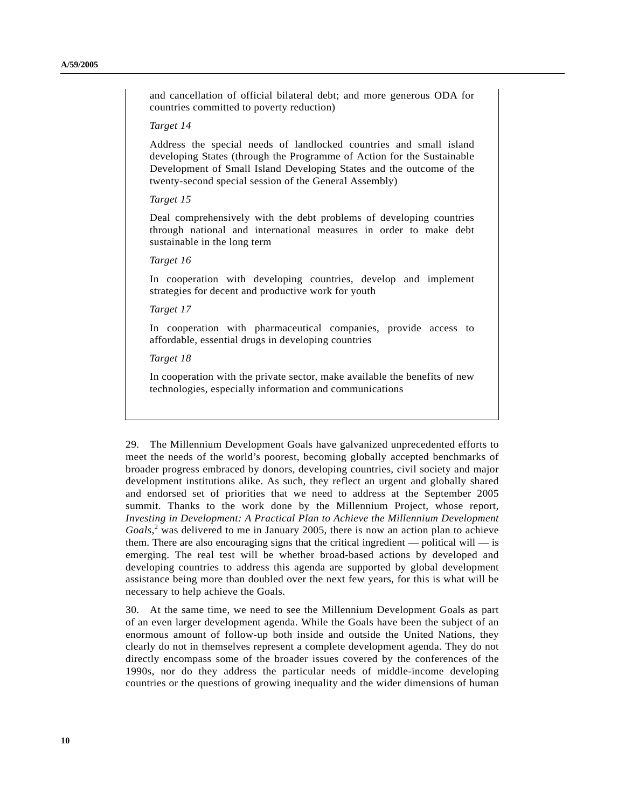and cancellation of official bilateral debt; and more generous ODA for countries committed to poverty reduction)

#### *Target 14*

Address the special needs of landlocked countries and small island developing States (through the Programme of Action for the Sustainable Development of Small Island Developing States and the outcome of the twenty-second special session of the General Assembly)

#### *Target 15*

Deal comprehensively with the debt problems of developing countries through national and international measures in order to make debt sustainable in the long term

#### *Target 16*

In cooperation with developing countries, develop and implement strategies for decent and productive work for youth

#### *Target 17*

In cooperation with pharmaceutical companies, provide access to affordable, essential drugs in developing countries

*Target 18*

In cooperation with the private sector, make available the benefits of new technologies, especially information and communications

29. The Millennium Development Goals have galvanized unprecedented efforts to meet the needs of the world's poorest, becoming globally accepted benchmarks of broader progress embraced by donors, developing countries, civil society and major development institutions alike. As such, they reflect an urgent and globally shared and endorsed set of priorities that we need to address at the September 2005 summit. Thanks to the work done by the Millennium Project, whose report, *Investing in Development: A Practical Plan to Achieve the Millennium Development* Goals,<sup>2</sup> was delivered to me in January 2005, there is now an action plan to achieve them. There are also encouraging signs that the critical ingredient — political will — is emerging. The real test will be whether broad-based actions by developed and developing countries to address this agenda are supported by global development assistance being more than doubled over the next few years, for this is what will be necessary to help achieve the Goals.

30. At the same time, we need to see the Millennium Development Goals as part of an even larger development agenda. While the Goals have been the subject of an enormous amount of follow-up both inside and outside the United Nations, they clearly do not in themselves represent a complete development agenda. They do not directly encompass some of the broader issues covered by the conferences of the 1990s, nor do they address the particular needs of middle-income developing countries or the questions of growing inequality and the wider dimensions of human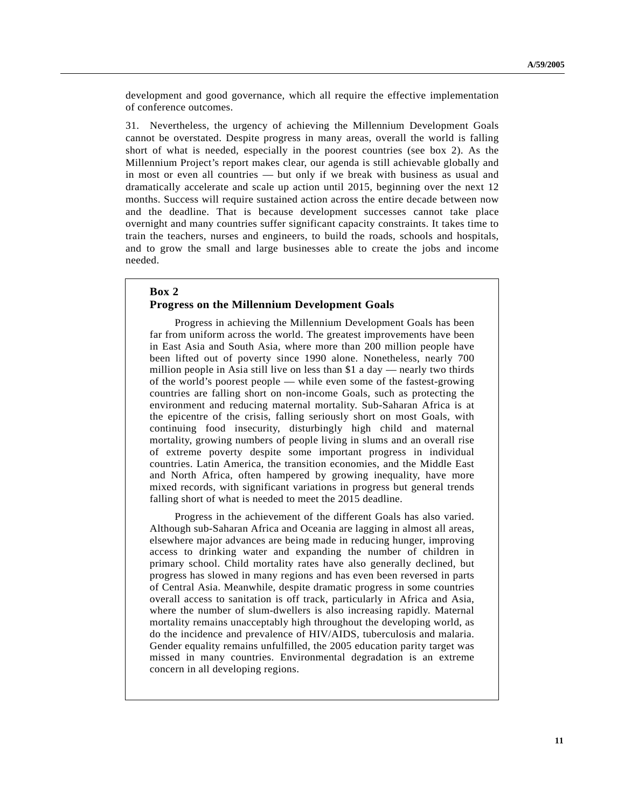development and good governance, which all require the effective implementation of conference outcomes.

31. Nevertheless, the urgency of achieving the Millennium Development Goals cannot be overstated. Despite progress in many areas, overall the world is falling short of what is needed, especially in the poorest countries (see box 2). As the Millennium Project's report makes clear, our agenda is still achievable globally and in most or even all countries — but only if we break with business as usual and dramatically accelerate and scale up action until 2015, beginning over the next 12 months. Success will require sustained action across the entire decade between now and the deadline. That is because development successes cannot take place overnight and many countries suffer significant capacity constraints. It takes time to train the teachers, nurses and engineers, to build the roads, schools and hospitals, and to grow the small and large businesses able to create the jobs and income needed.

# **Box 2**

### **Progress on the Millennium Development Goals**

Progress in achieving the Millennium Development Goals has been far from uniform across the world. The greatest improvements have been in East Asia and South Asia, where more than 200 million people have been lifted out of poverty since 1990 alone. Nonetheless, nearly 700 million people in Asia still live on less than \$1 a day — nearly two thirds of the world's poorest people — while even some of the fastest-growing countries are falling short on non-income Goals, such as protecting the environment and reducing maternal mortality. Sub-Saharan Africa is at the epicentre of the crisis, falling seriously short on most Goals, with continuing food insecurity, disturbingly high child and maternal mortality, growing numbers of people living in slums and an overall rise of extreme poverty despite some important progress in individual countries. Latin America, the transition economies, and the Middle East and North Africa, often hampered by growing inequality, have more mixed records, with significant variations in progress but general trends falling short of what is needed to meet the 2015 deadline.

Progress in the achievement of the different Goals has also varied. Although sub-Saharan Africa and Oceania are lagging in almost all areas, elsewhere major advances are being made in reducing hunger, improving access to drinking water and expanding the number of children in primary school. Child mortality rates have also generally declined, but progress has slowed in many regions and has even been reversed in parts of Central Asia. Meanwhile, despite dramatic progress in some countries overall access to sanitation is off track, particularly in Africa and Asia, where the number of slum-dwellers is also increasing rapidly. Maternal mortality remains unacceptably high throughout the developing world, as do the incidence and prevalence of HIV/AIDS, tuberculosis and malaria. Gender equality remains unfulfilled, the 2005 education parity target was missed in many countries. Environmental degradation is an extreme concern in all developing regions.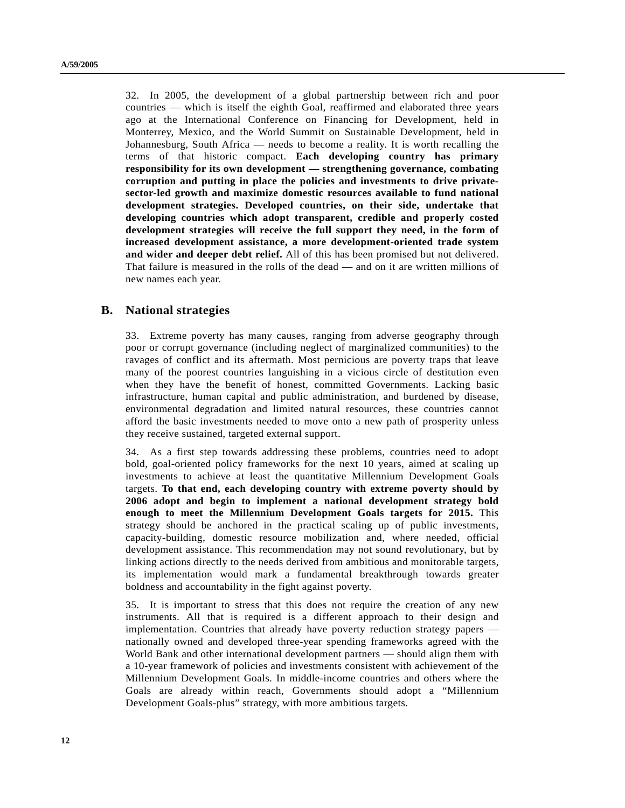32. In 2005, the development of a global partnership between rich and poor countries — which is itself the eighth Goal, reaffirmed and elaborated three years ago at the International Conference on Financing for Development, held in Monterrey, Mexico, and the World Summit on Sustainable Development, held in Johannesburg, South Africa — needs to become a reality. It is worth recalling the terms of that historic compact. **Each developing country has primary responsibility for its own development — strengthening governance, combating corruption and putting in place the policies and investments to drive privatesector-led growth and maximize domestic resources available to fund national development strategies. Developed countries, on their side, undertake that developing countries which adopt transparent, credible and properly costed development strategies will receive the full support they need, in the form of increased development assistance, a more development-oriented trade system and wider and deeper debt relief.** All of this has been promised but not delivered. That failure is measured in the rolls of the dead — and on it are written millions of new names each year.

### **B. National strategies**

33. Extreme poverty has many causes, ranging from adverse geography through poor or corrupt governance (including neglect of marginalized communities) to the ravages of conflict and its aftermath. Most pernicious are poverty traps that leave many of the poorest countries languishing in a vicious circle of destitution even when they have the benefit of honest, committed Governments. Lacking basic infrastructure, human capital and public administration, and burdened by disease, environmental degradation and limited natural resources, these countries cannot afford the basic investments needed to move onto a new path of prosperity unless they receive sustained, targeted external support.

34. As a first step towards addressing these problems, countries need to adopt bold, goal-oriented policy frameworks for the next 10 years, aimed at scaling up investments to achieve at least the quantitative Millennium Development Goals targets. **To that end, each developing country with extreme poverty should by 2006 adopt and begin to implement a national development strategy bold enough to meet the Millennium Development Goals targets for 2015.** This strategy should be anchored in the practical scaling up of public investments, capacity-building, domestic resource mobilization and, where needed, official development assistance. This recommendation may not sound revolutionary, but by linking actions directly to the needs derived from ambitious and monitorable targets, its implementation would mark a fundamental breakthrough towards greater boldness and accountability in the fight against poverty.

35. It is important to stress that this does not require the creation of any new instruments. All that is required is a different approach to their design and implementation. Countries that already have poverty reduction strategy papers nationally owned and developed three-year spending frameworks agreed with the World Bank and other international development partners — should align them with a 10-year framework of policies and investments consistent with achievement of the Millennium Development Goals. In middle-income countries and others where the Goals are already within reach, Governments should adopt a "Millennium Development Goals-plus" strategy, with more ambitious targets.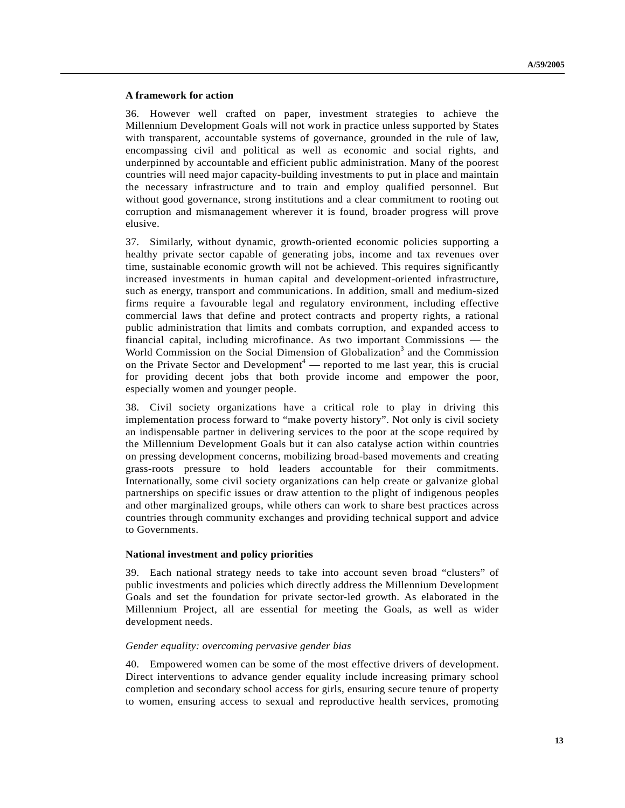### **A framework for action**

36. However well crafted on paper, investment strategies to achieve the Millennium Development Goals will not work in practice unless supported by States with transparent, accountable systems of governance, grounded in the rule of law, encompassing civil and political as well as economic and social rights, and underpinned by accountable and efficient public administration. Many of the poorest countries will need major capacity-building investments to put in place and maintain the necessary infrastructure and to train and employ qualified personnel. But without good governance, strong institutions and a clear commitment to rooting out corruption and mismanagement wherever it is found, broader progress will prove elusive.

37. Similarly, without dynamic, growth-oriented economic policies supporting a healthy private sector capable of generating jobs, income and tax revenues over time, sustainable economic growth will not be achieved. This requires significantly increased investments in human capital and development-oriented infrastructure, such as energy, transport and communications. In addition, small and medium-sized firms require a favourable legal and regulatory environment, including effective commercial laws that define and protect contracts and property rights, a rational public administration that limits and combats corruption, and expanded access to financial capital, including microfinance. As two important Commissions — the World Commission on the Social Dimension of Globalization<sup>3</sup> and the Commission on the Private Sector and Development<sup>4</sup> — reported to me last year, this is crucial for providing decent jobs that both provide income and empower the poor, especially women and younger people.

38. Civil society organizations have a critical role to play in driving this implementation process forward to "make poverty history". Not only is civil society an indispensable partner in delivering services to the poor at the scope required by the Millennium Development Goals but it can also catalyse action within countries on pressing development concerns, mobilizing broad-based movements and creating grass-roots pressure to hold leaders accountable for their commitments. Internationally, some civil society organizations can help create or galvanize global partnerships on specific issues or draw attention to the plight of indigenous peoples and other marginalized groups, while others can work to share best practices across countries through community exchanges and providing technical support and advice to Governments.

#### **National investment and policy priorities**

39. Each national strategy needs to take into account seven broad "clusters" of public investments and policies which directly address the Millennium Development Goals and set the foundation for private sector-led growth. As elaborated in the Millennium Project, all are essential for meeting the Goals, as well as wider development needs.

#### *Gender equality: overcoming pervasive gender bias*

40. Empowered women can be some of the most effective drivers of development. Direct interventions to advance gender equality include increasing primary school completion and secondary school access for girls, ensuring secure tenure of property to women, ensuring access to sexual and reproductive health services, promoting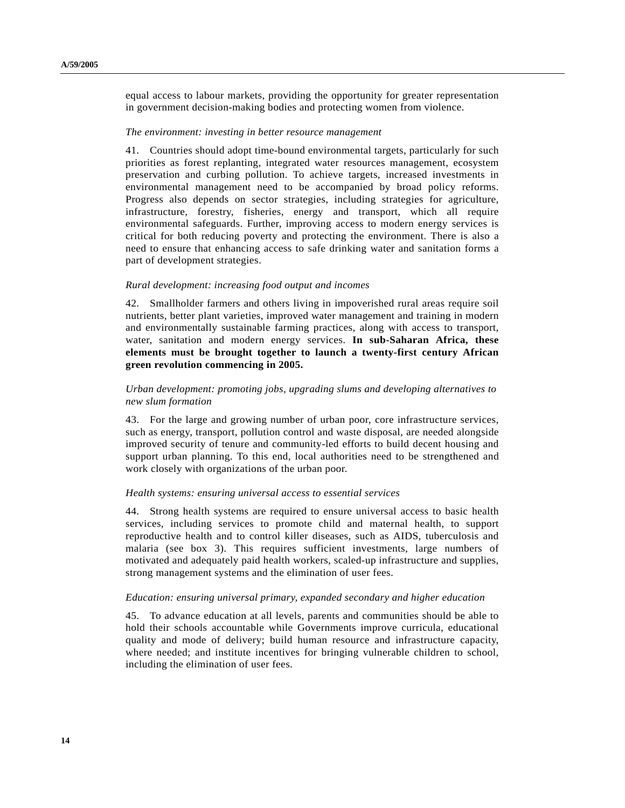equal access to labour markets, providing the opportunity for greater representation in government decision-making bodies and protecting women from violence.

#### *The environment: investing in better resource management*

41. Countries should adopt time-bound environmental targets, particularly for such priorities as forest replanting, integrated water resources management, ecosystem preservation and curbing pollution. To achieve targets, increased investments in environmental management need to be accompanied by broad policy reforms. Progress also depends on sector strategies, including strategies for agriculture, infrastructure, forestry, fisheries, energy and transport, which all require environmental safeguards. Further, improving access to modern energy services is critical for both reducing poverty and protecting the environment. There is also a need to ensure that enhancing access to safe drinking water and sanitation forms a part of development strategies.

#### *Rural development: increasing food output and incomes*

42. Smallholder farmers and others living in impoverished rural areas require soil nutrients, better plant varieties, improved water management and training in modern and environmentally sustainable farming practices, along with access to transport, water, sanitation and modern energy services. **In sub-Saharan Africa, these elements must be brought together to launch a twenty-first century African green revolution commencing in 2005.**

### *Urban development: promoting jobs, upgrading slums and developing alternatives to new slum formation*

43. For the large and growing number of urban poor, core infrastructure services, such as energy, transport, pollution control and waste disposal, are needed alongside improved security of tenure and community-led efforts to build decent housing and support urban planning. To this end, local authorities need to be strengthened and work closely with organizations of the urban poor.

#### *Health systems: ensuring universal access to essential services*

44. Strong health systems are required to ensure universal access to basic health services, including services to promote child and maternal health, to support reproductive health and to control killer diseases, such as AIDS, tuberculosis and malaria (see box 3). This requires sufficient investments, large numbers of motivated and adequately paid health workers, scaled-up infrastructure and supplies, strong management systems and the elimination of user fees.

#### *Education: ensuring universal primary, expanded secondary and higher education*

45. To advance education at all levels, parents and communities should be able to hold their schools accountable while Governments improve curricula, educational quality and mode of delivery; build human resource and infrastructure capacity, where needed; and institute incentives for bringing vulnerable children to school, including the elimination of user fees.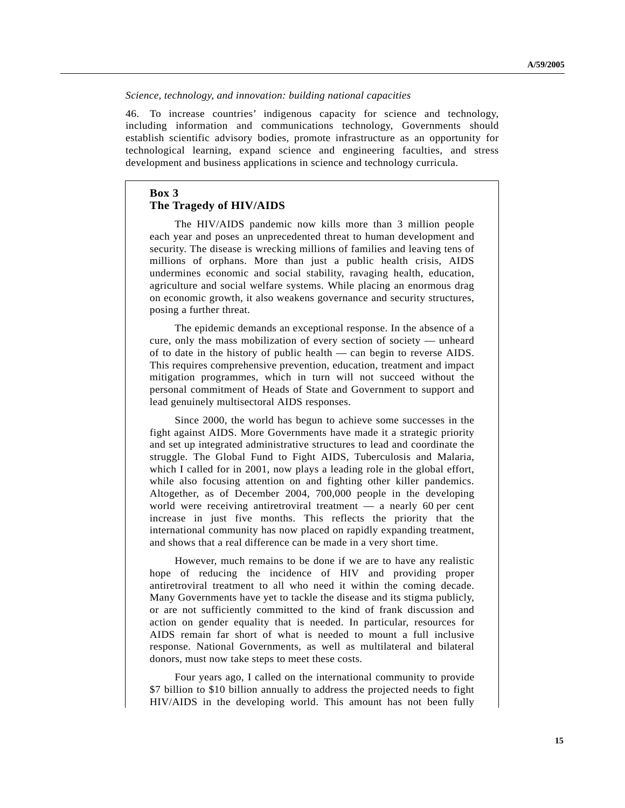*Science, technology, and innovation: building national capacities*

46. To increase countries' indigenous capacity for science and technology, including information and communications technology, Governments should establish scientific advisory bodies, promote infrastructure as an opportunity for technological learning, expand science and engineering faculties, and stress development and business applications in science and technology curricula.

### **Box 3 The Tragedy of HIV/AIDS**

The HIV/AIDS pandemic now kills more than 3 million people each year and poses an unprecedented threat to human development and security. The disease is wrecking millions of families and leaving tens of millions of orphans. More than just a public health crisis, AIDS undermines economic and social stability, ravaging health, education, agriculture and social welfare systems. While placing an enormous drag on economic growth, it also weakens governance and security structures, posing a further threat.

The epidemic demands an exceptional response. In the absence of a cure, only the mass mobilization of every section of society — unheard of to date in the history of public health — can begin to reverse AIDS. This requires comprehensive prevention, education, treatment and impact mitigation programmes, which in turn will not succeed without the personal commitment of Heads of State and Government to support and lead genuinely multisectoral AIDS responses.

Since 2000, the world has begun to achieve some successes in the fight against AIDS. More Governments have made it a strategic priority and set up integrated administrative structures to lead and coordinate the struggle. The Global Fund to Fight AIDS, Tuberculosis and Malaria, which I called for in 2001, now plays a leading role in the global effort, while also focusing attention on and fighting other killer pandemics. Altogether, as of December 2004, 700,000 people in the developing world were receiving antiretroviral treatment — a nearly 60 per cent increase in just five months. This reflects the priority that the international community has now placed on rapidly expanding treatment, and shows that a real difference can be made in a very short time.

However, much remains to be done if we are to have any realistic hope of reducing the incidence of HIV and providing proper antiretroviral treatment to all who need it within the coming decade. Many Governments have yet to tackle the disease and its stigma publicly, or are not sufficiently committed to the kind of frank discussion and action on gender equality that is needed. In particular, resources for AIDS remain far short of what is needed to mount a full inclusive response. National Governments, as well as multilateral and bilateral donors, must now take steps to meet these costs.

Four years ago, I called on the international community to provide \$7 billion to \$10 billion annually to address the projected needs to fight HIV/AIDS in the developing world. This amount has not been fully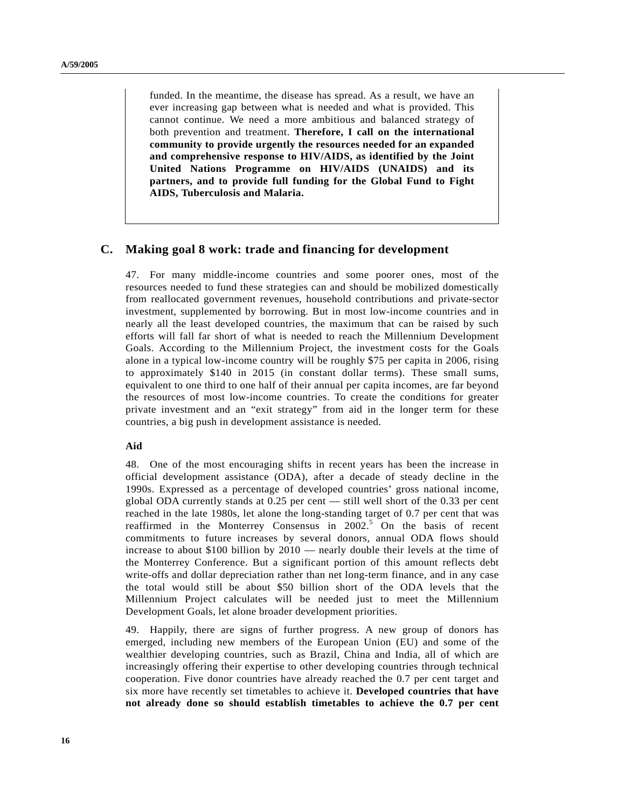funded. In the meantime, the disease has spread. As a result, we have an ever increasing gap between what is needed and what is provided. This cannot continue. We need a more ambitious and balanced strategy of both prevention and treatment. **Therefore, I call on the international community to provide urgently the resources needed for an expanded and comprehensive response to HIV/AIDS, as identified by the Joint United Nations Programme on HIV/AIDS (UNAIDS) and its partners, and to provide full funding for the Global Fund to Fight AIDS, Tuberculosis and Malaria.**

### **C. Making goal 8 work: trade and financing for development**

47. For many middle-income countries and some poorer ones, most of the resources needed to fund these strategies can and should be mobilized domestically from reallocated government revenues, household contributions and private-sector investment, supplemented by borrowing. But in most low-income countries and in nearly all the least developed countries, the maximum that can be raised by such efforts will fall far short of what is needed to reach the Millennium Development Goals. According to the Millennium Project, the investment costs for the Goals alone in a typical low-income country will be roughly \$75 per capita in 2006, rising to approximately \$140 in 2015 (in constant dollar terms). These small sums, equivalent to one third to one half of their annual per capita incomes, are far beyond the resources of most low-income countries. To create the conditions for greater private investment and an "exit strategy" from aid in the longer term for these countries, a big push in development assistance is needed.

#### **Aid**

48. One of the most encouraging shifts in recent years has been the increase in official development assistance (ODA), after a decade of steady decline in the 1990s. Expressed as a percentage of developed countries' gross national income, global ODA currently stands at 0.25 per cent — still well short of the 0.33 per cent reached in the late 1980s, let alone the long-standing target of 0.7 per cent that was reaffirmed in the Monterrey Consensus in  $2002$ <sup>5</sup> On the basis of recent commitments to future increases by several donors, annual ODA flows should increase to about \$100 billion by 2010 — nearly double their levels at the time of the Monterrey Conference. But a significant portion of this amount reflects debt write-offs and dollar depreciation rather than net long-term finance, and in any case the total would still be about \$50 billion short of the ODA levels that the Millennium Project calculates will be needed just to meet the Millennium Development Goals, let alone broader development priorities.

49. Happily, there are signs of further progress. A new group of donors has emerged, including new members of the European Union (EU) and some of the wealthier developing countries, such as Brazil, China and India, all of which are increasingly offering their expertise to other developing countries through technical cooperation. Five donor countries have already reached the 0.7 per cent target and six more have recently set timetables to achieve it. **Developed countries that have not already done so should establish timetables to achieve the 0.7 per cent**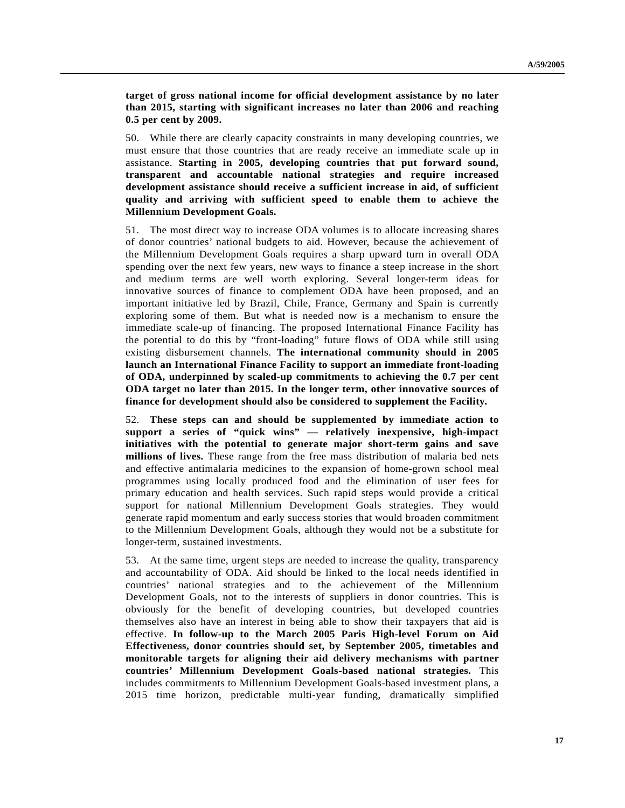**target of gross national income for official development assistance by no later than 2015, starting with significant increases no later than 2006 and reaching 0.5 per cent by 2009.**

50. While there are clearly capacity constraints in many developing countries, we must ensure that those countries that are ready receive an immediate scale up in assistance. **Starting in 2005, developing countries that put forward sound, transparent and accountable national strategies and require increased development assistance should receive a sufficient increase in aid, of sufficient quality and arriving with sufficient speed to enable them to achieve the Millennium Development Goals.**

51. The most direct way to increase ODA volumes is to allocate increasing shares of donor countries' national budgets to aid. However, because the achievement of the Millennium Development Goals requires a sharp upward turn in overall ODA spending over the next few years, new ways to finance a steep increase in the short and medium terms are well worth exploring. Several longer-term ideas for innovative sources of finance to complement ODA have been proposed, and an important initiative led by Brazil, Chile, France, Germany and Spain is currently exploring some of them. But what is needed now is a mechanism to ensure the immediate scale-up of financing. The proposed International Finance Facility has the potential to do this by "front-loading" future flows of ODA while still using existing disbursement channels. **The international community should in 2005 launch an International Finance Facility to support an immediate front-loading of ODA, underpinned by scaled-up commitments to achieving the 0.7 per cent ODA target no later than 2015. In the longer term, other innovative sources of finance for development should also be considered to supplement the Facility.**

52. **These steps can and should be supplemented by immediate action to support a series of "quick wins" — relatively inexpensive, high-impact initiatives with the potential to generate major short-term gains and save millions of lives.** These range from the free mass distribution of malaria bed nets and effective antimalaria medicines to the expansion of home-grown school meal programmes using locally produced food and the elimination of user fees for primary education and health services. Such rapid steps would provide a critical support for national Millennium Development Goals strategies. They would generate rapid momentum and early success stories that would broaden commitment to the Millennium Development Goals, although they would not be a substitute for longer-term, sustained investments.

53. At the same time, urgent steps are needed to increase the quality, transparency and accountability of ODA. Aid should be linked to the local needs identified in countries' national strategies and to the achievement of the Millennium Development Goals, not to the interests of suppliers in donor countries. This is obviously for the benefit of developing countries, but developed countries themselves also have an interest in being able to show their taxpayers that aid is effective. **In follow-up to the March 2005 Paris High-level Forum on Aid Effectiveness, donor countries should set, by September 2005, timetables and monitorable targets for aligning their aid delivery mechanisms with partner countries' Millennium Development Goals-based national strategies.** This includes commitments to Millennium Development Goals-based investment plans, a 2015 time horizon, predictable multi-year funding, dramatically simplified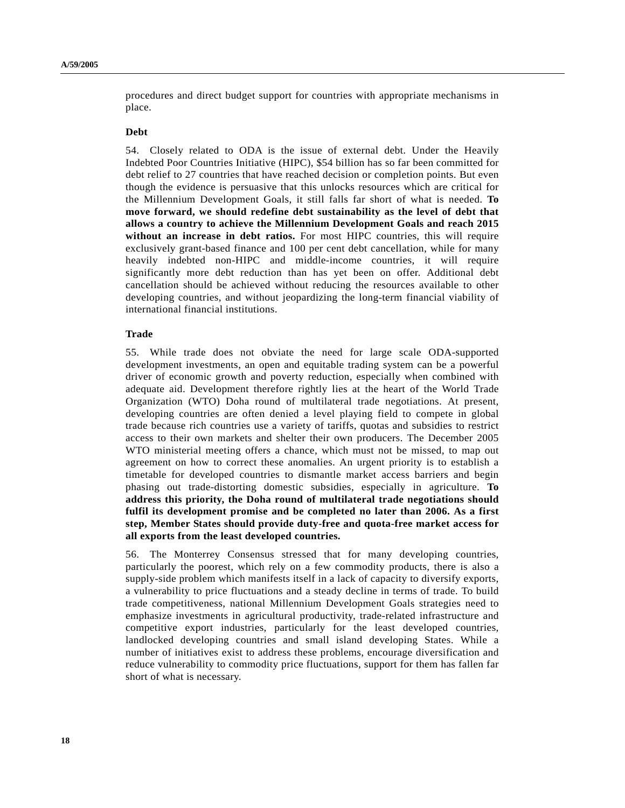procedures and direct budget support for countries with appropriate mechanisms in place.

#### **Debt**

54. Closely related to ODA is the issue of external debt. Under the Heavily Indebted Poor Countries Initiative (HIPC), \$54 billion has so far been committed for debt relief to 27 countries that have reached decision or completion points. But even though the evidence is persuasive that this unlocks resources which are critical for the Millennium Development Goals, it still falls far short of what is needed. **To move forward, we should redefine debt sustainability as the level of debt that allows a country to achieve the Millennium Development Goals and reach 2015 without an increase in debt ratios.** For most HIPC countries, this will require exclusively grant-based finance and 100 per cent debt cancellation, while for many heavily indebted non-HIPC and middle-income countries, it will require significantly more debt reduction than has yet been on offer. Additional debt cancellation should be achieved without reducing the resources available to other developing countries, and without jeopardizing the long-term financial viability of international financial institutions.

#### **Trade**

55. While trade does not obviate the need for large scale ODA-supported development investments, an open and equitable trading system can be a powerful driver of economic growth and poverty reduction, especially when combined with adequate aid. Development therefore rightly lies at the heart of the World Trade Organization (WTO) Doha round of multilateral trade negotiations. At present, developing countries are often denied a level playing field to compete in global trade because rich countries use a variety of tariffs, quotas and subsidies to restrict access to their own markets and shelter their own producers. The December 2005 WTO ministerial meeting offers a chance, which must not be missed, to map out agreement on how to correct these anomalies. An urgent priority is to establish a timetable for developed countries to dismantle market access barriers and begin phasing out trade-distorting domestic subsidies, especially in agriculture. **To address this priority, the Doha round of multilateral trade negotiations should fulfil its development promise and be completed no later than 2006. As a first step, Member States should provide duty-free and quota-free market access for all exports from the least developed countries.**

56. The Monterrey Consensus stressed that for many developing countries, particularly the poorest, which rely on a few commodity products, there is also a supply-side problem which manifests itself in a lack of capacity to diversify exports, a vulnerability to price fluctuations and a steady decline in terms of trade. To build trade competitiveness, national Millennium Development Goals strategies need to emphasize investments in agricultural productivity, trade-related infrastructure and competitive export industries, particularly for the least developed countries, landlocked developing countries and small island developing States. While a number of initiatives exist to address these problems, encourage diversification and reduce vulnerability to commodity price fluctuations, support for them has fallen far short of what is necessary.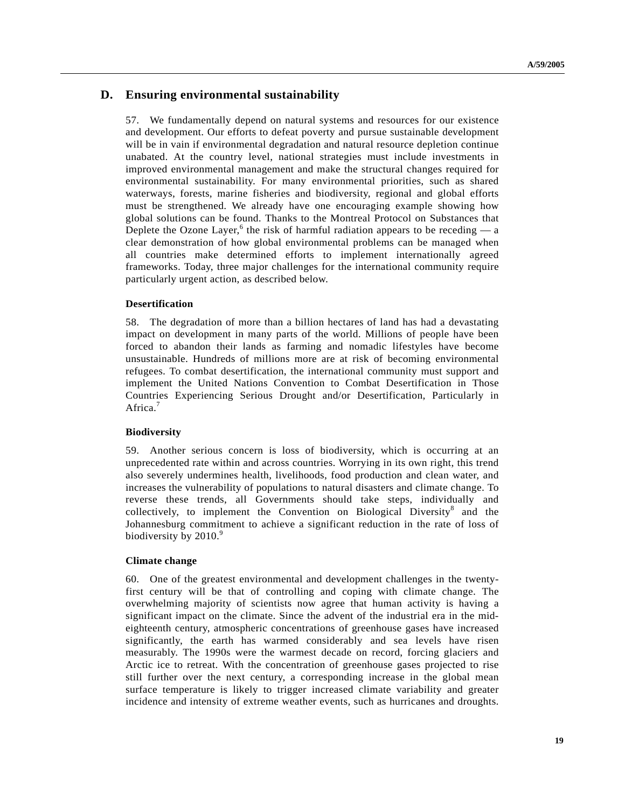### **D. Ensuring environmental sustainability**

57. We fundamentally depend on natural systems and resources for our existence and development. Our efforts to defeat poverty and pursue sustainable development will be in vain if environmental degradation and natural resource depletion continue unabated. At the country level, national strategies must include investments in improved environmental management and make the structural changes required for environmental sustainability. For many environmental priorities, such as shared waterways, forests, marine fisheries and biodiversity, regional and global efforts must be strengthened. We already have one encouraging example showing how global solutions can be found. Thanks to the Montreal Protocol on Substances that Deplete the Ozone Layer,<sup>6</sup> the risk of harmful radiation appears to be receding  $-$  a clear demonstration of how global environmental problems can be managed when all countries make determined efforts to implement internationally agreed frameworks. Today, three major challenges for the international community require particularly urgent action, as described below.

#### **Desertification**

58. The degradation of more than a billion hectares of land has had a devastating impact on development in many parts of the world. Millions of people have been forced to abandon their lands as farming and nomadic lifestyles have become unsustainable. Hundreds of millions more are at risk of becoming environmental refugees. To combat desertification, the international community must support and implement the United Nations Convention to Combat Desertification in Those Countries Experiencing Serious Drought and/or Desertification, Particularly in Africa<sup>7</sup>

### **Biodiversity**

59. Another serious concern is loss of biodiversity, which is occurring at an unprecedented rate within and across countries. Worrying in its own right, this trend also severely undermines health, livelihoods, food production and clean water, and increases the vulnerability of populations to natural disasters and climate change. To reverse these trends, all Governments should take steps, individually and collectively, to implement the Convention on Biological Diversity<sup>8</sup> and the Johannesburg commitment to achieve a significant reduction in the rate of loss of biodiversity by  $2010.<sup>9</sup>$ 

#### **Climate change**

60. One of the greatest environmental and development challenges in the twentyfirst century will be that of controlling and coping with climate change. The overwhelming majority of scientists now agree that human activity is having a significant impact on the climate. Since the advent of the industrial era in the mideighteenth century, atmospheric concentrations of greenhouse gases have increased significantly, the earth has warmed considerably and sea levels have risen measurably. The 1990s were the warmest decade on record, forcing glaciers and Arctic ice to retreat. With the concentration of greenhouse gases projected to rise still further over the next century, a corresponding increase in the global mean surface temperature is likely to trigger increased climate variability and greater incidence and intensity of extreme weather events, such as hurricanes and droughts.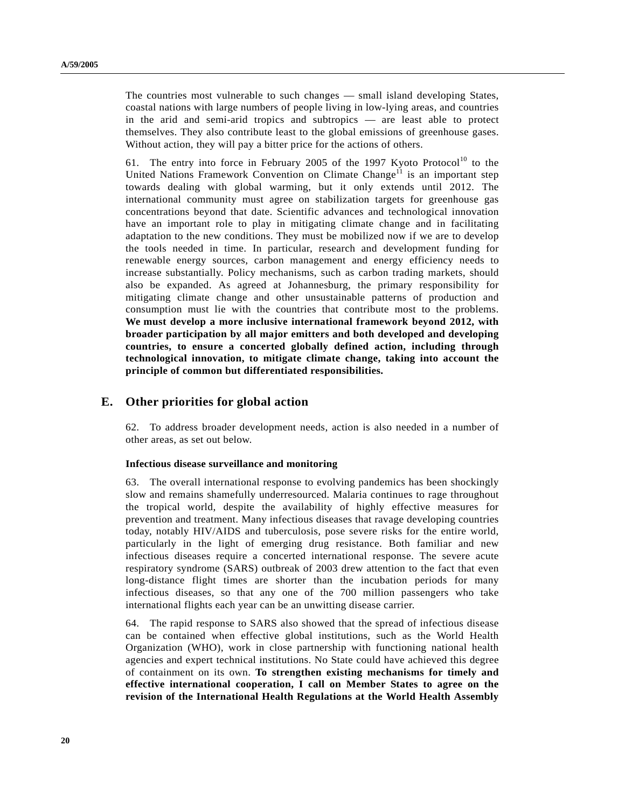The countries most vulnerable to such changes — small island developing States, coastal nations with large numbers of people living in low-lying areas, and countries in the arid and semi-arid tropics and subtropics — are least able to protect themselves. They also contribute least to the global emissions of greenhouse gases. Without action, they will pay a bitter price for the actions of others.

61. The entry into force in February 2005 of the 1997 Kyoto Protocol<sup>10</sup> to the United Nations Framework Convention on Climate Change<sup>11</sup> is an important step towards dealing with global warming, but it only extends until 2012. The international community must agree on stabilization targets for greenhouse gas concentrations beyond that date. Scientific advances and technological innovation have an important role to play in mitigating climate change and in facilitating adaptation to the new conditions. They must be mobilized now if we are to develop the tools needed in time. In particular, research and development funding for renewable energy sources, carbon management and energy efficiency needs to increase substantially. Policy mechanisms, such as carbon trading markets, should also be expanded. As agreed at Johannesburg, the primary responsibility for mitigating climate change and other unsustainable patterns of production and consumption must lie with the countries that contribute most to the problems. **We must develop a more inclusive international framework beyond 2012, with broader participation by all major emitters and both developed and developing countries, to ensure a concerted globally defined action, including through technological innovation, to mitigate climate change, taking into account the principle of common but differentiated responsibilities.**

### **E. Other priorities for global action**

62. To address broader development needs, action is also needed in a number of other areas, as set out below.

### **Infectious disease surveillance and monitoring**

63. The overall international response to evolving pandemics has been shockingly slow and remains shamefully underresourced. Malaria continues to rage throughout the tropical world, despite the availability of highly effective measures for prevention and treatment. Many infectious diseases that ravage developing countries today, notably HIV/AIDS and tuberculosis, pose severe risks for the entire world, particularly in the light of emerging drug resistance. Both familiar and new infectious diseases require a concerted international response. The severe acute respiratory syndrome (SARS) outbreak of 2003 drew attention to the fact that even long-distance flight times are shorter than the incubation periods for many infectious diseases, so that any one of the 700 million passengers who take international flights each year can be an unwitting disease carrier.

64. The rapid response to SARS also showed that the spread of infectious disease can be contained when effective global institutions, such as the World Health Organization (WHO), work in close partnership with functioning national health agencies and expert technical institutions. No State could have achieved this degree of containment on its own. **To strengthen existing mechanisms for timely and effective international cooperation, I call on Member States to agree on the revision of the International Health Regulations at the World Health Assembly**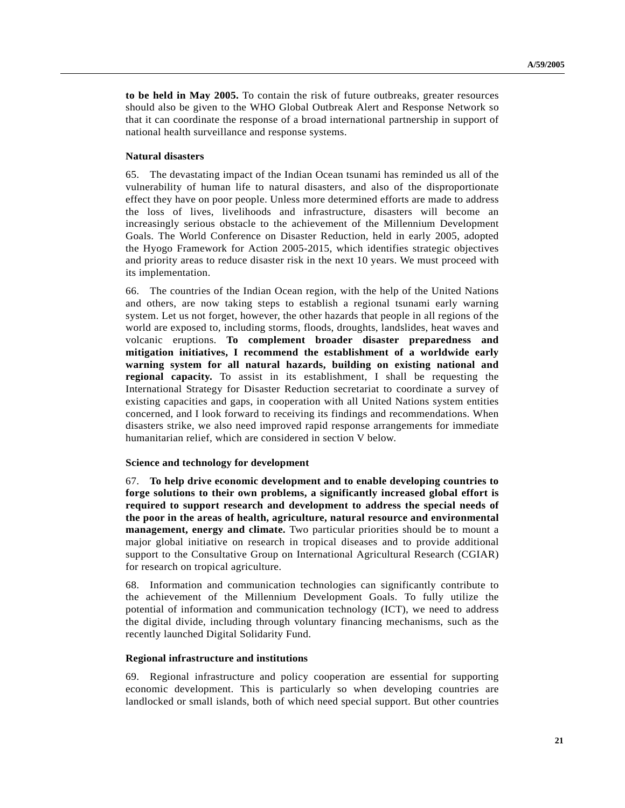**to be held in May 2005.** To contain the risk of future outbreaks, greater resources should also be given to the WHO Global Outbreak Alert and Response Network so that it can coordinate the response of a broad international partnership in support of national health surveillance and response systems.

#### **Natural disasters**

65. The devastating impact of the Indian Ocean tsunami has reminded us all of the vulnerability of human life to natural disasters, and also of the disproportionate effect they have on poor people. Unless more determined efforts are made to address the loss of lives, livelihoods and infrastructure, disasters will become an increasingly serious obstacle to the achievement of the Millennium Development Goals. The World Conference on Disaster Reduction, held in early 2005, adopted the Hyogo Framework for Action 2005-2015, which identifies strategic objectives and priority areas to reduce disaster risk in the next 10 years. We must proceed with its implementation.

66. The countries of the Indian Ocean region, with the help of the United Nations and others, are now taking steps to establish a regional tsunami early warning system. Let us not forget, however, the other hazards that people in all regions of the world are exposed to, including storms, floods, droughts, landslides, heat waves and volcanic eruptions. **To complement broader disaster preparedness and mitigation initiatives, I recommend the establishment of a worldwide early warning system for all natural hazards, building on existing national and regional capacity.** To assist in its establishment, I shall be requesting the International Strategy for Disaster Reduction secretariat to coordinate a survey of existing capacities and gaps, in cooperation with all United Nations system entities concerned, and I look forward to receiving its findings and recommendations. When disasters strike, we also need improved rapid response arrangements for immediate humanitarian relief, which are considered in section V below.

#### **Science and technology for development**

67. **To help drive economic development and to enable developing countries to forge solutions to their own problems, a significantly increased global effort is required to support research and development to address the special needs of the poor in the areas of health, agriculture, natural resource and environmental management, energy and climate.** Two particular priorities should be to mount a major global initiative on research in tropical diseases and to provide additional support to the Consultative Group on International Agricultural Research (CGIAR) for research on tropical agriculture.

68. Information and communication technologies can significantly contribute to the achievement of the Millennium Development Goals. To fully utilize the potential of information and communication technology (ICT), we need to address the digital divide, including through voluntary financing mechanisms, such as the recently launched Digital Solidarity Fund.

#### **Regional infrastructure and institutions**

69. Regional infrastructure and policy cooperation are essential for supporting economic development. This is particularly so when developing countries are landlocked or small islands, both of which need special support. But other countries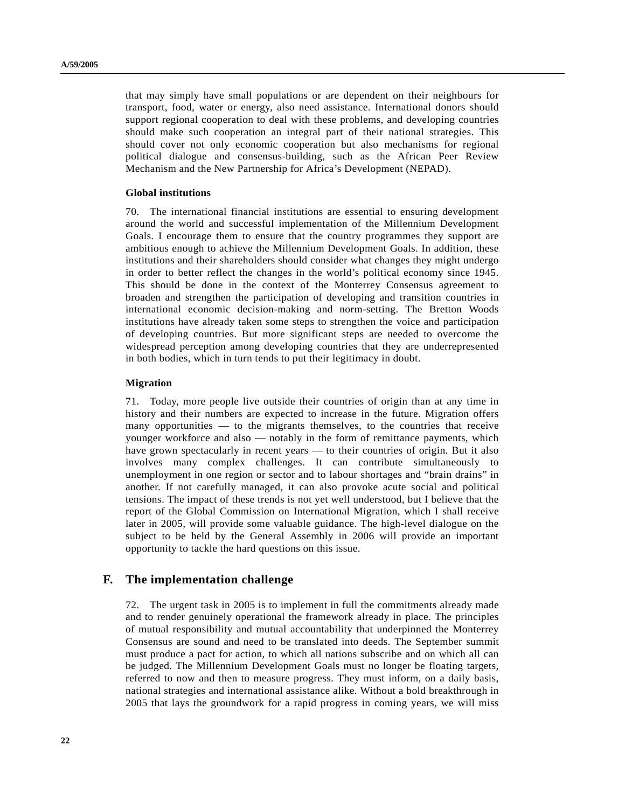that may simply have small populations or are dependent on their neighbours for transport, food, water or energy, also need assistance. International donors should support regional cooperation to deal with these problems, and developing countries should make such cooperation an integral part of their national strategies. This should cover not only economic cooperation but also mechanisms for regional political dialogue and consensus-building, such as the African Peer Review Mechanism and the New Partnership for Africa's Development (NEPAD).

#### **Global institutions**

70. The international financial institutions are essential to ensuring development around the world and successful implementation of the Millennium Development Goals. I encourage them to ensure that the country programmes they support are ambitious enough to achieve the Millennium Development Goals. In addition, these institutions and their shareholders should consider what changes they might undergo in order to better reflect the changes in the world's political economy since 1945. This should be done in the context of the Monterrey Consensus agreement to broaden and strengthen the participation of developing and transition countries in international economic decision-making and norm-setting. The Bretton Woods institutions have already taken some steps to strengthen the voice and participation of developing countries. But more significant steps are needed to overcome the widespread perception among developing countries that they are underrepresented in both bodies, which in turn tends to put their legitimacy in doubt.

#### **Migration**

71. Today, more people live outside their countries of origin than at any time in history and their numbers are expected to increase in the future. Migration offers many opportunities — to the migrants themselves, to the countries that receive younger workforce and also — notably in the form of remittance payments, which have grown spectacularly in recent years — to their countries of origin. But it also involves many complex challenges. It can contribute simultaneously to unemployment in one region or sector and to labour shortages and "brain drains" in another. If not carefully managed, it can also provoke acute social and political tensions. The impact of these trends is not yet well understood, but I believe that the report of the Global Commission on International Migration, which I shall receive later in 2005, will provide some valuable guidance. The high-level dialogue on the subject to be held by the General Assembly in 2006 will provide an important opportunity to tackle the hard questions on this issue.

### **F. The implementation challenge**

72. The urgent task in 2005 is to implement in full the commitments already made and to render genuinely operational the framework already in place. The principles of mutual responsibility and mutual accountability that underpinned the Monterrey Consensus are sound and need to be translated into deeds. The September summit must produce a pact for action, to which all nations subscribe and on which all can be judged. The Millennium Development Goals must no longer be floating targets, referred to now and then to measure progress. They must inform, on a daily basis, national strategies and international assistance alike. Without a bold breakthrough in 2005 that lays the groundwork for a rapid progress in coming years, we will miss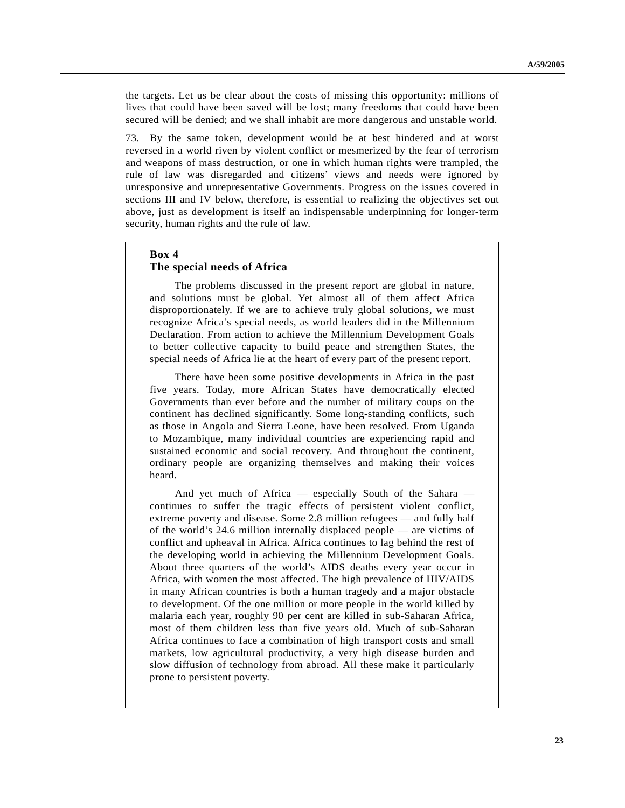the targets. Let us be clear about the costs of missing this opportunity: millions of lives that could have been saved will be lost; many freedoms that could have been secured will be denied; and we shall inhabit are more dangerous and unstable world.

73. By the same token, development would be at best hindered and at worst reversed in a world riven by violent conflict or mesmerized by the fear of terrorism and weapons of mass destruction, or one in which human rights were trampled, the rule of law was disregarded and citizens' views and needs were ignored by unresponsive and unrepresentative Governments. Progress on the issues covered in sections III and IV below, therefore, is essential to realizing the objectives set out above, just as development is itself an indispensable underpinning for longer-term security, human rights and the rule of law.

### **Box 4 The special needs of Africa**

The problems discussed in the present report are global in nature, and solutions must be global. Yet almost all of them affect Africa disproportionately. If we are to achieve truly global solutions, we must recognize Africa's special needs, as world leaders did in the Millennium Declaration. From action to achieve the Millennium Development Goals to better collective capacity to build peace and strengthen States, the special needs of Africa lie at the heart of every part of the present report.

There have been some positive developments in Africa in the past five years. Today, more African States have democratically elected Governments than ever before and the number of military coups on the continent has declined significantly. Some long-standing conflicts, such as those in Angola and Sierra Leone, have been resolved. From Uganda to Mozambique, many individual countries are experiencing rapid and sustained economic and social recovery. And throughout the continent, ordinary people are organizing themselves and making their voices heard.

And yet much of Africa — especially South of the Sahara continues to suffer the tragic effects of persistent violent conflict, extreme poverty and disease. Some 2.8 million refugees — and fully half of the world's 24.6 million internally displaced people — are victims of conflict and upheaval in Africa. Africa continues to lag behind the rest of the developing world in achieving the Millennium Development Goals. About three quarters of the world's AIDS deaths every year occur in Africa, with women the most affected. The high prevalence of HIV/AIDS in many African countries is both a human tragedy and a major obstacle to development. Of the one million or more people in the world killed by malaria each year, roughly 90 per cent are killed in sub-Saharan Africa, most of them children less than five years old. Much of sub-Saharan Africa continues to face a combination of high transport costs and small markets, low agricultural productivity, a very high disease burden and slow diffusion of technology from abroad. All these make it particularly prone to persistent poverty.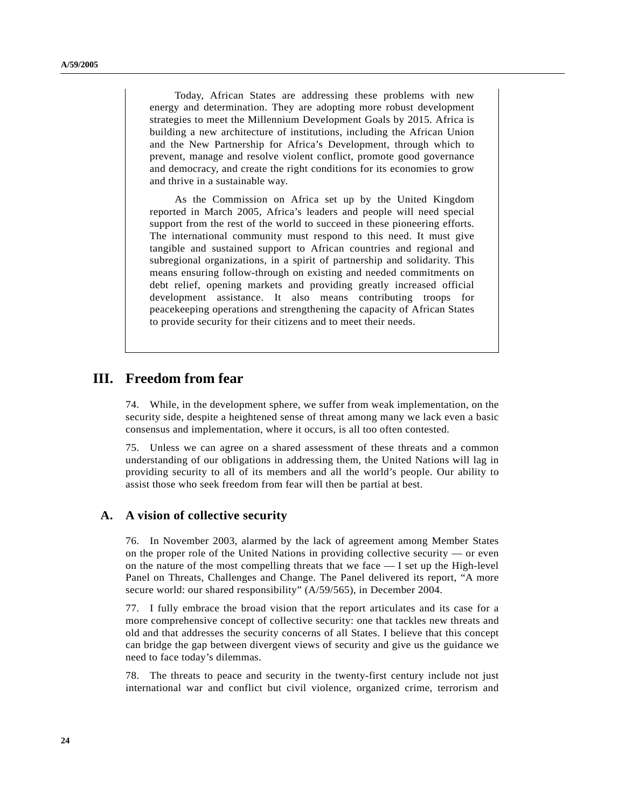Today, African States are addressing these problems with new energy and determination. They are adopting more robust development strategies to meet the Millennium Development Goals by 2015. Africa is building a new architecture of institutions, including the African Union and the New Partnership for Africa's Development, through which to prevent, manage and resolve violent conflict, promote good governance and democracy, and create the right conditions for its economies to grow and thrive in a sustainable way.

As the Commission on Africa set up by the United Kingdom reported in March 2005, Africa's leaders and people will need special support from the rest of the world to succeed in these pioneering efforts. The international community must respond to this need. It must give tangible and sustained support to African countries and regional and subregional organizations, in a spirit of partnership and solidarity. This means ensuring follow-through on existing and needed commitments on debt relief, opening markets and providing greatly increased official development assistance. It also means contributing troops for peacekeeping operations and strengthening the capacity of African States to provide security for their citizens and to meet their needs.

# **III. Freedom from fear**

74. While, in the development sphere, we suffer from weak implementation, on the security side, despite a heightened sense of threat among many we lack even a basic consensus and implementation, where it occurs, is all too often contested.

75. Unless we can agree on a shared assessment of these threats and a common understanding of our obligations in addressing them, the United Nations will lag in providing security to all of its members and all the world's people. Our ability to assist those who seek freedom from fear will then be partial at best.

### **A. A vision of collective security**

76. In November 2003, alarmed by the lack of agreement among Member States on the proper role of the United Nations in providing collective security — or even on the nature of the most compelling threats that we face — I set up the High-level Panel on Threats, Challenges and Change. The Panel delivered its report, "A more secure world: our shared responsibility" (A/59/565), in December 2004.

77. I fully embrace the broad vision that the report articulates and its case for a more comprehensive concept of collective security: one that tackles new threats and old and that addresses the security concerns of all States. I believe that this concept can bridge the gap between divergent views of security and give us the guidance we need to face today's dilemmas.

78. The threats to peace and security in the twenty-first century include not just international war and conflict but civil violence, organized crime, terrorism and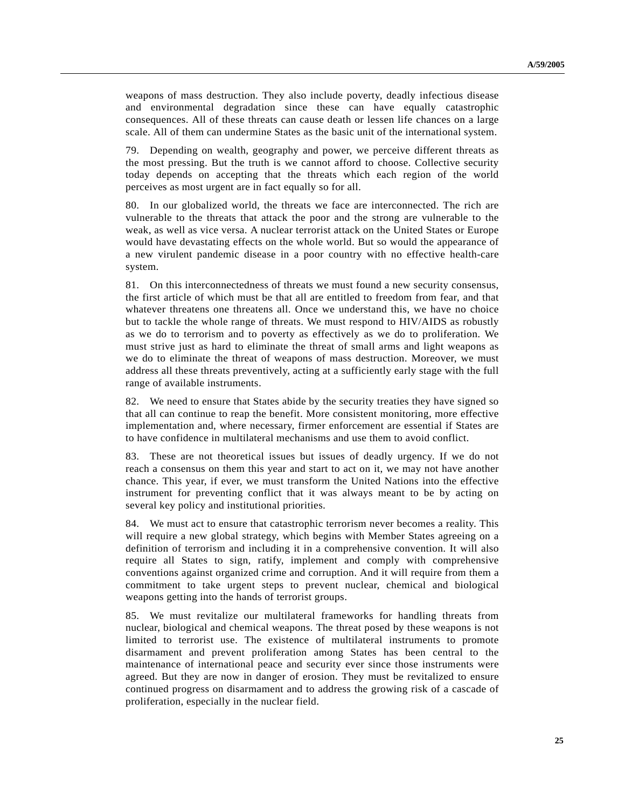weapons of mass destruction. They also include poverty, deadly infectious disease and environmental degradation since these can have equally catastrophic consequences. All of these threats can cause death or lessen life chances on a large scale. All of them can undermine States as the basic unit of the international system.

79. Depending on wealth, geography and power, we perceive different threats as the most pressing. But the truth is we cannot afford to choose. Collective security today depends on accepting that the threats which each region of the world perceives as most urgent are in fact equally so for all.

80. In our globalized world, the threats we face are interconnected. The rich are vulnerable to the threats that attack the poor and the strong are vulnerable to the weak, as well as vice versa. A nuclear terrorist attack on the United States or Europe would have devastating effects on the whole world. But so would the appearance of a new virulent pandemic disease in a poor country with no effective health-care system.

81. On this interconnectedness of threats we must found a new security consensus, the first article of which must be that all are entitled to freedom from fear, and that whatever threatens one threatens all. Once we understand this, we have no choice but to tackle the whole range of threats. We must respond to HIV/AIDS as robustly as we do to terrorism and to poverty as effectively as we do to proliferation. We must strive just as hard to eliminate the threat of small arms and light weapons as we do to eliminate the threat of weapons of mass destruction. Moreover, we must address all these threats preventively, acting at a sufficiently early stage with the full range of available instruments.

82. We need to ensure that States abide by the security treaties they have signed so that all can continue to reap the benefit. More consistent monitoring, more effective implementation and, where necessary, firmer enforcement are essential if States are to have confidence in multilateral mechanisms and use them to avoid conflict.

83. These are not theoretical issues but issues of deadly urgency. If we do not reach a consensus on them this year and start to act on it, we may not have another chance. This year, if ever, we must transform the United Nations into the effective instrument for preventing conflict that it was always meant to be by acting on several key policy and institutional priorities.

84. We must act to ensure that catastrophic terrorism never becomes a reality. This will require a new global strategy, which begins with Member States agreeing on a definition of terrorism and including it in a comprehensive convention. It will also require all States to sign, ratify, implement and comply with comprehensive conventions against organized crime and corruption. And it will require from them a commitment to take urgent steps to prevent nuclear, chemical and biological weapons getting into the hands of terrorist groups.

85. We must revitalize our multilateral frameworks for handling threats from nuclear, biological and chemical weapons. The threat posed by these weapons is not limited to terrorist use. The existence of multilateral instruments to promote disarmament and prevent proliferation among States has been central to the maintenance of international peace and security ever since those instruments were agreed. But they are now in danger of erosion. They must be revitalized to ensure continued progress on disarmament and to address the growing risk of a cascade of proliferation, especially in the nuclear field.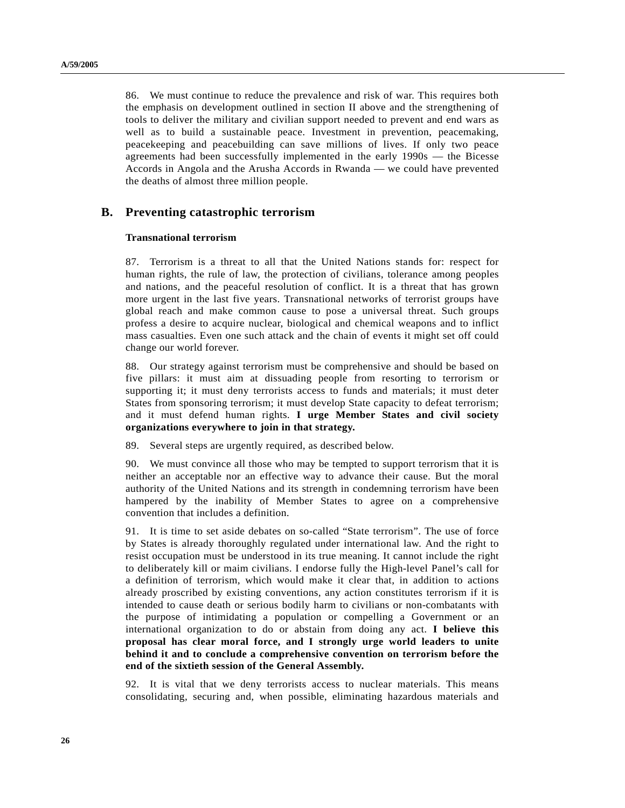86. We must continue to reduce the prevalence and risk of war. This requires both the emphasis on development outlined in section II above and the strengthening of tools to deliver the military and civilian support needed to prevent and end wars as well as to build a sustainable peace. Investment in prevention, peacemaking, peacekeeping and peacebuilding can save millions of lives. If only two peace agreements had been successfully implemented in the early 1990s — the Bicesse Accords in Angola and the Arusha Accords in Rwanda — we could have prevented the deaths of almost three million people.

### **B. Preventing catastrophic terrorism**

#### **Transnational terrorism**

87. Terrorism is a threat to all that the United Nations stands for: respect for human rights, the rule of law, the protection of civilians, tolerance among peoples and nations, and the peaceful resolution of conflict. It is a threat that has grown more urgent in the last five years. Transnational networks of terrorist groups have global reach and make common cause to pose a universal threat. Such groups profess a desire to acquire nuclear, biological and chemical weapons and to inflict mass casualties. Even one such attack and the chain of events it might set off could change our world forever.

88. Our strategy against terrorism must be comprehensive and should be based on five pillars: it must aim at dissuading people from resorting to terrorism or supporting it; it must deny terrorists access to funds and materials; it must deter States from sponsoring terrorism; it must develop State capacity to defeat terrorism; and it must defend human rights. **I urge Member States and civil society organizations everywhere to join in that strategy.**

89. Several steps are urgently required, as described below.

90. We must convince all those who may be tempted to support terrorism that it is neither an acceptable nor an effective way to advance their cause. But the moral authority of the United Nations and its strength in condemning terrorism have been hampered by the inability of Member States to agree on a comprehensive convention that includes a definition.

91. It is time to set aside debates on so-called "State terrorism". The use of force by States is already thoroughly regulated under international law. And the right to resist occupation must be understood in its true meaning. It cannot include the right to deliberately kill or maim civilians. I endorse fully the High-level Panel's call for a definition of terrorism, which would make it clear that, in addition to actions already proscribed by existing conventions, any action constitutes terrorism if it is intended to cause death or serious bodily harm to civilians or non-combatants with the purpose of intimidating a population or compelling a Government or an international organization to do or abstain from doing any act. **I believe this proposal has clear moral force, and I strongly urge world leaders to unite behind it and to conclude a comprehensive convention on terrorism before the end of the sixtieth session of the General Assembly.**

92. It is vital that we deny terrorists access to nuclear materials. This means consolidating, securing and, when possible, eliminating hazardous materials and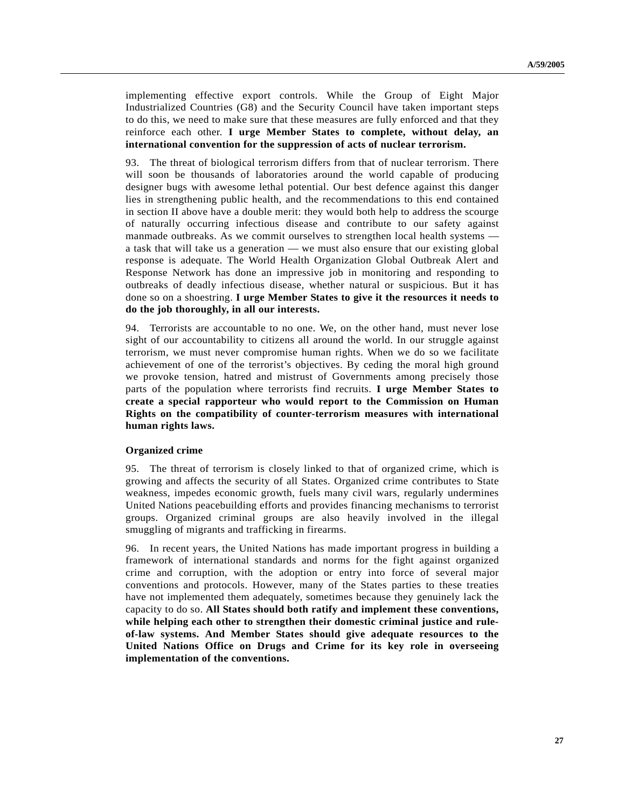implementing effective export controls. While the Group of Eight Major Industrialized Countries (G8) and the Security Council have taken important steps to do this, we need to make sure that these measures are fully enforced and that they reinforce each other. **I urge Member States to complete, without delay, an international convention for the suppression of acts of nuclear terrorism.**

93. The threat of biological terrorism differs from that of nuclear terrorism. There will soon be thousands of laboratories around the world capable of producing designer bugs with awesome lethal potential. Our best defence against this danger lies in strengthening public health, and the recommendations to this end contained in section II above have a double merit: they would both help to address the scourge of naturally occurring infectious disease and contribute to our safety against manmade outbreaks. As we commit ourselves to strengthen local health systems a task that will take us a generation — we must also ensure that our existing global response is adequate. The World Health Organization Global Outbreak Alert and Response Network has done an impressive job in monitoring and responding to outbreaks of deadly infectious disease, whether natural or suspicious. But it has done so on a shoestring. **I urge Member States to give it the resources it needs to do the job thoroughly, in all our interests.**

94. Terrorists are accountable to no one. We, on the other hand, must never lose sight of our accountability to citizens all around the world. In our struggle against terrorism, we must never compromise human rights. When we do so we facilitate achievement of one of the terrorist's objectives. By ceding the moral high ground we provoke tension, hatred and mistrust of Governments among precisely those parts of the population where terrorists find recruits. **I urge Member States to create a special rapporteur who would report to the Commission on Human Rights on the compatibility of counter-terrorism measures with international human rights laws.**

#### **Organized crime**

95. The threat of terrorism is closely linked to that of organized crime, which is growing and affects the security of all States. Organized crime contributes to State weakness, impedes economic growth, fuels many civil wars, regularly undermines United Nations peacebuilding efforts and provides financing mechanisms to terrorist groups. Organized criminal groups are also heavily involved in the illegal smuggling of migrants and trafficking in firearms.

96. In recent years, the United Nations has made important progress in building a framework of international standards and norms for the fight against organized crime and corruption, with the adoption or entry into force of several major conventions and protocols. However, many of the States parties to these treaties have not implemented them adequately, sometimes because they genuinely lack the capacity to do so. **All States should both ratify and implement these conventions, while helping each other to strengthen their domestic criminal justice and ruleof-law systems. And Member States should give adequate resources to the United Nations Office on Drugs and Crime for its key role in overseeing implementation of the conventions.**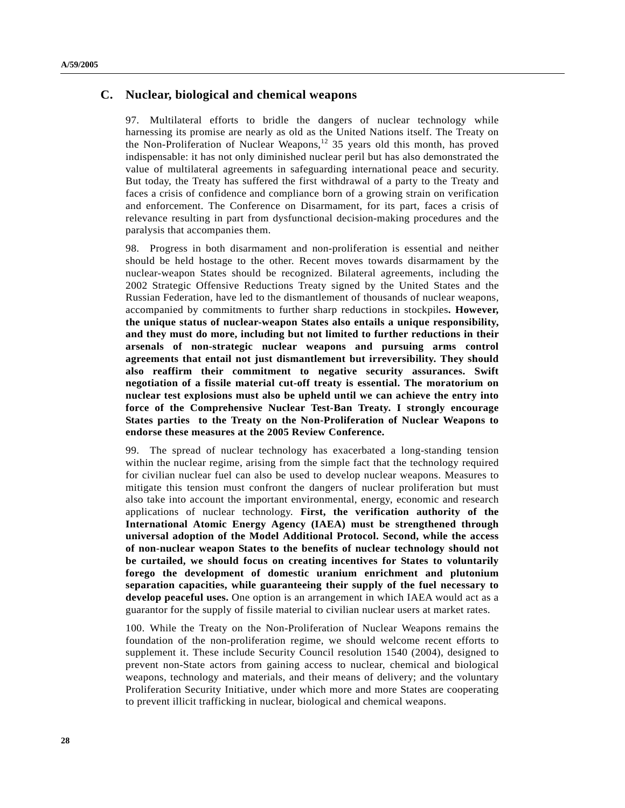### **C. Nuclear, biological and chemical weapons**

97. Multilateral efforts to bridle the dangers of nuclear technology while harnessing its promise are nearly as old as the United Nations itself. The Treaty on the Non-Proliferation of Nuclear Weapons, $12$  35 years old this month, has proved indispensable: it has not only diminished nuclear peril but has also demonstrated the value of multilateral agreements in safeguarding international peace and security. But today, the Treaty has suffered the first withdrawal of a party to the Treaty and faces a crisis of confidence and compliance born of a growing strain on verification and enforcement. The Conference on Disarmament, for its part, faces a crisis of relevance resulting in part from dysfunctional decision-making procedures and the paralysis that accompanies them.

98. Progress in both disarmament and non-proliferation is essential and neither should be held hostage to the other. Recent moves towards disarmament by the nuclear-weapon States should be recognized. Bilateral agreements, including the 2002 Strategic Offensive Reductions Treaty signed by the United States and the Russian Federation, have led to the dismantlement of thousands of nuclear weapons, accompanied by commitments to further sharp reductions in stockpiles**. However, the unique status of nuclear-weapon States also entails a unique responsibility, and they must do more, including but not limited to further reductions in their arsenals of non-strategic nuclear weapons and pursuing arms control agreements that entail not just dismantlement but irreversibility. They should also reaffirm their commitment to negative security assurances. Swift negotiation of a fissile material cut-off treaty is essential. The moratorium on nuclear test explosions must also be upheld until we can achieve the entry into force of the Comprehensive Nuclear Test-Ban Treaty. I strongly encourage States parties to the Treaty on the Non-Proliferation of Nuclear Weapons to endorse these measures at the 2005 Review Conference.**

99. The spread of nuclear technology has exacerbated a long-standing tension within the nuclear regime, arising from the simple fact that the technology required for civilian nuclear fuel can also be used to develop nuclear weapons. Measures to mitigate this tension must confront the dangers of nuclear proliferation but must also take into account the important environmental, energy, economic and research applications of nuclear technology. **First, the verification authority of the International Atomic Energy Agency (IAEA) must be strengthened through universal adoption of the Model Additional Protocol. Second, while the access of non-nuclear weapon States to the benefits of nuclear technology should not be curtailed, we should focus on creating incentives for States to voluntarily forego the development of domestic uranium enrichment and plutonium separation capacities, while guaranteeing their supply of the fuel necessary to develop peaceful uses.** One option is an arrangement in which IAEA would act as a guarantor for the supply of fissile material to civilian nuclear users at market rates.

100. While the Treaty on the Non-Proliferation of Nuclear Weapons remains the foundation of the non-proliferation regime, we should welcome recent efforts to supplement it. These include Security Council resolution 1540 (2004), designed to prevent non-State actors from gaining access to nuclear, chemical and biological weapons, technology and materials, and their means of delivery; and the voluntary Proliferation Security Initiative, under which more and more States are cooperating to prevent illicit trafficking in nuclear, biological and chemical weapons.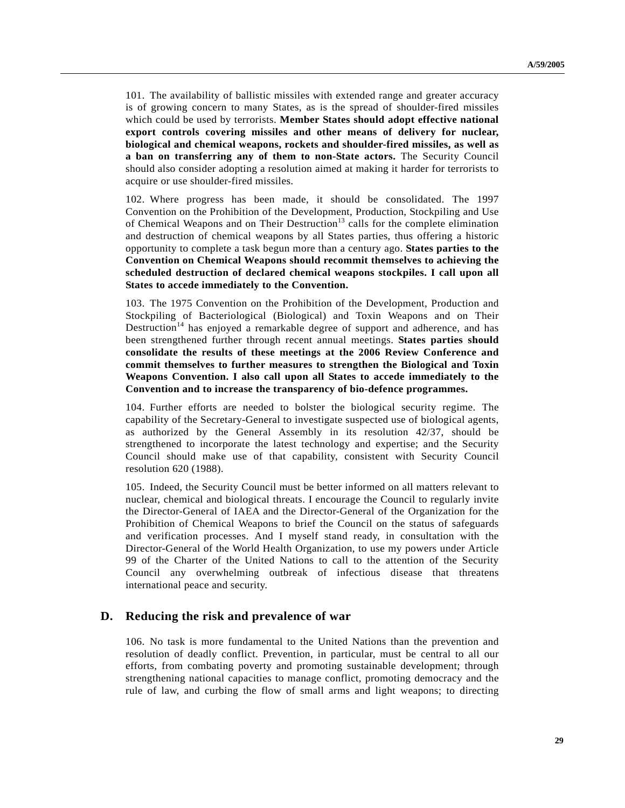101. The availability of ballistic missiles with extended range and greater accuracy is of growing concern to many States, as is the spread of shoulder-fired missiles which could be used by terrorists. **Member States should adopt effective national export controls covering missiles and other means of delivery for nuclear, biological and chemical weapons, rockets and shoulder-fired missiles, as well as a ban on transferring any of them to non-State actors.** The Security Council should also consider adopting a resolution aimed at making it harder for terrorists to acquire or use shoulder-fired missiles.

102. Where progress has been made, it should be consolidated. The 1997 Convention on the Prohibition of the Development, Production, Stockpiling and Use of Chemical Weapons and on Their Destruction<sup>13</sup> calls for the complete elimination and destruction of chemical weapons by all States parties, thus offering a historic opportunity to complete a task begun more than a century ago. **States parties to the Convention on Chemical Weapons should recommit themselves to achieving the scheduled destruction of declared chemical weapons stockpiles. I call upon all States to accede immediately to the Convention.**

103. The 1975 Convention on the Prohibition of the Development, Production and Stockpiling of Bacteriological (Biological) and Toxin Weapons and on Their Destruction<sup>14</sup> has enjoyed a remarkable degree of support and adherence, and has been strengthened further through recent annual meetings. **States parties should consolidate the results of these meetings at the 2006 Review Conference and commit themselves to further measures to strengthen the Biological and Toxin Weapons Convention. I also call upon all States to accede immediately to the Convention and to increase the transparency of bio-defence programmes.**

104. Further efforts are needed to bolster the biological security regime. The capability of the Secretary-General to investigate suspected use of biological agents, as authorized by the General Assembly in its resolution 42/37, should be strengthened to incorporate the latest technology and expertise; and the Security Council should make use of that capability, consistent with Security Council resolution 620 (1988).

105. Indeed, the Security Council must be better informed on all matters relevant to nuclear, chemical and biological threats. I encourage the Council to regularly invite the Director-General of IAEA and the Director-General of the Organization for the Prohibition of Chemical Weapons to brief the Council on the status of safeguards and verification processes. And I myself stand ready, in consultation with the Director-General of the World Health Organization, to use my powers under Article 99 of the Charter of the United Nations to call to the attention of the Security Council any overwhelming outbreak of infectious disease that threatens international peace and security.

### **D. Reducing the risk and prevalence of war**

106. No task is more fundamental to the United Nations than the prevention and resolution of deadly conflict. Prevention, in particular, must be central to all our efforts, from combating poverty and promoting sustainable development; through strengthening national capacities to manage conflict, promoting democracy and the rule of law, and curbing the flow of small arms and light weapons; to directing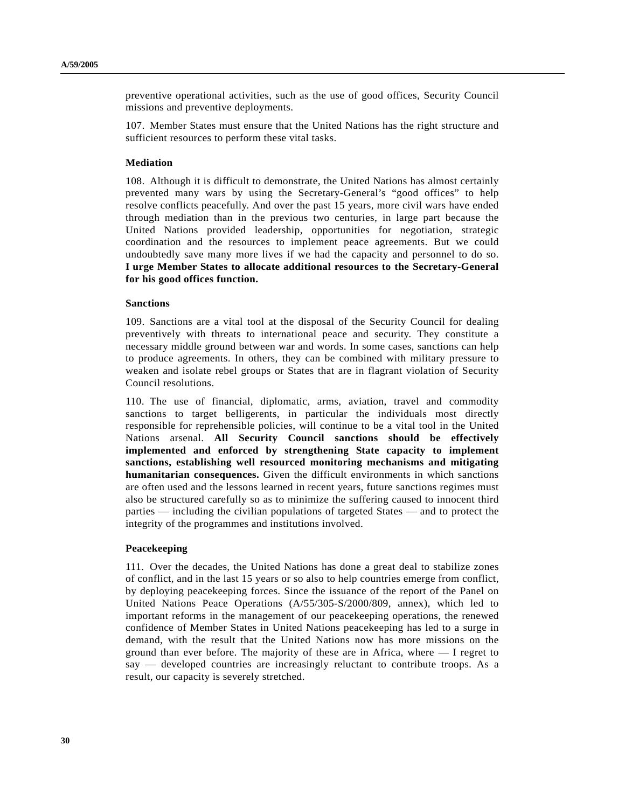preventive operational activities, such as the use of good offices, Security Council missions and preventive deployments.

107. Member States must ensure that the United Nations has the right structure and sufficient resources to perform these vital tasks.

### **Mediation**

108. Although it is difficult to demonstrate, the United Nations has almost certainly prevented many wars by using the Secretary-General's "good offices" to help resolve conflicts peacefully. And over the past 15 years, more civil wars have ended through mediation than in the previous two centuries, in large part because the United Nations provided leadership, opportunities for negotiation, strategic coordination and the resources to implement peace agreements. But we could undoubtedly save many more lives if we had the capacity and personnel to do so. **I urge Member States to allocate additional resources to the Secretary-General for his good offices function.**

#### **Sanctions**

109. Sanctions are a vital tool at the disposal of the Security Council for dealing preventively with threats to international peace and security. They constitute a necessary middle ground between war and words. In some cases, sanctions can help to produce agreements. In others, they can be combined with military pressure to weaken and isolate rebel groups or States that are in flagrant violation of Security Council resolutions.

110. The use of financial, diplomatic, arms, aviation, travel and commodity sanctions to target belligerents, in particular the individuals most directly responsible for reprehensible policies, will continue to be a vital tool in the United Nations arsenal. **All Security Council sanctions should be effectively implemented and enforced by strengthening State capacity to implement sanctions, establishing well resourced monitoring mechanisms and mitigating humanitarian consequences.** Given the difficult environments in which sanctions are often used and the lessons learned in recent years, future sanctions regimes must also be structured carefully so as to minimize the suffering caused to innocent third parties — including the civilian populations of targeted States — and to protect the integrity of the programmes and institutions involved.

#### **Peacekeeping**

111. Over the decades, the United Nations has done a great deal to stabilize zones of conflict, and in the last 15 years or so also to help countries emerge from conflict, by deploying peacekeeping forces. Since the issuance of the report of the Panel on United Nations Peace Operations (A/55/305-S/2000/809, annex), which led to important reforms in the management of our peacekeeping operations, the renewed confidence of Member States in United Nations peacekeeping has led to a surge in demand, with the result that the United Nations now has more missions on the ground than ever before. The majority of these are in Africa, where — I regret to say — developed countries are increasingly reluctant to contribute troops. As a result, our capacity is severely stretched.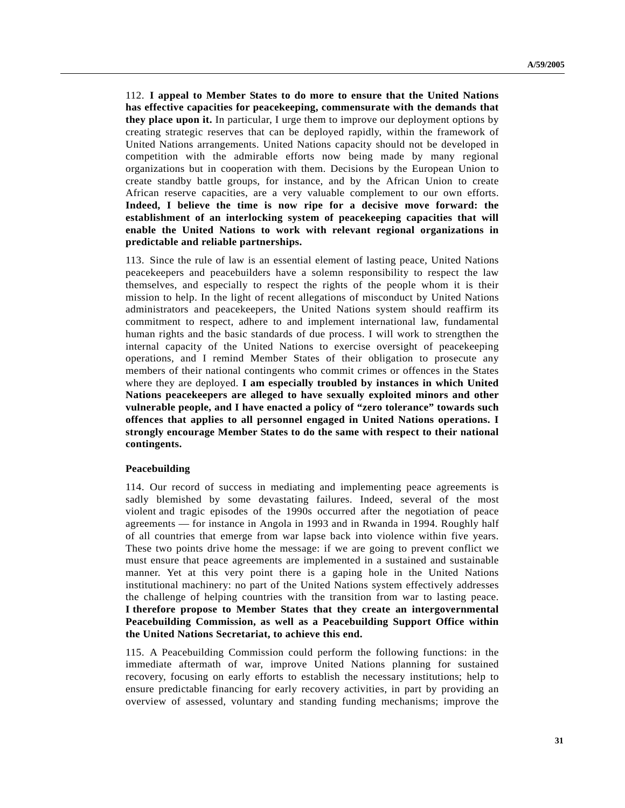112. **I appeal to Member States to do more to ensure that the United Nations has effective capacities for peacekeeping, commensurate with the demands that they place upon it.** In particular, I urge them to improve our deployment options by creating strategic reserves that can be deployed rapidly, within the framework of United Nations arrangements. United Nations capacity should not be developed in competition with the admirable efforts now being made by many regional organizations but in cooperation with them. Decisions by the European Union to create standby battle groups, for instance, and by the African Union to create African reserve capacities, are a very valuable complement to our own efforts. **Indeed, I believe the time is now ripe for a decisive move forward: the establishment of an interlocking system of peacekeeping capacities that will enable the United Nations to work with relevant regional organizations in predictable and reliable partnerships.**

113. Since the rule of law is an essential element of lasting peace, United Nations peacekeepers and peacebuilders have a solemn responsibility to respect the law themselves, and especially to respect the rights of the people whom it is their mission to help. In the light of recent allegations of misconduct by United Nations administrators and peacekeepers, the United Nations system should reaffirm its commitment to respect, adhere to and implement international law, fundamental human rights and the basic standards of due process. I will work to strengthen the internal capacity of the United Nations to exercise oversight of peacekeeping operations, and I remind Member States of their obligation to prosecute any members of their national contingents who commit crimes or offences in the States where they are deployed. **I am especially troubled by instances in which United Nations peacekeepers are alleged to have sexually exploited minors and other vulnerable people, and I have enacted a policy of "zero tolerance" towards such offences that applies to all personnel engaged in United Nations operations. I strongly encourage Member States to do the same with respect to their national contingents.**

#### **Peacebuilding**

114. Our record of success in mediating and implementing peace agreements is sadly blemished by some devastating failures. Indeed, several of the most violent and tragic episodes of the 1990s occurred after the negotiation of peace agreements — for instance in Angola in 1993 and in Rwanda in 1994. Roughly half of all countries that emerge from war lapse back into violence within five years. These two points drive home the message: if we are going to prevent conflict we must ensure that peace agreements are implemented in a sustained and sustainable manner. Yet at this very point there is a gaping hole in the United Nations institutional machinery: no part of the United Nations system effectively addresses the challenge of helping countries with the transition from war to lasting peace. **I therefore propose to Member States that they create an intergovernmental Peacebuilding Commission, as well as a Peacebuilding Support Office within the United Nations Secretariat, to achieve this end.**

115. A Peacebuilding Commission could perform the following functions: in the immediate aftermath of war, improve United Nations planning for sustained recovery, focusing on early efforts to establish the necessary institutions; help to ensure predictable financing for early recovery activities, in part by providing an overview of assessed, voluntary and standing funding mechanisms; improve the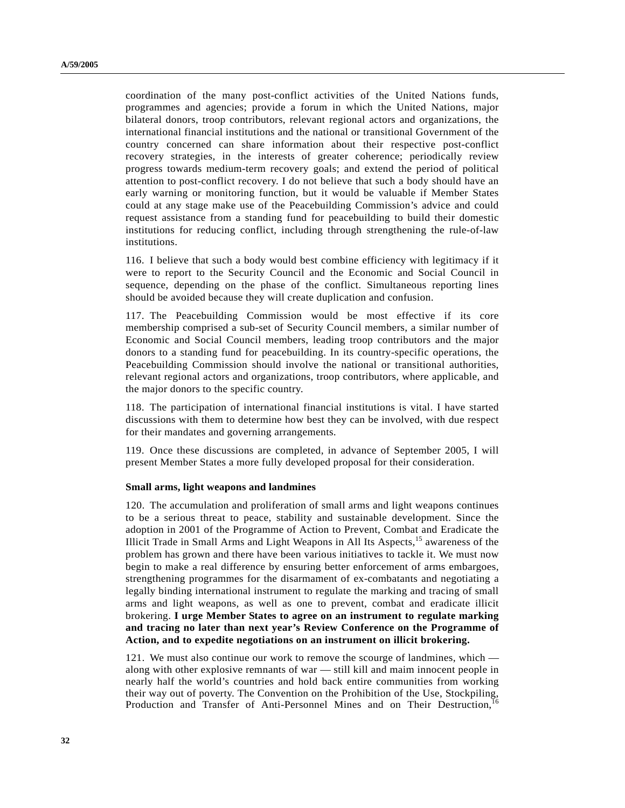coordination of the many post-conflict activities of the United Nations funds, programmes and agencies; provide a forum in which the United Nations, major bilateral donors, troop contributors, relevant regional actors and organizations, the international financial institutions and the national or transitional Government of the country concerned can share information about their respective post-conflict recovery strategies, in the interests of greater coherence; periodically review progress towards medium-term recovery goals; and extend the period of political attention to post-conflict recovery. I do not believe that such a body should have an early warning or monitoring function, but it would be valuable if Member States could at any stage make use of the Peacebuilding Commission's advice and could request assistance from a standing fund for peacebuilding to build their domestic institutions for reducing conflict, including through strengthening the rule-of-law institutions.

116. I believe that such a body would best combine efficiency with legitimacy if it were to report to the Security Council and the Economic and Social Council in sequence, depending on the phase of the conflict. Simultaneous reporting lines should be avoided because they will create duplication and confusion.

117. The Peacebuilding Commission would be most effective if its core membership comprised a sub-set of Security Council members, a similar number of Economic and Social Council members, leading troop contributors and the major donors to a standing fund for peacebuilding. In its country-specific operations, the Peacebuilding Commission should involve the national or transitional authorities, relevant regional actors and organizations, troop contributors, where applicable, and the major donors to the specific country.

118. The participation of international financial institutions is vital. I have started discussions with them to determine how best they can be involved, with due respect for their mandates and governing arrangements.

119. Once these discussions are completed, in advance of September 2005, I will present Member States a more fully developed proposal for their consideration.

#### **Small arms, light weapons and landmines**

120. The accumulation and proliferation of small arms and light weapons continues to be a serious threat to peace, stability and sustainable development. Since the adoption in 2001 of the Programme of Action to Prevent, Combat and Eradicate the Illicit Trade in Small Arms and Light Weapons in All Its Aspects, $15$  awareness of the problem has grown and there have been various initiatives to tackle it. We must now begin to make a real difference by ensuring better enforcement of arms embargoes, strengthening programmes for the disarmament of ex-combatants and negotiating a legally binding international instrument to regulate the marking and tracing of small arms and light weapons, as well as one to prevent, combat and eradicate illicit brokering. **I urge Member States to agree on an instrument to regulate marking and tracing no later than next year's Review Conference on the Programme of Action, and to expedite negotiations on an instrument on illicit brokering.**

121. We must also continue our work to remove the scourge of landmines, which along with other explosive remnants of war — still kill and maim innocent people in nearly half the world's countries and hold back entire communities from working their way out of poverty. The Convention on the Prohibition of the Use, Stockpiling, Production and Transfer of Anti-Personnel Mines and on Their Destruction,<sup>1</sup>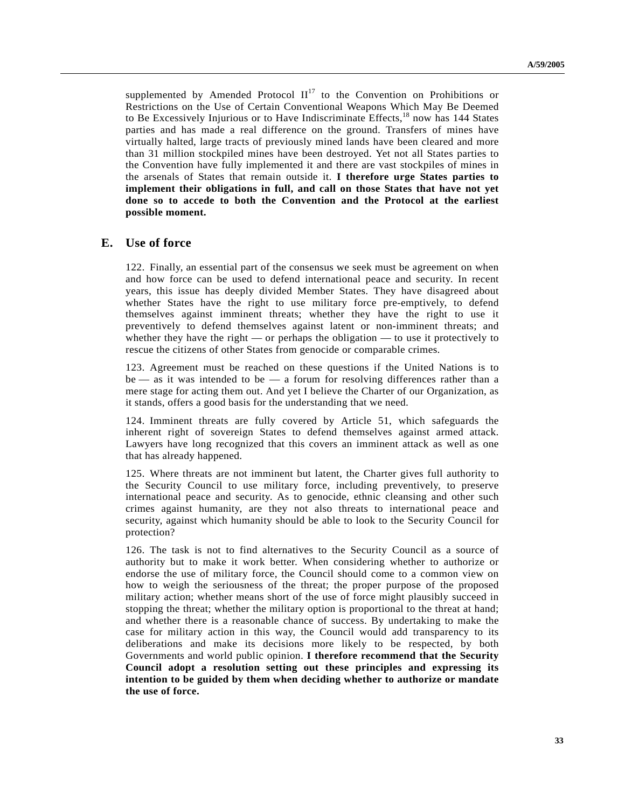supplemented by Amended Protocol  $II^{17}$  to the Convention on Prohibitions or Restrictions on the Use of Certain Conventional Weapons Which May Be Deemed to Be Excessively Injurious or to Have Indiscriminate Effects,<sup>18</sup> now has 144 States parties and has made a real difference on the ground. Transfers of mines have virtually halted, large tracts of previously mined lands have been cleared and more than 31 million stockpiled mines have been destroyed. Yet not all States parties to the Convention have fully implemented it and there are vast stockpiles of mines in the arsenals of States that remain outside it. **I therefore urge States parties to implement their obligations in full, and call on those States that have not yet done so to accede to both the Convention and the Protocol at the earliest possible moment.**

### **E. Use of force**

122. Finally, an essential part of the consensus we seek must be agreement on when and how force can be used to defend international peace and security. In recent years, this issue has deeply divided Member States. They have disagreed about whether States have the right to use military force pre-emptively, to defend themselves against imminent threats; whether they have the right to use it preventively to defend themselves against latent or non-imminent threats; and whether they have the right — or perhaps the obligation — to use it protectively to rescue the citizens of other States from genocide or comparable crimes.

123. Agreement must be reached on these questions if the United Nations is to be — as it was intended to be — a forum for resolving differences rather than a mere stage for acting them out. And yet I believe the Charter of our Organization, as it stands, offers a good basis for the understanding that we need.

124. Imminent threats are fully covered by Article 51, which safeguards the inherent right of sovereign States to defend themselves against armed attack. Lawyers have long recognized that this covers an imminent attack as well as one that has already happened.

125. Where threats are not imminent but latent, the Charter gives full authority to the Security Council to use military force, including preventively, to preserve international peace and security. As to genocide, ethnic cleansing and other such crimes against humanity, are they not also threats to international peace and security, against which humanity should be able to look to the Security Council for protection?

126. The task is not to find alternatives to the Security Council as a source of authority but to make it work better. When considering whether to authorize or endorse the use of military force, the Council should come to a common view on how to weigh the seriousness of the threat; the proper purpose of the proposed military action; whether means short of the use of force might plausibly succeed in stopping the threat; whether the military option is proportional to the threat at hand; and whether there is a reasonable chance of success. By undertaking to make the case for military action in this way, the Council would add transparency to its deliberations and make its decisions more likely to be respected, by both Governments and world public opinion. **I therefore recommend that the Security Council adopt a resolution setting out these principles and expressing its intention to be guided by them when deciding whether to authorize or mandate the use of force.**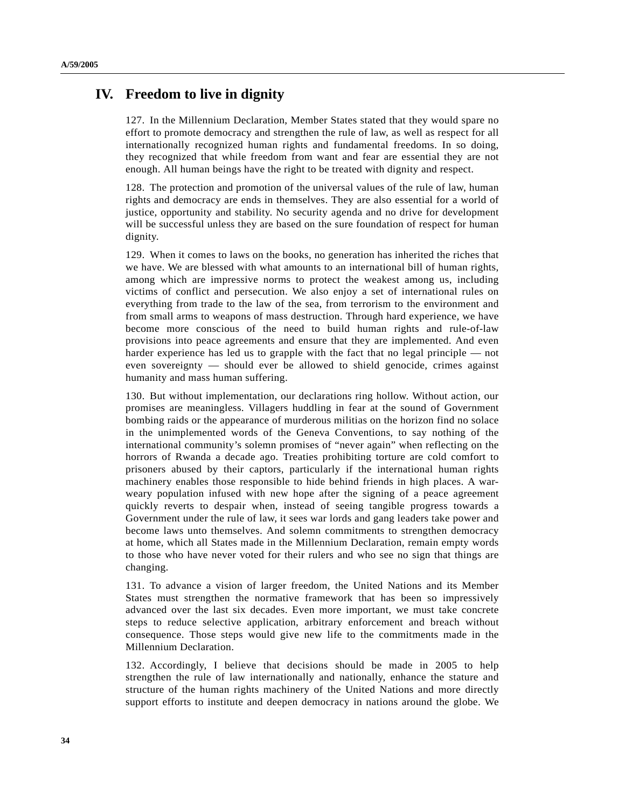# **IV. Freedom to live in dignity**

127. In the Millennium Declaration, Member States stated that they would spare no effort to promote democracy and strengthen the rule of law, as well as respect for all internationally recognized human rights and fundamental freedoms. In so doing, they recognized that while freedom from want and fear are essential they are not enough. All human beings have the right to be treated with dignity and respect.

128. The protection and promotion of the universal values of the rule of law, human rights and democracy are ends in themselves. They are also essential for a world of justice, opportunity and stability. No security agenda and no drive for development will be successful unless they are based on the sure foundation of respect for human dignity.

129. When it comes to laws on the books, no generation has inherited the riches that we have. We are blessed with what amounts to an international bill of human rights, among which are impressive norms to protect the weakest among us, including victims of conflict and persecution. We also enjoy a set of international rules on everything from trade to the law of the sea, from terrorism to the environment and from small arms to weapons of mass destruction. Through hard experience, we have become more conscious of the need to build human rights and rule-of-law provisions into peace agreements and ensure that they are implemented. And even harder experience has led us to grapple with the fact that no legal principle — not even sovereignty — should ever be allowed to shield genocide, crimes against humanity and mass human suffering.

130. But without implementation, our declarations ring hollow. Without action, our promises are meaningless. Villagers huddling in fear at the sound of Government bombing raids or the appearance of murderous militias on the horizon find no solace in the unimplemented words of the Geneva Conventions, to say nothing of the international community's solemn promises of "never again" when reflecting on the horrors of Rwanda a decade ago. Treaties prohibiting torture are cold comfort to prisoners abused by their captors, particularly if the international human rights machinery enables those responsible to hide behind friends in high places. A warweary population infused with new hope after the signing of a peace agreement quickly reverts to despair when, instead of seeing tangible progress towards a Government under the rule of law, it sees war lords and gang leaders take power and become laws unto themselves. And solemn commitments to strengthen democracy at home, which all States made in the Millennium Declaration, remain empty words to those who have never voted for their rulers and who see no sign that things are changing.

131. To advance a vision of larger freedom, the United Nations and its Member States must strengthen the normative framework that has been so impressively advanced over the last six decades. Even more important, we must take concrete steps to reduce selective application, arbitrary enforcement and breach without consequence. Those steps would give new life to the commitments made in the Millennium Declaration.

132. Accordingly, I believe that decisions should be made in 2005 to help strengthen the rule of law internationally and nationally, enhance the stature and structure of the human rights machinery of the United Nations and more directly support efforts to institute and deepen democracy in nations around the globe. We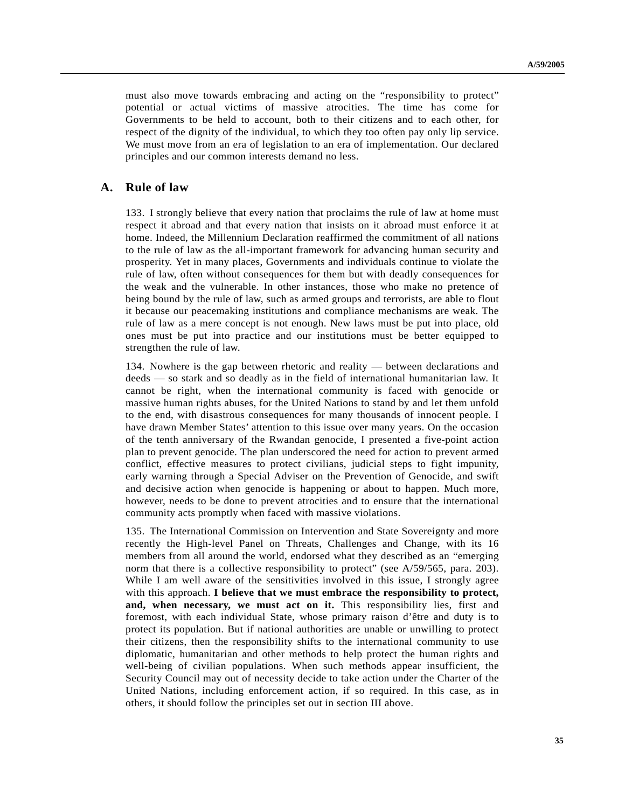must also move towards embracing and acting on the "responsibility to protect" potential or actual victims of massive atrocities. The time has come for Governments to be held to account, both to their citizens and to each other, for respect of the dignity of the individual, to which they too often pay only lip service. We must move from an era of legislation to an era of implementation. Our declared principles and our common interests demand no less.

### **A. Rule of law**

133. I strongly believe that every nation that proclaims the rule of law at home must respect it abroad and that every nation that insists on it abroad must enforce it at home. Indeed, the Millennium Declaration reaffirmed the commitment of all nations to the rule of law as the all-important framework for advancing human security and prosperity. Yet in many places, Governments and individuals continue to violate the rule of law, often without consequences for them but with deadly consequences for the weak and the vulnerable. In other instances, those who make no pretence of being bound by the rule of law, such as armed groups and terrorists, are able to flout it because our peacemaking institutions and compliance mechanisms are weak. The rule of law as a mere concept is not enough. New laws must be put into place, old ones must be put into practice and our institutions must be better equipped to strengthen the rule of law.

134. Nowhere is the gap between rhetoric and reality — between declarations and deeds — so stark and so deadly as in the field of international humanitarian law. It cannot be right, when the international community is faced with genocide or massive human rights abuses, for the United Nations to stand by and let them unfold to the end, with disastrous consequences for many thousands of innocent people. I have drawn Member States' attention to this issue over many years. On the occasion of the tenth anniversary of the Rwandan genocide, I presented a five-point action plan to prevent genocide. The plan underscored the need for action to prevent armed conflict, effective measures to protect civilians, judicial steps to fight impunity, early warning through a Special Adviser on the Prevention of Genocide, and swift and decisive action when genocide is happening or about to happen. Much more, however, needs to be done to prevent atrocities and to ensure that the international community acts promptly when faced with massive violations.

135. The International Commission on Intervention and State Sovereignty and more recently the High-level Panel on Threats, Challenges and Change, with its 16 members from all around the world, endorsed what they described as an "emerging norm that there is a collective responsibility to protect" (see A/59/565, para. 203). While I am well aware of the sensitivities involved in this issue, I strongly agree with this approach. **I believe that we must embrace the responsibility to protect,** and, when necessary, we must act on it. This responsibility lies, first and foremost, with each individual State, whose primary raison d'être and duty is to protect its population. But if national authorities are unable or unwilling to protect their citizens, then the responsibility shifts to the international community to use diplomatic, humanitarian and other methods to help protect the human rights and well-being of civilian populations. When such methods appear insufficient, the Security Council may out of necessity decide to take action under the Charter of the United Nations, including enforcement action, if so required. In this case, as in others, it should follow the principles set out in section III above.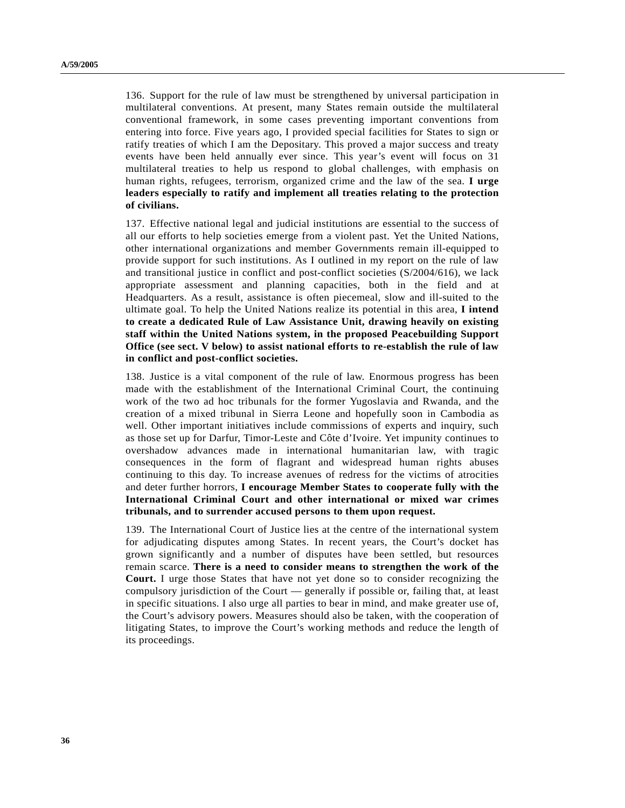136. Support for the rule of law must be strengthened by universal participation in multilateral conventions. At present, many States remain outside the multilateral conventional framework, in some cases preventing important conventions from entering into force. Five years ago, I provided special facilities for States to sign or ratify treaties of which I am the Depositary. This proved a major success and treaty events have been held annually ever since. This year's event will focus on 31 multilateral treaties to help us respond to global challenges, with emphasis on human rights, refugees, terrorism, organized crime and the law of the sea. **I urge leaders especially to ratify and implement all treaties relating to the protection of civilians.**

137. Effective national legal and judicial institutions are essential to the success of all our efforts to help societies emerge from a violent past. Yet the United Nations, other international organizations and member Governments remain ill-equipped to provide support for such institutions. As I outlined in my report on the rule of law and transitional justice in conflict and post-conflict societies (S/2004/616), we lack appropriate assessment and planning capacities, both in the field and at Headquarters. As a result, assistance is often piecemeal, slow and ill-suited to the ultimate goal. To help the United Nations realize its potential in this area, **I intend to create a dedicated Rule of Law Assistance Unit, drawing heavily on existing staff within the United Nations system, in the proposed Peacebuilding Support Office (see sect. V below) to assist national efforts to re-establish the rule of law in conflict and post-conflict societies.**

138. Justice is a vital component of the rule of law. Enormous progress has been made with the establishment of the International Criminal Court, the continuing work of the two ad hoc tribunals for the former Yugoslavia and Rwanda, and the creation of a mixed tribunal in Sierra Leone and hopefully soon in Cambodia as well. Other important initiatives include commissions of experts and inquiry, such as those set up for Darfur, Timor-Leste and Côte d'Ivoire. Yet impunity continues to overshadow advances made in international humanitarian law, with tragic consequences in the form of flagrant and widespread human rights abuses continuing to this day. To increase avenues of redress for the victims of atrocities and deter further horrors, **I encourage Member States to cooperate fully with the International Criminal Court and other international or mixed war crimes tribunals, and to surrender accused persons to them upon request.**

139. The International Court of Justice lies at the centre of the international system for adjudicating disputes among States. In recent years, the Court's docket has grown significantly and a number of disputes have been settled, but resources remain scarce. **There is a need to consider means to strengthen the work of the Court.** I urge those States that have not yet done so to consider recognizing the compulsory jurisdiction of the Court — generally if possible or, failing that, at least in specific situations. I also urge all parties to bear in mind, and make greater use of, the Court's advisory powers. Measures should also be taken, with the cooperation of litigating States, to improve the Court's working methods and reduce the length of its proceedings.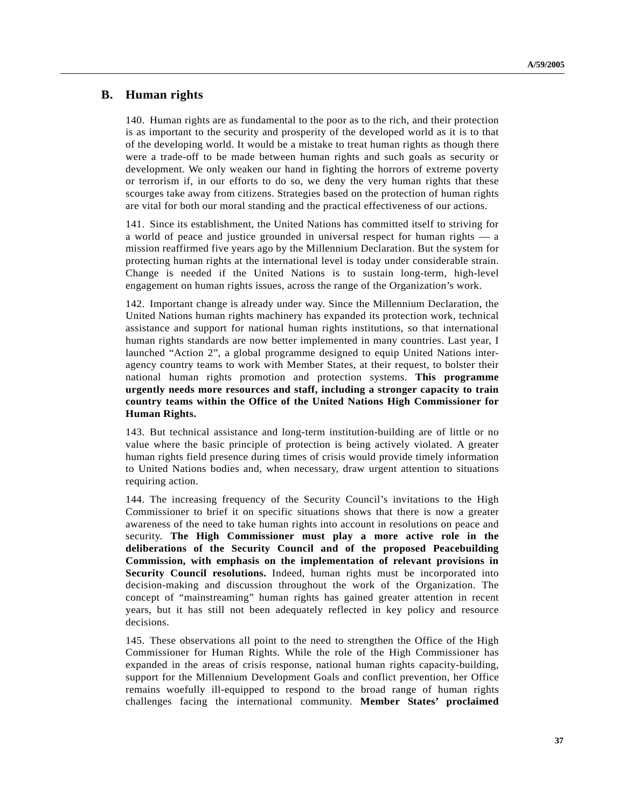### **B. Human rights**

140. Human rights are as fundamental to the poor as to the rich, and their protection is as important to the security and prosperity of the developed world as it is to that of the developing world. It would be a mistake to treat human rights as though there were a trade-off to be made between human rights and such goals as security or development. We only weaken our hand in fighting the horrors of extreme poverty or terrorism if, in our efforts to do so, we deny the very human rights that these scourges take away from citizens. Strategies based on the protection of human rights are vital for both our moral standing and the practical effectiveness of our actions.

141. Since its establishment, the United Nations has committed itself to striving for a world of peace and justice grounded in universal respect for human rights — a mission reaffirmed five years ago by the Millennium Declaration. But the system for protecting human rights at the international level is today under considerable strain. Change is needed if the United Nations is to sustain long-term, high-level engagement on human rights issues, across the range of the Organization's work.

142. Important change is already under way. Since the Millennium Declaration, the United Nations human rights machinery has expanded its protection work, technical assistance and support for national human rights institutions, so that international human rights standards are now better implemented in many countries. Last year, I launched "Action 2", a global programme designed to equip United Nations interagency country teams to work with Member States, at their request, to bolster their national human rights promotion and protection systems. **This programme urgently needs more resources and staff, including a stronger capacity to train country teams within the Office of the United Nations High Commissioner for Human Rights.**

143. But technical assistance and long-term institution-building are of little or no value where the basic principle of protection is being actively violated. A greater human rights field presence during times of crisis would provide timely information to United Nations bodies and, when necessary, draw urgent attention to situations requiring action.

144. The increasing frequency of the Security Council's invitations to the High Commissioner to brief it on specific situations shows that there is now a greater awareness of the need to take human rights into account in resolutions on peace and security. **The High Commissioner must play a more active role in the deliberations of the Security Council and of the proposed Peacebuilding Commission, with emphasis on the implementation of relevant provisions in Security Council resolutions.** Indeed, human rights must be incorporated into decision-making and discussion throughout the work of the Organization. The concept of "mainstreaming" human rights has gained greater attention in recent years, but it has still not been adequately reflected in key policy and resource decisions.

145. These observations all point to the need to strengthen the Office of the High Commissioner for Human Rights. While the role of the High Commissioner has expanded in the areas of crisis response, national human rights capacity-building, support for the Millennium Development Goals and conflict prevention, her Office remains woefully ill-equipped to respond to the broad range of human rights challenges facing the international community. **Member States' proclaimed**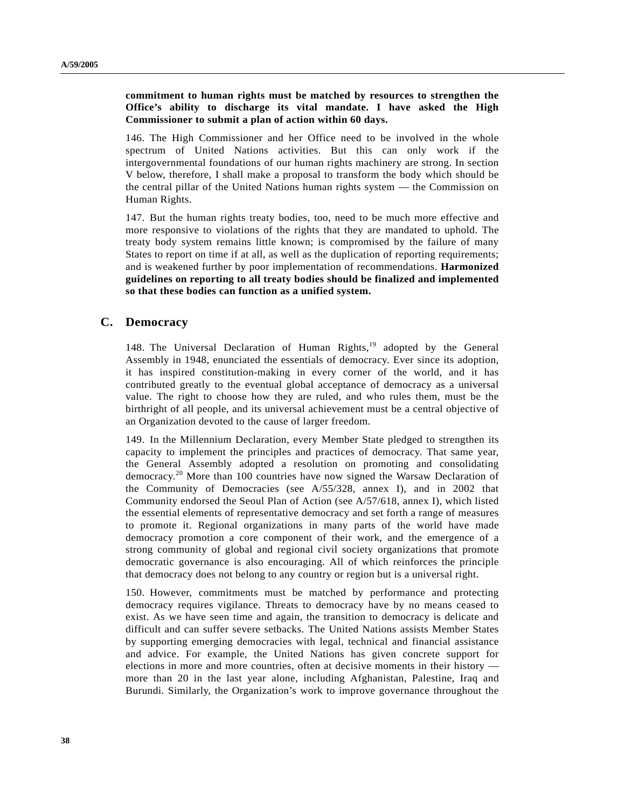### **commitment to human rights must be matched by resources to strengthen the Office's ability to discharge its vital mandate. I have asked the High Commissioner to submit a plan of action within 60 days.**

146. The High Commissioner and her Office need to be involved in the whole spectrum of United Nations activities. But this can only work if the intergovernmental foundations of our human rights machinery are strong. In section V below, therefore, I shall make a proposal to transform the body which should be the central pillar of the United Nations human rights system — the Commission on Human Rights.

147. But the human rights treaty bodies, too, need to be much more effective and more responsive to violations of the rights that they are mandated to uphold. The treaty body system remains little known; is compromised by the failure of many States to report on time if at all, as well as the duplication of reporting requirements; and is weakened further by poor implementation of recommendations. **Harmonized guidelines on reporting to all treaty bodies should be finalized and implemented so that these bodies can function as a unified system.**

### **C. Democracy**

148. The Universal Declaration of Human Rights, $19$  adopted by the General Assembly in 1948, enunciated the essentials of democracy. Ever since its adoption, it has inspired constitution-making in every corner of the world, and it has contributed greatly to the eventual global acceptance of democracy as a universal value. The right to choose how they are ruled, and who rules them, must be the birthright of all people, and its universal achievement must be a central objective of an Organization devoted to the cause of larger freedom.

149. In the Millennium Declaration, every Member State pledged to strengthen its capacity to implement the principles and practices of democracy. That same year, the General Assembly adopted a resolution on promoting and consolidating democracy.20 More than 100 countries have now signed the Warsaw Declaration of the Community of Democracies (see A/55/328, annex I), and in 2002 that Community endorsed the Seoul Plan of Action (see A/57/618, annex I), which listed the essential elements of representative democracy and set forth a range of measures to promote it. Regional organizations in many parts of the world have made democracy promotion a core component of their work, and the emergence of a strong community of global and regional civil society organizations that promote democratic governance is also encouraging. All of which reinforces the principle that democracy does not belong to any country or region but is a universal right.

150. However, commitments must be matched by performance and protecting democracy requires vigilance. Threats to democracy have by no means ceased to exist. As we have seen time and again, the transition to democracy is delicate and difficult and can suffer severe setbacks. The United Nations assists Member States by supporting emerging democracies with legal, technical and financial assistance and advice. For example, the United Nations has given concrete support for elections in more and more countries, often at decisive moments in their history more than 20 in the last year alone, including Afghanistan, Palestine, Iraq and Burundi. Similarly, the Organization's work to improve governance throughout the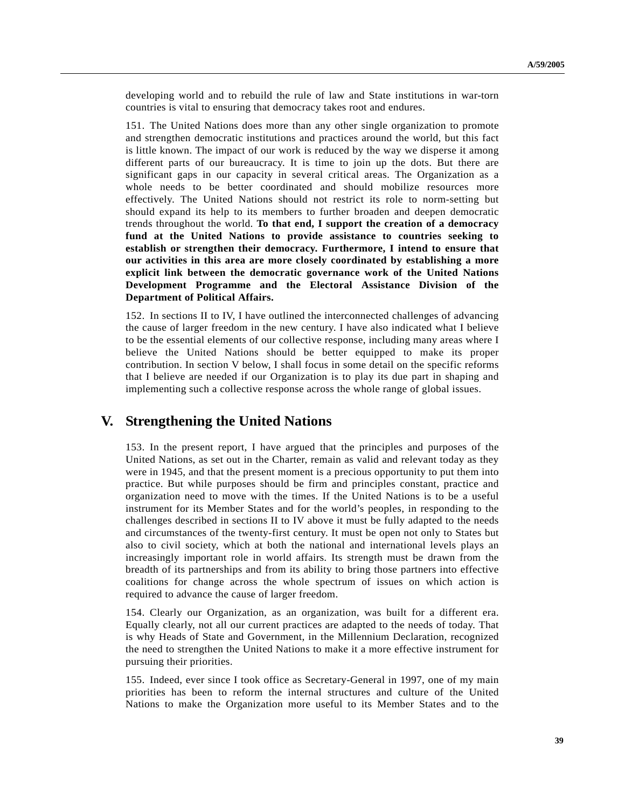developing world and to rebuild the rule of law and State institutions in war-torn countries is vital to ensuring that democracy takes root and endures.

151. The United Nations does more than any other single organization to promote and strengthen democratic institutions and practices around the world, but this fact is little known. The impact of our work is reduced by the way we disperse it among different parts of our bureaucracy. It is time to join up the dots. But there are significant gaps in our capacity in several critical areas. The Organization as a whole needs to be better coordinated and should mobilize resources more effectively. The United Nations should not restrict its role to norm-setting but should expand its help to its members to further broaden and deepen democratic trends throughout the world. **To that end, I support the creation of a democracy fund at the United Nations to provide assistance to countries seeking to establish or strengthen their democracy. Furthermore, I intend to ensure that our activities in this area are more closely coordinated by establishing a more explicit link between the democratic governance work of the United Nations Development Programme and the Electoral Assistance Division of the Department of Political Affairs.**

152. In sections II to IV, I have outlined the interconnected challenges of advancing the cause of larger freedom in the new century. I have also indicated what I believe to be the essential elements of our collective response, including many areas where I believe the United Nations should be better equipped to make its proper contribution. In section V below, I shall focus in some detail on the specific reforms that I believe are needed if our Organization is to play its due part in shaping and implementing such a collective response across the whole range of global issues.

# **V. Strengthening the United Nations**

153. In the present report, I have argued that the principles and purposes of the United Nations, as set out in the Charter, remain as valid and relevant today as they were in 1945, and that the present moment is a precious opportunity to put them into practice. But while purposes should be firm and principles constant, practice and organization need to move with the times. If the United Nations is to be a useful instrument for its Member States and for the world's peoples, in responding to the challenges described in sections II to IV above it must be fully adapted to the needs and circumstances of the twenty-first century. It must be open not only to States but also to civil society, which at both the national and international levels plays an increasingly important role in world affairs. Its strength must be drawn from the breadth of its partnerships and from its ability to bring those partners into effective coalitions for change across the whole spectrum of issues on which action is required to advance the cause of larger freedom.

154. Clearly our Organization, as an organization, was built for a different era. Equally clearly, not all our current practices are adapted to the needs of today. That is why Heads of State and Government, in the Millennium Declaration, recognized the need to strengthen the United Nations to make it a more effective instrument for pursuing their priorities.

155. Indeed, ever since I took office as Secretary-General in 1997, one of my main priorities has been to reform the internal structures and culture of the United Nations to make the Organization more useful to its Member States and to the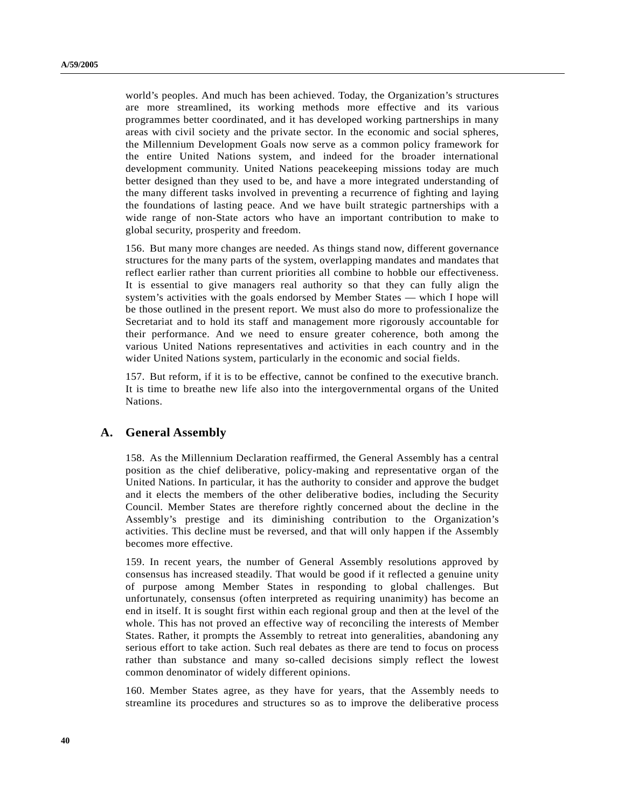world's peoples. And much has been achieved. Today, the Organization's structures are more streamlined, its working methods more effective and its various programmes better coordinated, and it has developed working partnerships in many areas with civil society and the private sector. In the economic and social spheres, the Millennium Development Goals now serve as a common policy framework for the entire United Nations system, and indeed for the broader international development community. United Nations peacekeeping missions today are much better designed than they used to be, and have a more integrated understanding of the many different tasks involved in preventing a recurrence of fighting and laying the foundations of lasting peace. And we have built strategic partnerships with a wide range of non-State actors who have an important contribution to make to global security, prosperity and freedom.

156. But many more changes are needed. As things stand now, different governance structures for the many parts of the system, overlapping mandates and mandates that reflect earlier rather than current priorities all combine to hobble our effectiveness. It is essential to give managers real authority so that they can fully align the system's activities with the goals endorsed by Member States — which I hope will be those outlined in the present report. We must also do more to professionalize the Secretariat and to hold its staff and management more rigorously accountable for their performance. And we need to ensure greater coherence, both among the various United Nations representatives and activities in each country and in the wider United Nations system, particularly in the economic and social fields.

157. But reform, if it is to be effective, cannot be confined to the executive branch. It is time to breathe new life also into the intergovernmental organs of the United Nations.

### **A. General Assembly**

158. As the Millennium Declaration reaffirmed, the General Assembly has a central position as the chief deliberative, policy-making and representative organ of the United Nations. In particular, it has the authority to consider and approve the budget and it elects the members of the other deliberative bodies, including the Security Council. Member States are therefore rightly concerned about the decline in the Assembly's prestige and its diminishing contribution to the Organization's activities. This decline must be reversed, and that will only happen if the Assembly becomes more effective.

159. In recent years, the number of General Assembly resolutions approved by consensus has increased steadily. That would be good if it reflected a genuine unity of purpose among Member States in responding to global challenges. But unfortunately, consensus (often interpreted as requiring unanimity) has become an end in itself. It is sought first within each regional group and then at the level of the whole. This has not proved an effective way of reconciling the interests of Member States. Rather, it prompts the Assembly to retreat into generalities, abandoning any serious effort to take action. Such real debates as there are tend to focus on process rather than substance and many so-called decisions simply reflect the lowest common denominator of widely different opinions.

160. Member States agree, as they have for years, that the Assembly needs to streamline its procedures and structures so as to improve the deliberative process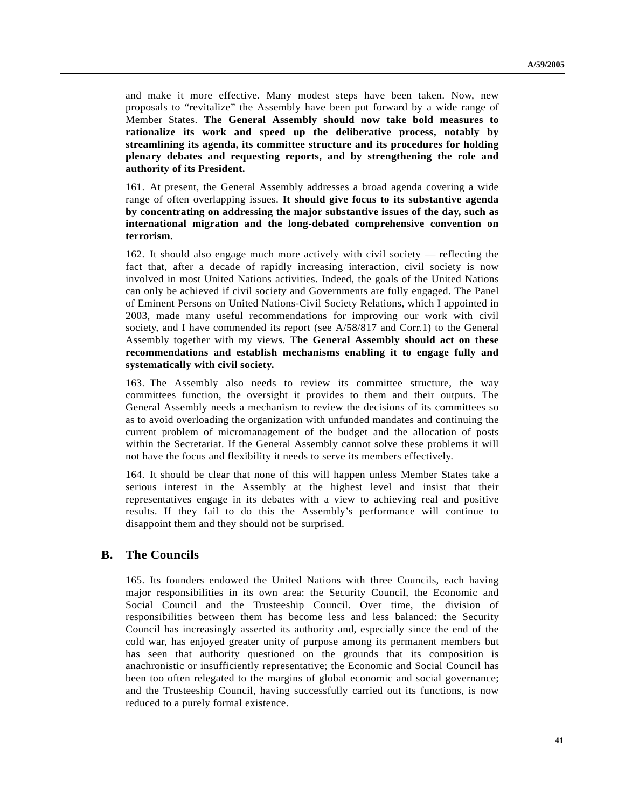and make it more effective. Many modest steps have been taken. Now, new proposals to "revitalize" the Assembly have been put forward by a wide range of Member States. **The General Assembly should now take bold measures to rationalize its work and speed up the deliberative process, notably by streamlining its agenda, its committee structure and its procedures for holding plenary debates and requesting reports, and by strengthening the role and authority of its President.**

161. At present, the General Assembly addresses a broad agenda covering a wide range of often overlapping issues. **It should give focus to its substantive agenda by concentrating on addressing the major substantive issues of the day, such as international migration and the long-debated comprehensive convention on terrorism.**

162. It should also engage much more actively with civil society — reflecting the fact that, after a decade of rapidly increasing interaction, civil society is now involved in most United Nations activities. Indeed, the goals of the United Nations can only be achieved if civil society and Governments are fully engaged. The Panel of Eminent Persons on United Nations-Civil Society Relations, which I appointed in 2003, made many useful recommendations for improving our work with civil society, and I have commended its report (see A/58/817 and Corr.1) to the General Assembly together with my views. **The General Assembly should act on these recommendations and establish mechanisms enabling it to engage fully and systematically with civil society.**

163. The Assembly also needs to review its committee structure, the way committees function, the oversight it provides to them and their outputs. The General Assembly needs a mechanism to review the decisions of its committees so as to avoid overloading the organization with unfunded mandates and continuing the current problem of micromanagement of the budget and the allocation of posts within the Secretariat. If the General Assembly cannot solve these problems it will not have the focus and flexibility it needs to serve its members effectively.

164. It should be clear that none of this will happen unless Member States take a serious interest in the Assembly at the highest level and insist that their representatives engage in its debates with a view to achieving real and positive results. If they fail to do this the Assembly's performance will continue to disappoint them and they should not be surprised.

### **B. The Councils**

165. Its founders endowed the United Nations with three Councils, each having major responsibilities in its own area: the Security Council, the Economic and Social Council and the Trusteeship Council. Over time, the division of responsibilities between them has become less and less balanced: the Security Council has increasingly asserted its authority and, especially since the end of the cold war, has enjoyed greater unity of purpose among its permanent members but has seen that authority questioned on the grounds that its composition is anachronistic or insufficiently representative; the Economic and Social Council has been too often relegated to the margins of global economic and social governance; and the Trusteeship Council, having successfully carried out its functions, is now reduced to a purely formal existence.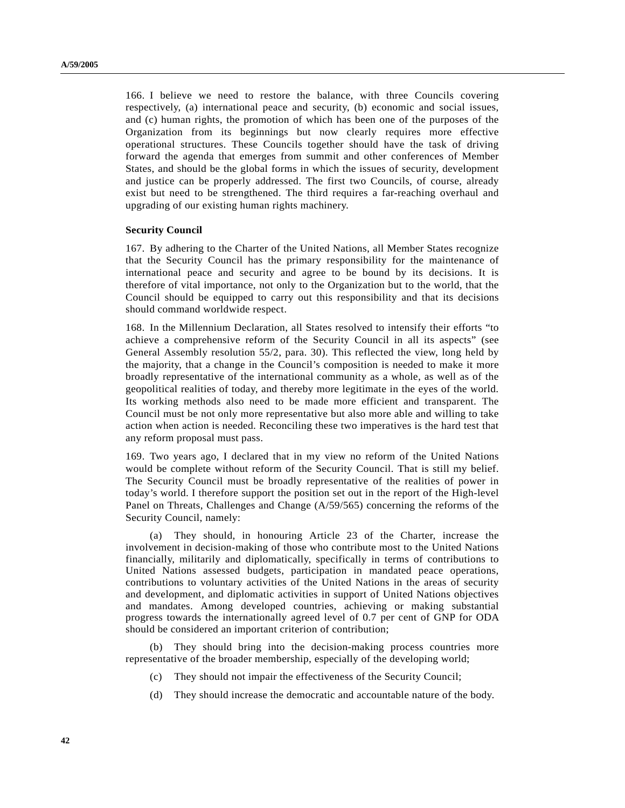166. I believe we need to restore the balance, with three Councils covering respectively, (a) international peace and security, (b) economic and social issues, and (c) human rights, the promotion of which has been one of the purposes of the Organization from its beginnings but now clearly requires more effective operational structures. These Councils together should have the task of driving forward the agenda that emerges from summit and other conferences of Member States, and should be the global forms in which the issues of security, development and justice can be properly addressed. The first two Councils, of course, already exist but need to be strengthened. The third requires a far-reaching overhaul and upgrading of our existing human rights machinery.

#### **Security Council**

167. By adhering to the Charter of the United Nations, all Member States recognize that the Security Council has the primary responsibility for the maintenance of international peace and security and agree to be bound by its decisions. It is therefore of vital importance, not only to the Organization but to the world, that the Council should be equipped to carry out this responsibility and that its decisions should command worldwide respect.

168. In the Millennium Declaration, all States resolved to intensify their efforts "to achieve a comprehensive reform of the Security Council in all its aspects" (see General Assembly resolution 55/2, para. 30). This reflected the view, long held by the majority, that a change in the Council's composition is needed to make it more broadly representative of the international community as a whole, as well as of the geopolitical realities of today, and thereby more legitimate in the eyes of the world. Its working methods also need to be made more efficient and transparent. The Council must be not only more representative but also more able and willing to take action when action is needed. Reconciling these two imperatives is the hard test that any reform proposal must pass.

169. Two years ago, I declared that in my view no reform of the United Nations would be complete without reform of the Security Council. That is still my belief. The Security Council must be broadly representative of the realities of power in today's world. I therefore support the position set out in the report of the High-level Panel on Threats, Challenges and Change (A/59/565) concerning the reforms of the Security Council, namely:

They should, in honouring Article 23 of the Charter, increase the involvement in decision-making of those who contribute most to the United Nations financially, militarily and diplomatically, specifically in terms of contributions to United Nations assessed budgets, participation in mandated peace operations, contributions to voluntary activities of the United Nations in the areas of security and development, and diplomatic activities in support of United Nations objectives and mandates. Among developed countries, achieving or making substantial progress towards the internationally agreed level of 0.7 per cent of GNP for ODA should be considered an important criterion of contribution;

(b) They should bring into the decision-making process countries more representative of the broader membership, especially of the developing world;

- (c) They should not impair the effectiveness of the Security Council;
- (d) They should increase the democratic and accountable nature of the body.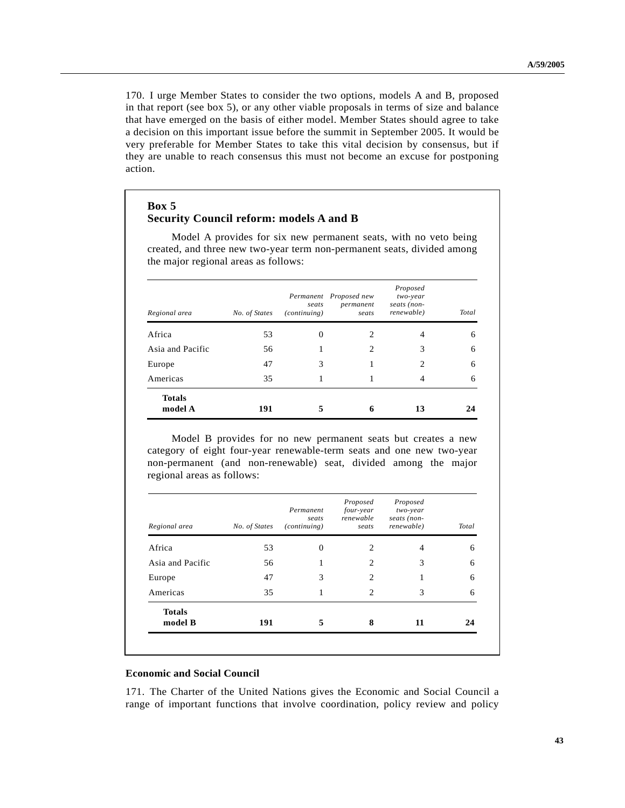170. I urge Member States to consider the two options, models A and B, proposed in that report (see box 5), or any other viable proposals in terms of size and balance that have emerged on the basis of either model. Member States should agree to take a decision on this important issue before the summit in September 2005. It would be very preferable for Member States to take this vital decision by consensus, but if they are unable to reach consensus this must not become an excuse for postponing action.

### **Box 5**

### **Security Council reform: models A and B**

Model A provides for six new permanent seats, with no veto being created, and three new two-year term non-permanent seats, divided among the major regional areas as follows:

| Regional area            | No. of States | seats<br>(continuing) | Permanent Proposed new<br>permanent<br>seats | Proposed<br>two-year<br>seats (non-<br>renewable) | Total |
|--------------------------|---------------|-----------------------|----------------------------------------------|---------------------------------------------------|-------|
| Africa                   | 53            | $\Omega$              | 2                                            | 4                                                 | 6     |
| Asia and Pacific         | 56            |                       | $\mathfrak{D}$                               | 3                                                 | 6     |
| Europe                   | 47            | 3                     |                                              | $\mathcal{D}_{\mathcal{L}}$                       | 6     |
| Americas                 | 35            |                       | 1                                            | 4                                                 | 6     |
| <b>Totals</b><br>model A | 191           | 5                     | 6                                            | 13                                                |       |

Model B provides for no new permanent seats but creates a new category of eight four-year renewable-term seats and one new two-year non-permanent (and non-renewable) seat, divided among the major regional areas as follows:

| Regional area            | No. of States | Permanent<br>seats<br>(continuing) | Proposed<br>four-year<br>renewable<br>seats | Proposed<br>two-year<br>seats (non-<br>renewable) | Total |
|--------------------------|---------------|------------------------------------|---------------------------------------------|---------------------------------------------------|-------|
| Africa                   | 53            | 0                                  | 2                                           | 4                                                 | 6     |
| Asia and Pacific         | 56            |                                    | $\mathcal{D}_{\mathcal{L}}$                 | 3                                                 | 6     |
| Europe                   | 47            | 3                                  | $\mathcal{D}_{\mathcal{L}}$                 |                                                   | 6     |
| Americas                 | 35            | 1                                  | $\overline{c}$                              | 3                                                 | 6     |
| <b>Totals</b><br>model B | 191           | 5                                  | 8                                           | 11                                                | 24    |

### **Economic and Social Council**

171. The Charter of the United Nations gives the Economic and Social Council a range of important functions that involve coordination, policy review and policy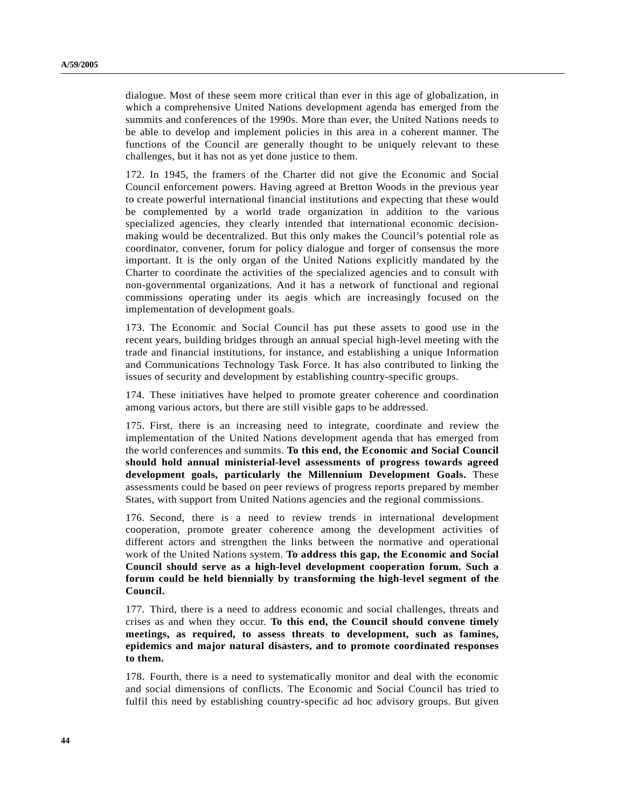dialogue. Most of these seem more critical than ever in this age of globalization, in which a comprehensive United Nations development agenda has emerged from the summits and conferences of the 1990s. More than ever, the United Nations needs to be able to develop and implement policies in this area in a coherent manner. The functions of the Council are generally thought to be uniquely relevant to these challenges, but it has not as yet done justice to them.

172. In 1945, the framers of the Charter did not give the Economic and Social Council enforcement powers. Having agreed at Bretton Woods in the previous year to create powerful international financial institutions and expecting that these would be complemented by a world trade organization in addition to the various specialized agencies, they clearly intended that international economic decisionmaking would be decentralized. But this only makes the Council's potential role as coordinator, convener, forum for policy dialogue and forger of consensus the more important. It is the only organ of the United Nations explicitly mandated by the Charter to coordinate the activities of the specialized agencies and to consult with non-governmental organizations. And it has a network of functional and regional commissions operating under its aegis which are increasingly focused on the implementation of development goals.

173. The Economic and Social Council has put these assets to good use in the recent years, building bridges through an annual special high-level meeting with the trade and financial institutions, for instance, and establishing a unique Information and Communications Technology Task Force. It has also contributed to linking the issues of security and development by establishing country-specific groups.

174. These initiatives have helped to promote greater coherence and coordination among various actors, but there are still visible gaps to be addressed.

175. First, there is an increasing need to integrate, coordinate and review the implementation of the United Nations development agenda that has emerged from the world conferences and summits. **To this end, the Economic and Social Council should hold annual ministerial-level assessments of progress towards agreed development goals, particularly the Millennium Development Goals.** These assessments could be based on peer reviews of progress reports prepared by member States, with support from United Nations agencies and the regional commissions.

176. Second, there is a need to review trends in international development cooperation, promote greater coherence among the development activities of different actors and strengthen the links between the normative and operational work of the United Nations system. **To address this gap, the Economic and Social Council should serve as a high-level development cooperation forum. Such a forum could be held biennially by transforming the high-level segment of the Council.**

177. Third, there is a need to address economic and social challenges, threats and crises as and when they occur. **To this end, the Council should convene timely meetings, as required, to assess threats to development, such as famines, epidemics and major natural disasters, and to promote coordinated responses to them.**

178. Fourth, there is a need to systematically monitor and deal with the economic and social dimensions of conflicts. The Economic and Social Council has tried to fulfil this need by establishing country-specific ad hoc advisory groups. But given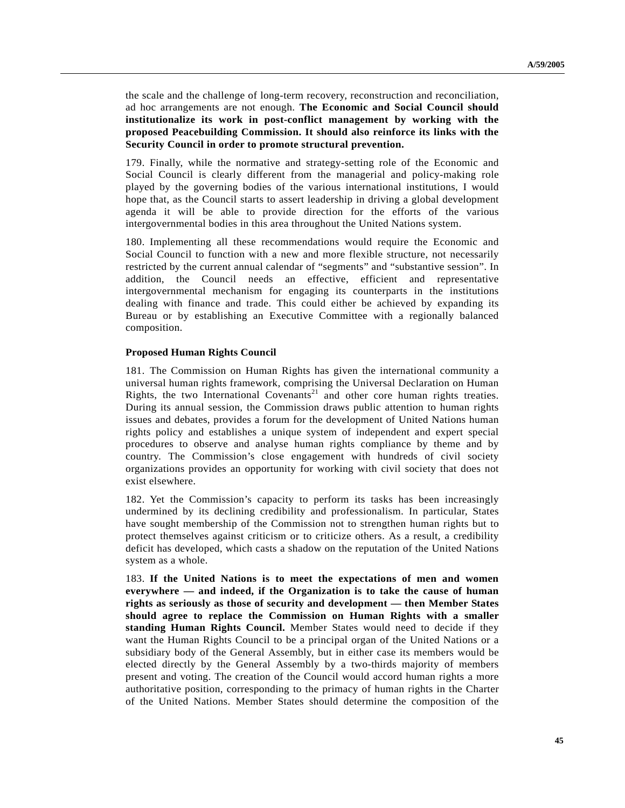the scale and the challenge of long-term recovery, reconstruction and reconciliation, ad hoc arrangements are not enough. **The Economic and Social Council should institutionalize its work in post-conflict management by working with the proposed Peacebuilding Commission. It should also reinforce its links with the Security Council in order to promote structural prevention.**

179. Finally, while the normative and strategy-setting role of the Economic and Social Council is clearly different from the managerial and policy-making role played by the governing bodies of the various international institutions, I would hope that, as the Council starts to assert leadership in driving a global development agenda it will be able to provide direction for the efforts of the various intergovernmental bodies in this area throughout the United Nations system.

180. Implementing all these recommendations would require the Economic and Social Council to function with a new and more flexible structure, not necessarily restricted by the current annual calendar of "segments" and "substantive session". In addition, the Council needs an effective, efficient and representative intergovernmental mechanism for engaging its counterparts in the institutions dealing with finance and trade. This could either be achieved by expanding its Bureau or by establishing an Executive Committee with a regionally balanced composition.

### **Proposed Human Rights Council**

181. The Commission on Human Rights has given the international community a universal human rights framework, comprising the Universal Declaration on Human Rights, the two International Covenants<sup>21</sup> and other core human rights treaties. During its annual session, the Commission draws public attention to human rights issues and debates, provides a forum for the development of United Nations human rights policy and establishes a unique system of independent and expert special procedures to observe and analyse human rights compliance by theme and by country. The Commission's close engagement with hundreds of civil society organizations provides an opportunity for working with civil society that does not exist elsewhere.

182. Yet the Commission's capacity to perform its tasks has been increasingly undermined by its declining credibility and professionalism. In particular, States have sought membership of the Commission not to strengthen human rights but to protect themselves against criticism or to criticize others. As a result, a credibility deficit has developed, which casts a shadow on the reputation of the United Nations system as a whole.

183. **If the United Nations is to meet the expectations of men and women everywhere — and indeed, if the Organization is to take the cause of human rights as seriously as those of security and development — then Member States should agree to replace the Commission on Human Rights with a smaller standing Human Rights Council.** Member States would need to decide if they want the Human Rights Council to be a principal organ of the United Nations or a subsidiary body of the General Assembly, but in either case its members would be elected directly by the General Assembly by a two-thirds majority of members present and voting. The creation of the Council would accord human rights a more authoritative position, corresponding to the primacy of human rights in the Charter of the United Nations. Member States should determine the composition of the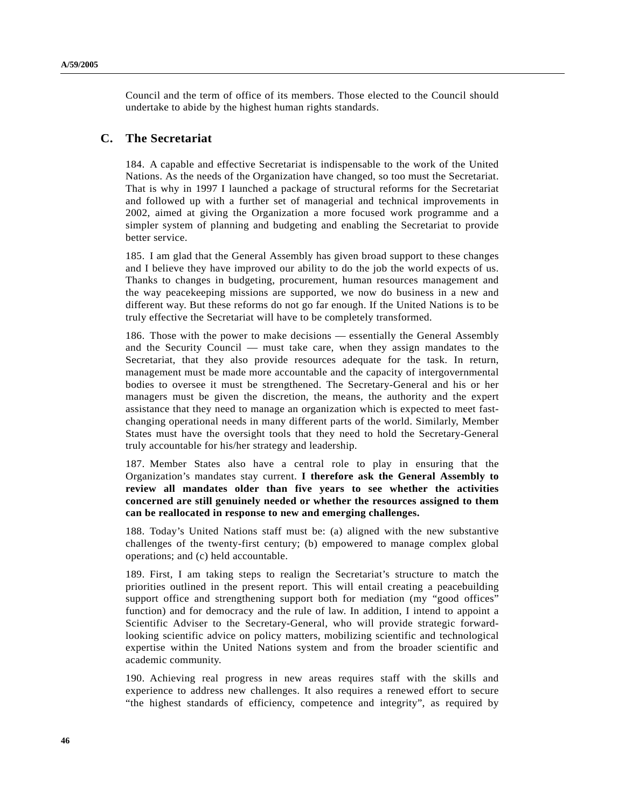Council and the term of office of its members. Those elected to the Council should undertake to abide by the highest human rights standards.

### **C. The Secretariat**

184. A capable and effective Secretariat is indispensable to the work of the United Nations. As the needs of the Organization have changed, so too must the Secretariat. That is why in 1997 I launched a package of structural reforms for the Secretariat and followed up with a further set of managerial and technical improvements in 2002, aimed at giving the Organization a more focused work programme and a simpler system of planning and budgeting and enabling the Secretariat to provide better service.

185. I am glad that the General Assembly has given broad support to these changes and I believe they have improved our ability to do the job the world expects of us. Thanks to changes in budgeting, procurement, human resources management and the way peacekeeping missions are supported, we now do business in a new and different way. But these reforms do not go far enough. If the United Nations is to be truly effective the Secretariat will have to be completely transformed.

186. Those with the power to make decisions — essentially the General Assembly and the Security Council — must take care, when they assign mandates to the Secretariat, that they also provide resources adequate for the task. In return, management must be made more accountable and the capacity of intergovernmental bodies to oversee it must be strengthened. The Secretary-General and his or her managers must be given the discretion, the means, the authority and the expert assistance that they need to manage an organization which is expected to meet fastchanging operational needs in many different parts of the world. Similarly, Member States must have the oversight tools that they need to hold the Secretary-General truly accountable for his/her strategy and leadership.

187. Member States also have a central role to play in ensuring that the Organization's mandates stay current. **I therefore ask the General Assembly to review all mandates older than five years to see whether the activities concerned are still genuinely needed or whether the resources assigned to them can be reallocated in response to new and emerging challenges.**

188. Today's United Nations staff must be: (a) aligned with the new substantive challenges of the twenty-first century; (b) empowered to manage complex global operations; and (c) held accountable.

189. First, I am taking steps to realign the Secretariat's structure to match the priorities outlined in the present report. This will entail creating a peacebuilding support office and strengthening support both for mediation (my "good offices" function) and for democracy and the rule of law. In addition, I intend to appoint a Scientific Adviser to the Secretary-General, who will provide strategic forwardlooking scientific advice on policy matters, mobilizing scientific and technological expertise within the United Nations system and from the broader scientific and academic community.

190. Achieving real progress in new areas requires staff with the skills and experience to address new challenges. It also requires a renewed effort to secure "the highest standards of efficiency, competence and integrity", as required by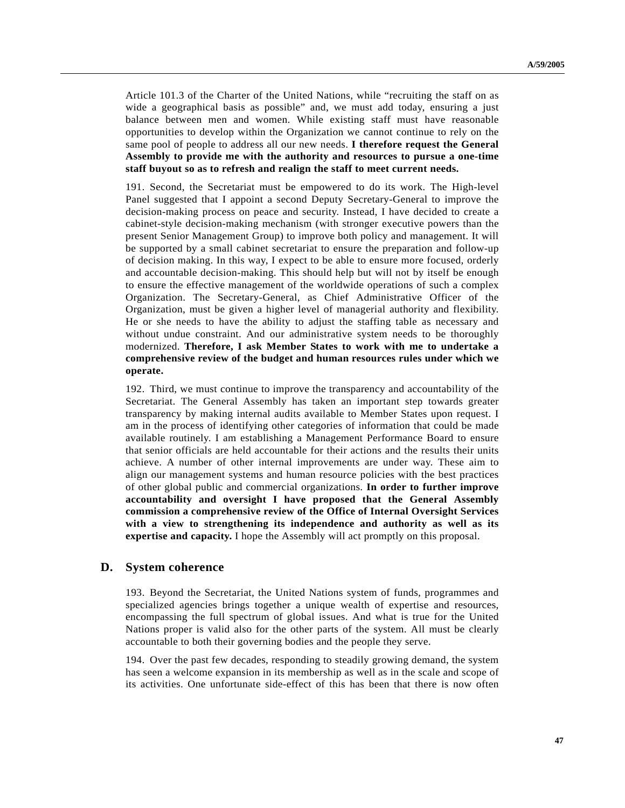Article 101.3 of the Charter of the United Nations, while "recruiting the staff on as wide a geographical basis as possible" and, we must add today, ensuring a just balance between men and women. While existing staff must have reasonable opportunities to develop within the Organization we cannot continue to rely on the same pool of people to address all our new needs. **I therefore request the General Assembly to provide me with the authority and resources to pursue a one-time staff buyout so as to refresh and realign the staff to meet current needs.**

191. Second, the Secretariat must be empowered to do its work. The High-level Panel suggested that I appoint a second Deputy Secretary-General to improve the decision-making process on peace and security. Instead, I have decided to create a cabinet-style decision-making mechanism (with stronger executive powers than the present Senior Management Group) to improve both policy and management. It will be supported by a small cabinet secretariat to ensure the preparation and follow-up of decision making. In this way, I expect to be able to ensure more focused, orderly and accountable decision-making. This should help but will not by itself be enough to ensure the effective management of the worldwide operations of such a complex Organization. The Secretary-General, as Chief Administrative Officer of the Organization, must be given a higher level of managerial authority and flexibility. He or she needs to have the ability to adjust the staffing table as necessary and without undue constraint. And our administrative system needs to be thoroughly modernized. **Therefore, I ask Member States to work with me to undertake a comprehensive review of the budget and human resources rules under which we operate.**

192. Third, we must continue to improve the transparency and accountability of the Secretariat. The General Assembly has taken an important step towards greater transparency by making internal audits available to Member States upon request. I am in the process of identifying other categories of information that could be made available routinely. I am establishing a Management Performance Board to ensure that senior officials are held accountable for their actions and the results their units achieve. A number of other internal improvements are under way. These aim to align our management systems and human resource policies with the best practices of other global public and commercial organizations. **In order to further improve accountability and oversight I have proposed that the General Assembly commission a comprehensive review of the Office of Internal Oversight Services with a view to strengthening its independence and authority as well as its expertise and capacity.** I hope the Assembly will act promptly on this proposal.

### **D. System coherence**

193. Beyond the Secretariat, the United Nations system of funds, programmes and specialized agencies brings together a unique wealth of expertise and resources, encompassing the full spectrum of global issues. And what is true for the United Nations proper is valid also for the other parts of the system. All must be clearly accountable to both their governing bodies and the people they serve.

194. Over the past few decades, responding to steadily growing demand, the system has seen a welcome expansion in its membership as well as in the scale and scope of its activities. One unfortunate side-effect of this has been that there is now often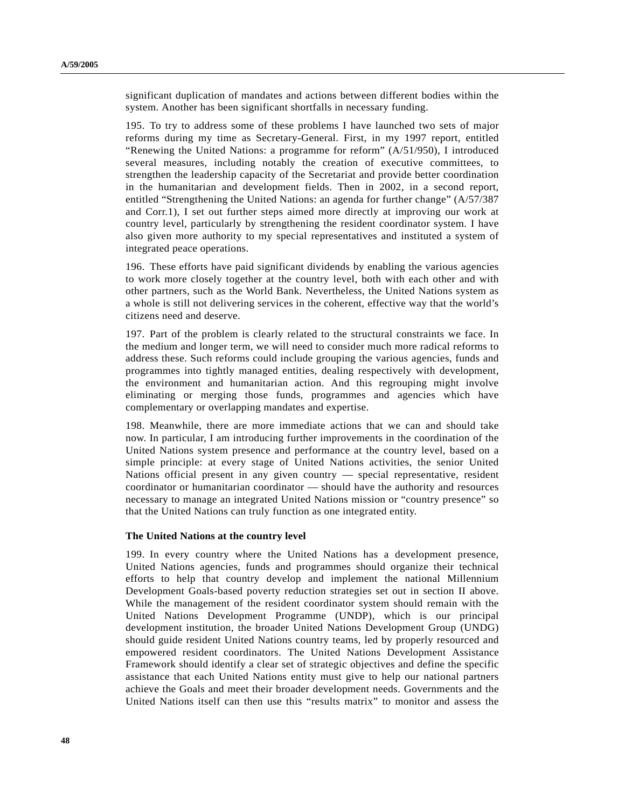significant duplication of mandates and actions between different bodies within the system. Another has been significant shortfalls in necessary funding.

195. To try to address some of these problems I have launched two sets of major reforms during my time as Secretary-General. First, in my 1997 report, entitled "Renewing the United Nations: a programme for reform" (A/51/950), I introduced several measures, including notably the creation of executive committees, to strengthen the leadership capacity of the Secretariat and provide better coordination in the humanitarian and development fields. Then in 2002, in a second report, entitled "Strengthening the United Nations: an agenda for further change" (A/57/387 and Corr.1), I set out further steps aimed more directly at improving our work at country level, particularly by strengthening the resident coordinator system. I have also given more authority to my special representatives and instituted a system of integrated peace operations.

196. These efforts have paid significant dividends by enabling the various agencies to work more closely together at the country level, both with each other and with other partners, such as the World Bank. Nevertheless, the United Nations system as a whole is still not delivering services in the coherent, effective way that the world's citizens need and deserve.

197. Part of the problem is clearly related to the structural constraints we face. In the medium and longer term, we will need to consider much more radical reforms to address these. Such reforms could include grouping the various agencies, funds and programmes into tightly managed entities, dealing respectively with development, the environment and humanitarian action. And this regrouping might involve eliminating or merging those funds, programmes and agencies which have complementary or overlapping mandates and expertise.

198. Meanwhile, there are more immediate actions that we can and should take now. In particular, I am introducing further improvements in the coordination of the United Nations system presence and performance at the country level, based on a simple principle: at every stage of United Nations activities, the senior United Nations official present in any given country — special representative, resident coordinator or humanitarian coordinator — should have the authority and resources necessary to manage an integrated United Nations mission or "country presence" so that the United Nations can truly function as one integrated entity.

#### **The United Nations at the country level**

199. In every country where the United Nations has a development presence, United Nations agencies, funds and programmes should organize their technical efforts to help that country develop and implement the national Millennium Development Goals-based poverty reduction strategies set out in section II above. While the management of the resident coordinator system should remain with the United Nations Development Programme (UNDP), which is our principal development institution, the broader United Nations Development Group (UNDG) should guide resident United Nations country teams, led by properly resourced and empowered resident coordinators. The United Nations Development Assistance Framework should identify a clear set of strategic objectives and define the specific assistance that each United Nations entity must give to help our national partners achieve the Goals and meet their broader development needs. Governments and the United Nations itself can then use this "results matrix" to monitor and assess the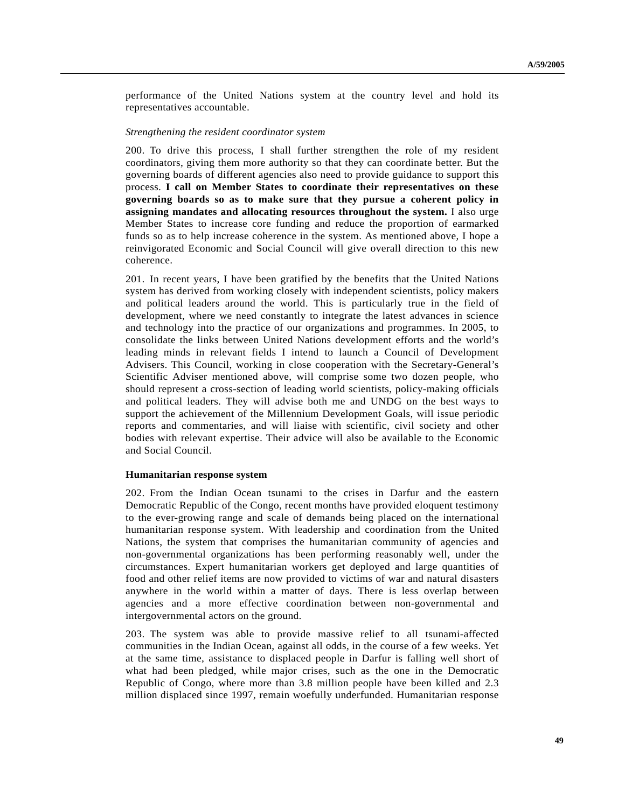performance of the United Nations system at the country level and hold its representatives accountable.

#### *Strengthening the resident coordinator system*

200. To drive this process, I shall further strengthen the role of my resident coordinators, giving them more authority so that they can coordinate better. But the governing boards of different agencies also need to provide guidance to support this process. **I call on Member States to coordinate their representatives on these governing boards so as to make sure that they pursue a coherent policy in assigning mandates and allocating resources throughout the system.** I also urge Member States to increase core funding and reduce the proportion of earmarked funds so as to help increase coherence in the system. As mentioned above, I hope a reinvigorated Economic and Social Council will give overall direction to this new coherence.

201. In recent years, I have been gratified by the benefits that the United Nations system has derived from working closely with independent scientists, policy makers and political leaders around the world. This is particularly true in the field of development, where we need constantly to integrate the latest advances in science and technology into the practice of our organizations and programmes. In 2005, to consolidate the links between United Nations development efforts and the world's leading minds in relevant fields I intend to launch a Council of Development Advisers. This Council, working in close cooperation with the Secretary-General's Scientific Adviser mentioned above, will comprise some two dozen people, who should represent a cross-section of leading world scientists, policy-making officials and political leaders. They will advise both me and UNDG on the best ways to support the achievement of the Millennium Development Goals, will issue periodic reports and commentaries, and will liaise with scientific, civil society and other bodies with relevant expertise. Their advice will also be available to the Economic and Social Council.

#### **Humanitarian response system**

202. From the Indian Ocean tsunami to the crises in Darfur and the eastern Democratic Republic of the Congo, recent months have provided eloquent testimony to the ever-growing range and scale of demands being placed on the international humanitarian response system. With leadership and coordination from the United Nations, the system that comprises the humanitarian community of agencies and non-governmental organizations has been performing reasonably well, under the circumstances. Expert humanitarian workers get deployed and large quantities of food and other relief items are now provided to victims of war and natural disasters anywhere in the world within a matter of days. There is less overlap between agencies and a more effective coordination between non-governmental and intergovernmental actors on the ground.

203. The system was able to provide massive relief to all tsunami-affected communities in the Indian Ocean, against all odds, in the course of a few weeks. Yet at the same time, assistance to displaced people in Darfur is falling well short of what had been pledged, while major crises, such as the one in the Democratic Republic of Congo, where more than 3.8 million people have been killed and 2.3 million displaced since 1997, remain woefully underfunded. Humanitarian response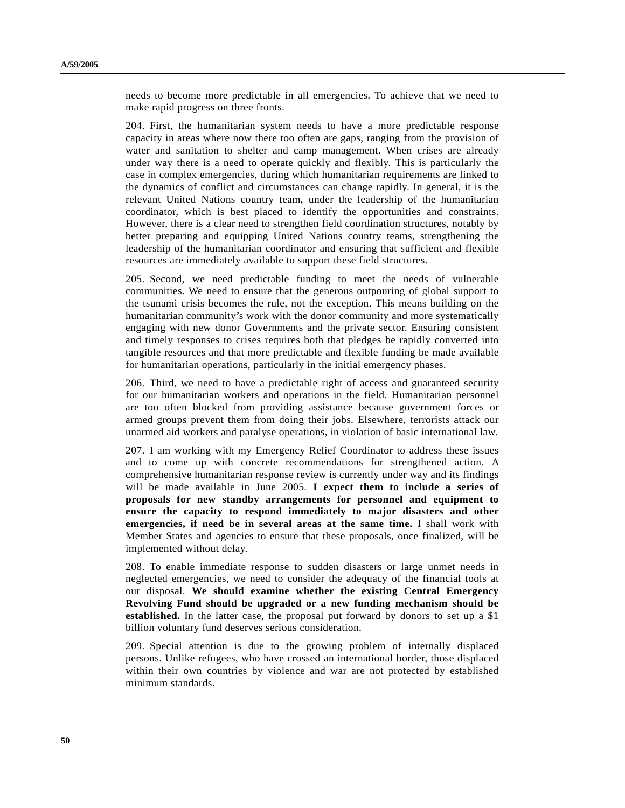needs to become more predictable in all emergencies. To achieve that we need to make rapid progress on three fronts.

204. First, the humanitarian system needs to have a more predictable response capacity in areas where now there too often are gaps, ranging from the provision of water and sanitation to shelter and camp management. When crises are already under way there is a need to operate quickly and flexibly. This is particularly the case in complex emergencies, during which humanitarian requirements are linked to the dynamics of conflict and circumstances can change rapidly. In general, it is the relevant United Nations country team, under the leadership of the humanitarian coordinator, which is best placed to identify the opportunities and constraints. However, there is a clear need to strengthen field coordination structures, notably by better preparing and equipping United Nations country teams, strengthening the leadership of the humanitarian coordinator and ensuring that sufficient and flexible resources are immediately available to support these field structures.

205. Second, we need predictable funding to meet the needs of vulnerable communities. We need to ensure that the generous outpouring of global support to the tsunami crisis becomes the rule, not the exception. This means building on the humanitarian community's work with the donor community and more systematically engaging with new donor Governments and the private sector. Ensuring consistent and timely responses to crises requires both that pledges be rapidly converted into tangible resources and that more predictable and flexible funding be made available for humanitarian operations, particularly in the initial emergency phases.

206. Third, we need to have a predictable right of access and guaranteed security for our humanitarian workers and operations in the field. Humanitarian personnel are too often blocked from providing assistance because government forces or armed groups prevent them from doing their jobs. Elsewhere, terrorists attack our unarmed aid workers and paralyse operations, in violation of basic international law.

207. I am working with my Emergency Relief Coordinator to address these issues and to come up with concrete recommendations for strengthened action. A comprehensive humanitarian response review is currently under way and its findings will be made available in June 2005. **I expect them to include a series of proposals for new standby arrangements for personnel and equipment to ensure the capacity to respond immediately to major disasters and other emergencies, if need be in several areas at the same time.** I shall work with Member States and agencies to ensure that these proposals, once finalized, will be implemented without delay.

208. To enable immediate response to sudden disasters or large unmet needs in neglected emergencies, we need to consider the adequacy of the financial tools at our disposal. **We should examine whether the existing Central Emergency Revolving Fund should be upgraded or a new funding mechanism should be established.** In the latter case, the proposal put forward by donors to set up a \$1 billion voluntary fund deserves serious consideration.

209. Special attention is due to the growing problem of internally displaced persons. Unlike refugees, who have crossed an international border, those displaced within their own countries by violence and war are not protected by established minimum standards.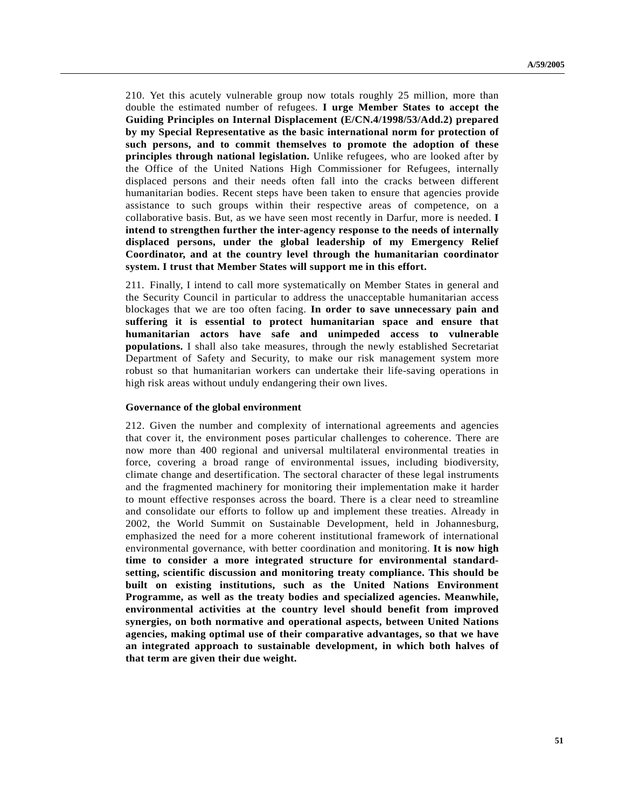210. Yet this acutely vulnerable group now totals roughly 25 million, more than double the estimated number of refugees. **I urge Member States to accept the Guiding Principles on Internal Displacement (E/CN.4/1998/53/Add.2) prepared by my Special Representative as the basic international norm for protection of such persons, and to commit themselves to promote the adoption of these principles through national legislation.** Unlike refugees, who are looked after by the Office of the United Nations High Commissioner for Refugees, internally displaced persons and their needs often fall into the cracks between different humanitarian bodies. Recent steps have been taken to ensure that agencies provide assistance to such groups within their respective areas of competence, on a collaborative basis. But, as we have seen most recently in Darfur, more is needed. **I intend to strengthen further the inter-agency response to the needs of internally displaced persons, under the global leadership of my Emergency Relief Coordinator, and at the country level through the humanitarian coordinator system. I trust that Member States will support me in this effort.**

211. Finally, I intend to call more systematically on Member States in general and the Security Council in particular to address the unacceptable humanitarian access blockages that we are too often facing. **In order to save unnecessary pain and suffering it is essential to protect humanitarian space and ensure that humanitarian actors have safe and unimpeded access to vulnerable populations.** I shall also take measures, through the newly established Secretariat Department of Safety and Security, to make our risk management system more robust so that humanitarian workers can undertake their life-saving operations in high risk areas without unduly endangering their own lives.

#### **Governance of the global environment**

212. Given the number and complexity of international agreements and agencies that cover it, the environment poses particular challenges to coherence. There are now more than 400 regional and universal multilateral environmental treaties in force, covering a broad range of environmental issues, including biodiversity, climate change and desertification. The sectoral character of these legal instruments and the fragmented machinery for monitoring their implementation make it harder to mount effective responses across the board. There is a clear need to streamline and consolidate our efforts to follow up and implement these treaties. Already in 2002, the World Summit on Sustainable Development, held in Johannesburg, emphasized the need for a more coherent institutional framework of international environmental governance, with better coordination and monitoring. **It is now high time to consider a more integrated structure for environmental standardsetting, scientific discussion and monitoring treaty compliance. This should be built on existing institutions, such as the United Nations Environment Programme, as well as the treaty bodies and specialized agencies. Meanwhile, environmental activities at the country level should benefit from improved synergies, on both normative and operational aspects, between United Nations agencies, making optimal use of their comparative advantages, so that we have an integrated approach to sustainable development, in which both halves of that term are given their due weight.**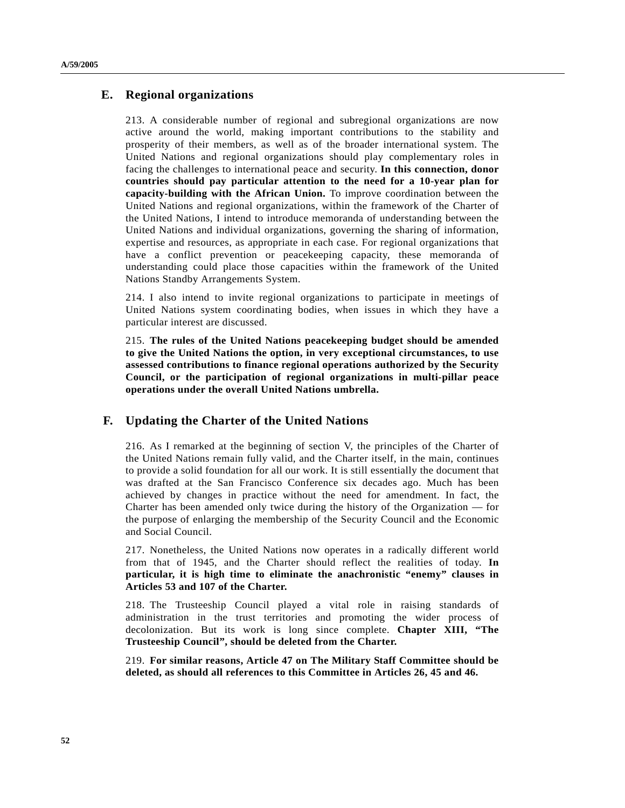### **E. Regional organizations**

213. A considerable number of regional and subregional organizations are now active around the world, making important contributions to the stability and prosperity of their members, as well as of the broader international system. The United Nations and regional organizations should play complementary roles in facing the challenges to international peace and security. **In this connection, donor countries should pay particular attention to the need for a 10-year plan for capacity-building with the African Union.** To improve coordination between the United Nations and regional organizations, within the framework of the Charter of the United Nations, I intend to introduce memoranda of understanding between the United Nations and individual organizations, governing the sharing of information, expertise and resources, as appropriate in each case. For regional organizations that have a conflict prevention or peacekeeping capacity, these memoranda of understanding could place those capacities within the framework of the United Nations Standby Arrangements System.

214. I also intend to invite regional organizations to participate in meetings of United Nations system coordinating bodies, when issues in which they have a particular interest are discussed.

215. **The rules of the United Nations peacekeeping budget should be amended to give the United Nations the option, in very exceptional circumstances, to use assessed contributions to finance regional operations authorized by the Security Council, or the participation of regional organizations in multi-pillar peace operations under the overall United Nations umbrella.**

### **F. Updating the Charter of the United Nations**

216. As I remarked at the beginning of section V, the principles of the Charter of the United Nations remain fully valid, and the Charter itself, in the main, continues to provide a solid foundation for all our work. It is still essentially the document that was drafted at the San Francisco Conference six decades ago. Much has been achieved by changes in practice without the need for amendment. In fact, the Charter has been amended only twice during the history of the Organization — for the purpose of enlarging the membership of the Security Council and the Economic and Social Council.

217. Nonetheless, the United Nations now operates in a radically different world from that of 1945, and the Charter should reflect the realities of today. **In particular, it is high time to eliminate the anachronistic "enemy" clauses in Articles 53 and 107 of the Charter.**

218. The Trusteeship Council played a vital role in raising standards of administration in the trust territories and promoting the wider process of decolonization. But its work is long since complete. **Chapter XIII, "The Trusteeship Council", should be deleted from the Charter.**

219. **For similar reasons, Article 47 on The Military Staff Committee should be deleted, as should all references to this Committee in Articles 26, 45 and 46.**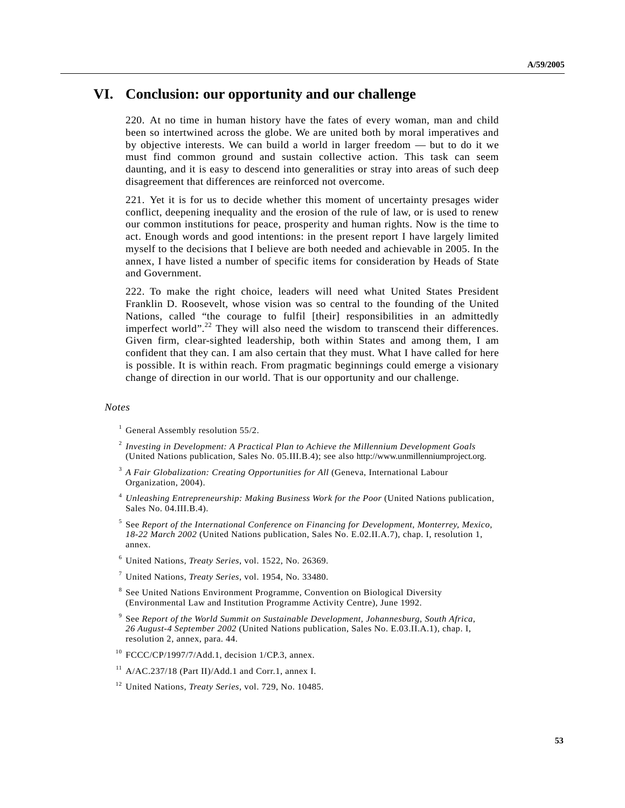# **VI. Conclusion: our opportunity and our challenge**

220. At no time in human history have the fates of every woman, man and child been so intertwined across the globe. We are united both by moral imperatives and by objective interests. We can build a world in larger freedom — but to do it we must find common ground and sustain collective action. This task can seem daunting, and it is easy to descend into generalities or stray into areas of such deep disagreement that differences are reinforced not overcome.

221. Yet it is for us to decide whether this moment of uncertainty presages wider conflict, deepening inequality and the erosion of the rule of law, or is used to renew our common institutions for peace, prosperity and human rights. Now is the time to act. Enough words and good intentions: in the present report I have largely limited myself to the decisions that I believe are both needed and achievable in 2005. In the annex, I have listed a number of specific items for consideration by Heads of State and Government.

222. To make the right choice, leaders will need what United States President Franklin D. Roosevelt, whose vision was so central to the founding of the United Nations, called "the courage to fulfil [their] responsibilities in an admittedly imperfect world".22 They will also need the wisdom to transcend their differences. Given firm, clear-sighted leadership, both within States and among them, I am confident that they can. I am also certain that they must. What I have called for here is possible. It is within reach. From pragmatic beginnings could emerge a visionary change of direction in our world. That is our opportunity and our challenge.

#### *Notes*

 $1$  General Assembly resolution 55/2.

- <sup>2</sup> *Investing in Development: A Practical Plan to Achieve the Millennium Development Goals* (United Nations publication, Sales No. 05.III.B.4); see also http://www.unmillenniumproject.org.
- <sup>3</sup> *A Fair Globalization: Creating Opportunities for All (Geneva, International Labour* Organization, 2004).
- <sup>4</sup> *Unleashing Entrepreneurship: Making Business Work for the Poor* (United Nations publication, Sales No. 04.III.B.4).
- <sup>5</sup> See *Report of the International Conference on Financing for Development, Monterrey, Mexico, 18-22 March 2002* (United Nations publication, Sales No. E.02.II.A.7), chap. I, resolution 1, annex.
- <sup>6</sup> United Nations, *Treaty Series*, vol. 1522, No. 26369.
- <sup>7</sup> United Nations, *Treaty Series*, vol. 1954, No. 33480.
- <sup>8</sup> See United Nations Environment Programme, Convention on Biological Diversity (Environmental Law and Institution Programme Activity Centre), June 1992.
- <sup>9</sup> See *Report of the World Summit on Sustainable Development, Johannesburg, South Africa, 26 August-4 September 2002* (United Nations publication, Sales No. E.03.II.A.1), chap. I, resolution 2, annex, para. 44.
- $10$  FCCC/CP/1997/7/Add.1, decision 1/CP.3, annex.

 $11$  A/AC.237/18 (Part II)/Add.1 and Corr.1, annex I.

<sup>12</sup> United Nations, *Treaty Series*, vol. 729, No. 10485.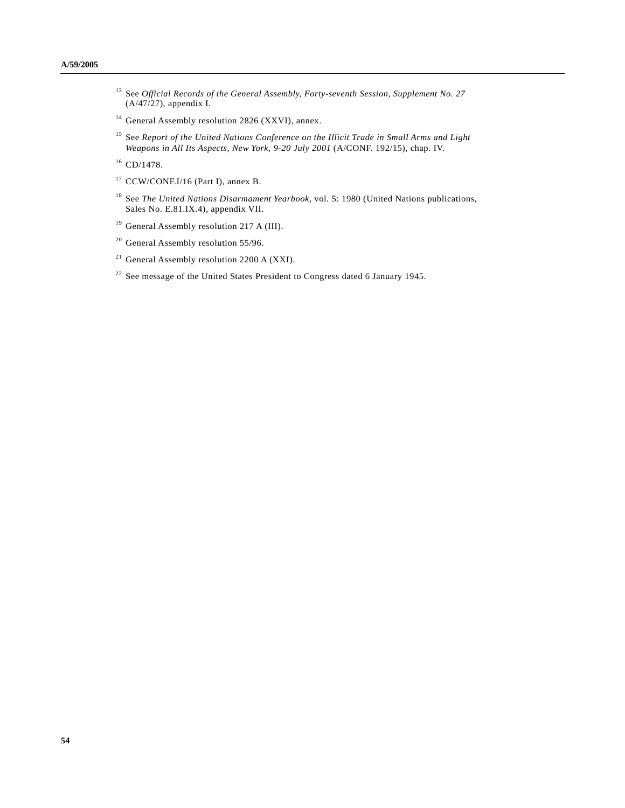- <sup>13</sup> See *Official Records of the General Assembly, Forty-seventh Session, Supplement No. 27* (A/47/27), appendix I.
- <sup>14</sup> General Assembly resolution 2826 (XXVI), annex.
- <sup>15</sup> See *Report of the United Nations Conference on the Illicit Trade in Small Arms and Light Weapons in All Its Aspects, New York, 9-20 July 2001* (A/CONF. 192/15), chap. IV.
- $16$  CD/1478.
- $17$  CCW/CONF.I/16 (Part I), annex B.
- <sup>18</sup> See *The United Nations Disarmament Yearbook*, vol. 5: 1980 (United Nations publications, Sales No. E.81.IX.4), appendix VII.
- <sup>19</sup> General Assembly resolution 217 A (III).
- <sup>20</sup> General Assembly resolution 55/96.
- <sup>21</sup> General Assembly resolution 2200 A (XXI).
- $22$  See message of the United States President to Congress dated 6 January 1945.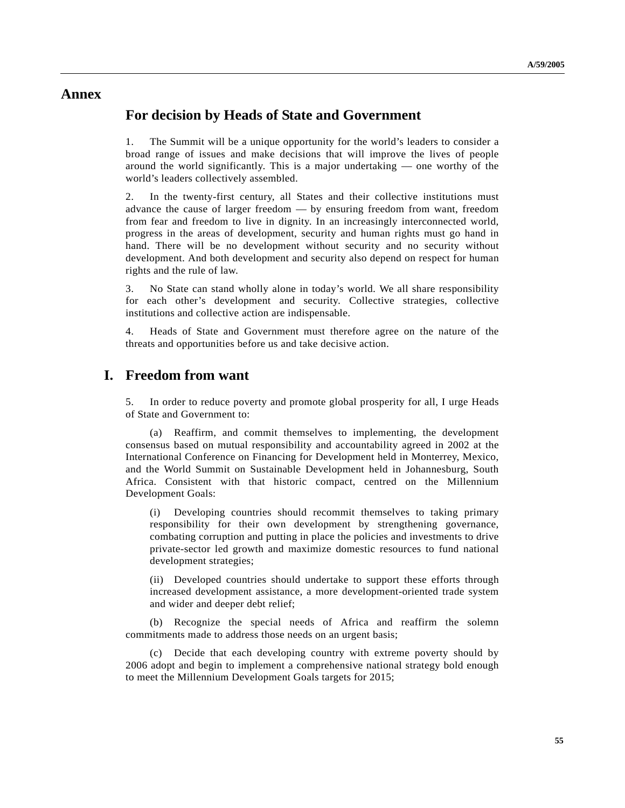# **Annex**

# **For decision by Heads of State and Government**

1. The Summit will be a unique opportunity for the world's leaders to consider a broad range of issues and make decisions that will improve the lives of people around the world significantly. This is a major undertaking — one worthy of the world's leaders collectively assembled.

2. In the twenty-first century, all States and their collective institutions must advance the cause of larger freedom — by ensuring freedom from want, freedom from fear and freedom to live in dignity. In an increasingly interconnected world, progress in the areas of development, security and human rights must go hand in hand. There will be no development without security and no security without development. And both development and security also depend on respect for human rights and the rule of law.

3. No State can stand wholly alone in today's world. We all share responsibility for each other's development and security. Collective strategies, collective institutions and collective action are indispensable.

4. Heads of State and Government must therefore agree on the nature of the threats and opportunities before us and take decisive action.

# **I. Freedom from want**

5. In order to reduce poverty and promote global prosperity for all, I urge Heads of State and Government to:

(a) Reaffirm, and commit themselves to implementing, the development consensus based on mutual responsibility and accountability agreed in 2002 at the International Conference on Financing for Development held in Monterrey, Mexico, and the World Summit on Sustainable Development held in Johannesburg, South Africa. Consistent with that historic compact, centred on the Millennium Development Goals:

(i) Developing countries should recommit themselves to taking primary responsibility for their own development by strengthening governance, combating corruption and putting in place the policies and investments to drive private-sector led growth and maximize domestic resources to fund national development strategies;

(ii) Developed countries should undertake to support these efforts through increased development assistance, a more development-oriented trade system and wider and deeper debt relief;

(b) Recognize the special needs of Africa and reaffirm the solemn commitments made to address those needs on an urgent basis;

(c) Decide that each developing country with extreme poverty should by 2006 adopt and begin to implement a comprehensive national strategy bold enough to meet the Millennium Development Goals targets for 2015;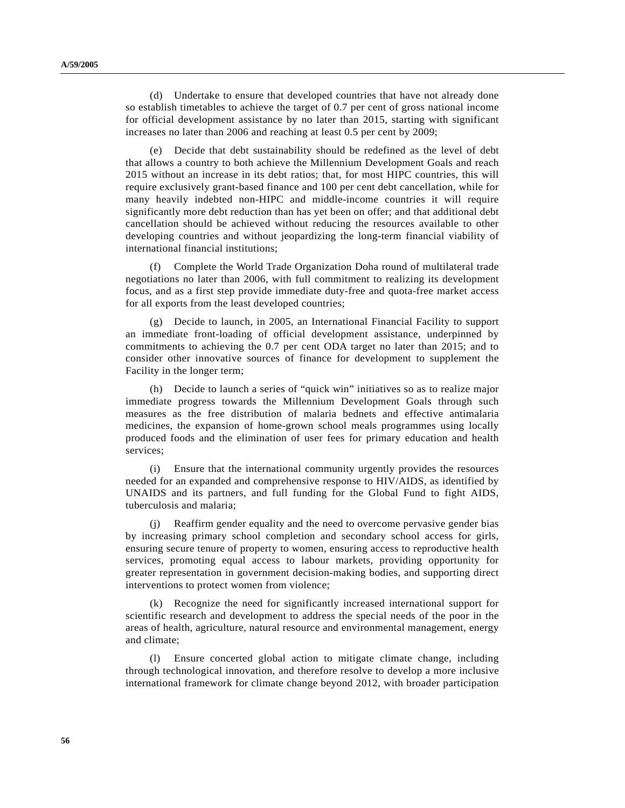(d) Undertake to ensure that developed countries that have not already done so establish timetables to achieve the target of 0.7 per cent of gross national income for official development assistance by no later than 2015, starting with significant increases no later than 2006 and reaching at least 0.5 per cent by 2009;

(e) Decide that debt sustainability should be redefined as the level of debt that allows a country to both achieve the Millennium Development Goals and reach 2015 without an increase in its debt ratios; that, for most HIPC countries, this will require exclusively grant-based finance and 100 per cent debt cancellation, while for many heavily indebted non-HIPC and middle-income countries it will require significantly more debt reduction than has yet been on offer; and that additional debt cancellation should be achieved without reducing the resources available to other developing countries and without jeopardizing the long-term financial viability of international financial institutions;

(f) Complete the World Trade Organization Doha round of multilateral trade negotiations no later than 2006, with full commitment to realizing its development focus, and as a first step provide immediate duty-free and quota-free market access for all exports from the least developed countries;

(g) Decide to launch, in 2005, an International Financial Facility to support an immediate front-loading of official development assistance, underpinned by commitments to achieving the 0.7 per cent ODA target no later than 2015; and to consider other innovative sources of finance for development to supplement the Facility in the longer term;

(h) Decide to launch a series of "quick win" initiatives so as to realize major immediate progress towards the Millennium Development Goals through such measures as the free distribution of malaria bednets and effective antimalaria medicines, the expansion of home-grown school meals programmes using locally produced foods and the elimination of user fees for primary education and health services;

(i) Ensure that the international community urgently provides the resources needed for an expanded and comprehensive response to HIV/AIDS, as identified by UNAIDS and its partners, and full funding for the Global Fund to fight AIDS, tuberculosis and malaria;

(j) Reaffirm gender equality and the need to overcome pervasive gender bias by increasing primary school completion and secondary school access for girls, ensuring secure tenure of property to women, ensuring access to reproductive health services, promoting equal access to labour markets, providing opportunity for greater representation in government decision-making bodies, and supporting direct interventions to protect women from violence;

(k) Recognize the need for significantly increased international support for scientific research and development to address the special needs of the poor in the areas of health, agriculture, natural resource and environmental management, energy and climate;

(l) Ensure concerted global action to mitigate climate change, including through technological innovation, and therefore resolve to develop a more inclusive international framework for climate change beyond 2012, with broader participation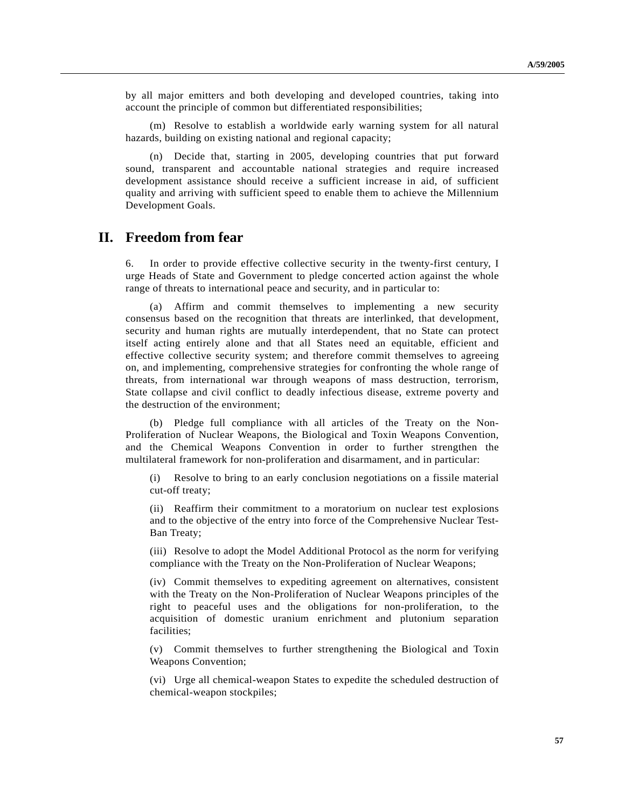by all major emitters and both developing and developed countries, taking into account the principle of common but differentiated responsibilities;

(m) Resolve to establish a worldwide early warning system for all natural hazards, building on existing national and regional capacity;

(n) Decide that, starting in 2005, developing countries that put forward sound, transparent and accountable national strategies and require increased development assistance should receive a sufficient increase in aid, of sufficient quality and arriving with sufficient speed to enable them to achieve the Millennium Development Goals.

## **II. Freedom from fear**

6. In order to provide effective collective security in the twenty-first century, I urge Heads of State and Government to pledge concerted action against the whole range of threats to international peace and security, and in particular to:

(a) Affirm and commit themselves to implementing a new security consensus based on the recognition that threats are interlinked, that development, security and human rights are mutually interdependent, that no State can protect itself acting entirely alone and that all States need an equitable, efficient and effective collective security system; and therefore commit themselves to agreeing on, and implementing, comprehensive strategies for confronting the whole range of threats, from international war through weapons of mass destruction, terrorism, State collapse and civil conflict to deadly infectious disease, extreme poverty and the destruction of the environment;

(b) Pledge full compliance with all articles of the Treaty on the Non-Proliferation of Nuclear Weapons, the Biological and Toxin Weapons Convention, and the Chemical Weapons Convention in order to further strengthen the multilateral framework for non-proliferation and disarmament, and in particular:

(i) Resolve to bring to an early conclusion negotiations on a fissile material cut-off treaty;

(ii) Reaffirm their commitment to a moratorium on nuclear test explosions and to the objective of the entry into force of the Comprehensive Nuclear Test-Ban Treaty;

(iii) Resolve to adopt the Model Additional Protocol as the norm for verifying compliance with the Treaty on the Non-Proliferation of Nuclear Weapons;

(iv) Commit themselves to expediting agreement on alternatives, consistent with the Treaty on the Non-Proliferation of Nuclear Weapons principles of the right to peaceful uses and the obligations for non-proliferation, to the acquisition of domestic uranium enrichment and plutonium separation facilities;

(v) Commit themselves to further strengthening the Biological and Toxin Weapons Convention;

(vi) Urge all chemical-weapon States to expedite the scheduled destruction of chemical-weapon stockpiles;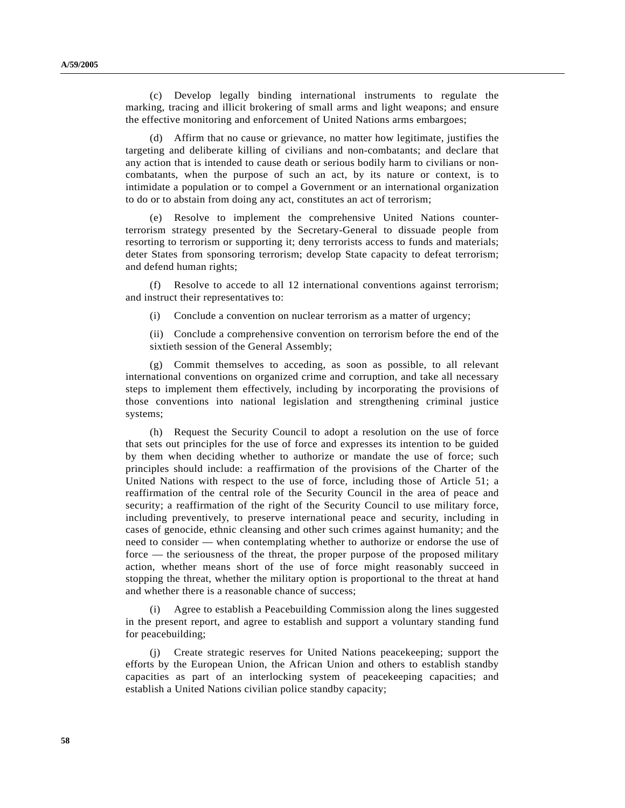(c) Develop legally binding international instruments to regulate the marking, tracing and illicit brokering of small arms and light weapons; and ensure the effective monitoring and enforcement of United Nations arms embargoes;

(d) Affirm that no cause or grievance, no matter how legitimate, justifies the targeting and deliberate killing of civilians and non-combatants; and declare that any action that is intended to cause death or serious bodily harm to civilians or noncombatants, when the purpose of such an act, by its nature or context, is to intimidate a population or to compel a Government or an international organization to do or to abstain from doing any act, constitutes an act of terrorism;

(e) Resolve to implement the comprehensive United Nations counterterrorism strategy presented by the Secretary-General to dissuade people from resorting to terrorism or supporting it; deny terrorists access to funds and materials; deter States from sponsoring terrorism; develop State capacity to defeat terrorism; and defend human rights;

(f) Resolve to accede to all 12 international conventions against terrorism; and instruct their representatives to:

(i) Conclude a convention on nuclear terrorism as a matter of urgency;

(ii) Conclude a comprehensive convention on terrorism before the end of the sixtieth session of the General Assembly;

(g) Commit themselves to acceding, as soon as possible, to all relevant international conventions on organized crime and corruption, and take all necessary steps to implement them effectively, including by incorporating the provisions of those conventions into national legislation and strengthening criminal justice systems;

(h) Request the Security Council to adopt a resolution on the use of force that sets out principles for the use of force and expresses its intention to be guided by them when deciding whether to authorize or mandate the use of force; such principles should include: a reaffirmation of the provisions of the Charter of the United Nations with respect to the use of force, including those of Article 51; a reaffirmation of the central role of the Security Council in the area of peace and security; a reaffirmation of the right of the Security Council to use military force, including preventively, to preserve international peace and security, including in cases of genocide, ethnic cleansing and other such crimes against humanity; and the need to consider — when contemplating whether to authorize or endorse the use of force — the seriousness of the threat, the proper purpose of the proposed military action, whether means short of the use of force might reasonably succeed in stopping the threat, whether the military option is proportional to the threat at hand and whether there is a reasonable chance of success;

(i) Agree to establish a Peacebuilding Commission along the lines suggested in the present report, and agree to establish and support a voluntary standing fund for peacebuilding;

(j) Create strategic reserves for United Nations peacekeeping; support the efforts by the European Union, the African Union and others to establish standby capacities as part of an interlocking system of peacekeeping capacities; and establish a United Nations civilian police standby capacity;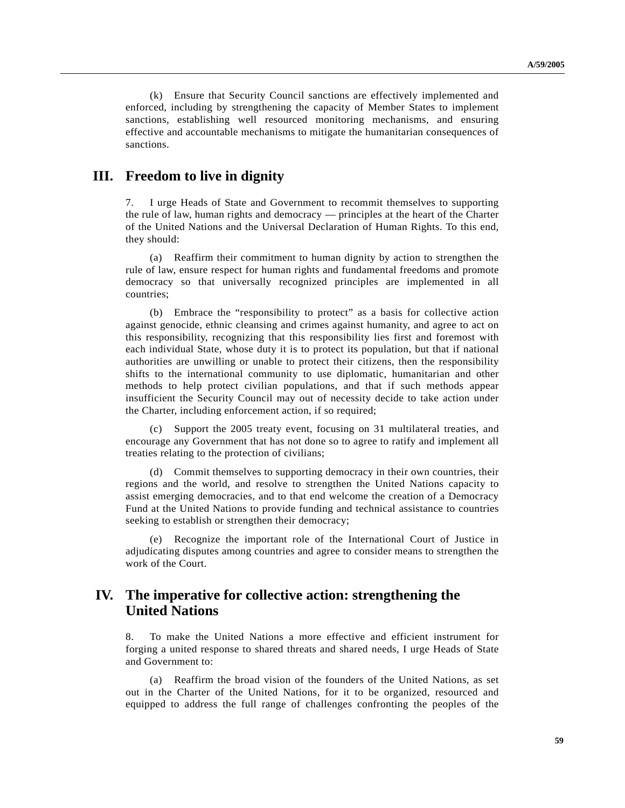(k) Ensure that Security Council sanctions are effectively implemented and enforced, including by strengthening the capacity of Member States to implement sanctions, establishing well resourced monitoring mechanisms, and ensuring effective and accountable mechanisms to mitigate the humanitarian consequences of sanctions.

# **III. Freedom to live in dignity**

7. I urge Heads of State and Government to recommit themselves to supporting the rule of law, human rights and democracy — principles at the heart of the Charter of the United Nations and the Universal Declaration of Human Rights. To this end, they should:

(a) Reaffirm their commitment to human dignity by action to strengthen the rule of law, ensure respect for human rights and fundamental freedoms and promote democracy so that universally recognized principles are implemented in all countries;

(b) Embrace the "responsibility to protect" as a basis for collective action against genocide, ethnic cleansing and crimes against humanity, and agree to act on this responsibility, recognizing that this responsibility lies first and foremost with each individual State, whose duty it is to protect its population, but that if national authorities are unwilling or unable to protect their citizens, then the responsibility shifts to the international community to use diplomatic, humanitarian and other methods to help protect civilian populations, and that if such methods appear insufficient the Security Council may out of necessity decide to take action under the Charter, including enforcement action, if so required;

(c) Support the 2005 treaty event, focusing on 31 multilateral treaties, and encourage any Government that has not done so to agree to ratify and implement all treaties relating to the protection of civilians;

(d) Commit themselves to supporting democracy in their own countries, their regions and the world, and resolve to strengthen the United Nations capacity to assist emerging democracies, and to that end welcome the creation of a Democracy Fund at the United Nations to provide funding and technical assistance to countries seeking to establish or strengthen their democracy;

(e) Recognize the important role of the International Court of Justice in adjudicating disputes among countries and agree to consider means to strengthen the work of the Court.

# **IV. The imperative for collective action: strengthening the United Nations**

8. To make the United Nations a more effective and efficient instrument for forging a united response to shared threats and shared needs, I urge Heads of State and Government to:

(a) Reaffirm the broad vision of the founders of the United Nations, as set out in the Charter of the United Nations, for it to be organized, resourced and equipped to address the full range of challenges confronting the peoples of the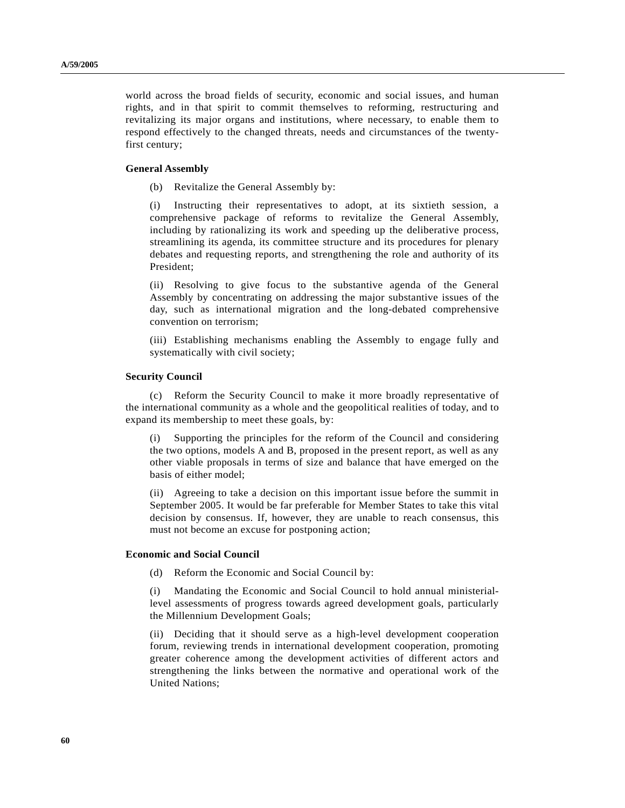world across the broad fields of security, economic and social issues, and human rights, and in that spirit to commit themselves to reforming, restructuring and revitalizing its major organs and institutions, where necessary, to enable them to respond effectively to the changed threats, needs and circumstances of the twentyfirst century;

#### **General Assembly**

(b) Revitalize the General Assembly by:

(i) Instructing their representatives to adopt, at its sixtieth session, a comprehensive package of reforms to revitalize the General Assembly, including by rationalizing its work and speeding up the deliberative process, streamlining its agenda, its committee structure and its procedures for plenary debates and requesting reports, and strengthening the role and authority of its President;

(ii) Resolving to give focus to the substantive agenda of the General Assembly by concentrating on addressing the major substantive issues of the day, such as international migration and the long-debated comprehensive convention on terrorism;

(iii) Establishing mechanisms enabling the Assembly to engage fully and systematically with civil society;

#### **Security Council**

Reform the Security Council to make it more broadly representative of the international community as a whole and the geopolitical realities of today, and to expand its membership to meet these goals, by:

(i) Supporting the principles for the reform of the Council and considering the two options, models A and B, proposed in the present report, as well as any other viable proposals in terms of size and balance that have emerged on the basis of either model;

(ii) Agreeing to take a decision on this important issue before the summit in September 2005. It would be far preferable for Member States to take this vital decision by consensus. If, however, they are unable to reach consensus, this must not become an excuse for postponing action;

#### **Economic and Social Council**

(d) Reform the Economic and Social Council by:

(i) Mandating the Economic and Social Council to hold annual ministeriallevel assessments of progress towards agreed development goals, particularly the Millennium Development Goals;

(ii) Deciding that it should serve as a high-level development cooperation forum, reviewing trends in international development cooperation, promoting greater coherence among the development activities of different actors and strengthening the links between the normative and operational work of the United Nations;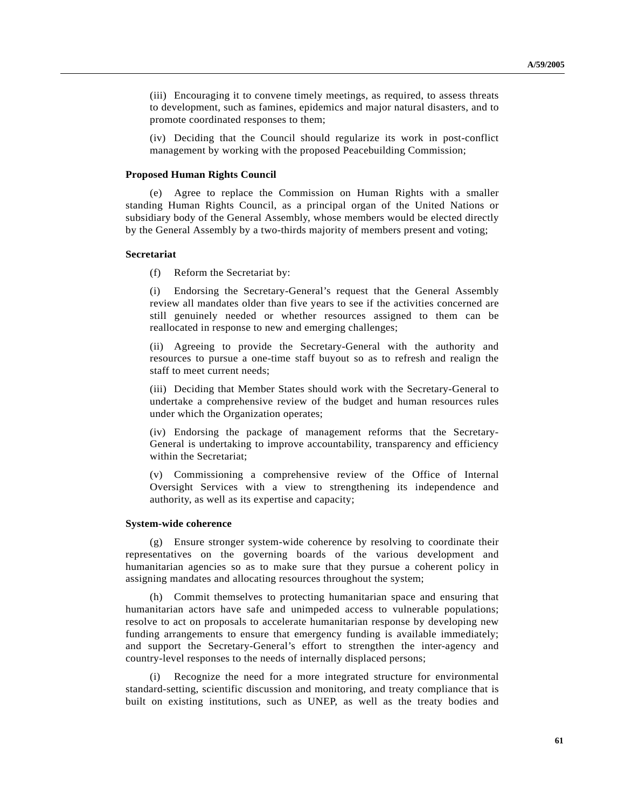(iii) Encouraging it to convene timely meetings, as required, to assess threats to development, such as famines, epidemics and major natural disasters, and to promote coordinated responses to them;

(iv) Deciding that the Council should regularize its work in post-conflict management by working with the proposed Peacebuilding Commission;

#### **Proposed Human Rights Council**

(e) Agree to replace the Commission on Human Rights with a smaller standing Human Rights Council, as a principal organ of the United Nations or subsidiary body of the General Assembly, whose members would be elected directly by the General Assembly by a two-thirds majority of members present and voting;

#### **Secretariat**

(f) Reform the Secretariat by:

(i) Endorsing the Secretary-General's request that the General Assembly review all mandates older than five years to see if the activities concerned are still genuinely needed or whether resources assigned to them can be reallocated in response to new and emerging challenges;

(ii) Agreeing to provide the Secretary-General with the authority and resources to pursue a one-time staff buyout so as to refresh and realign the staff to meet current needs;

(iii) Deciding that Member States should work with the Secretary-General to undertake a comprehensive review of the budget and human resources rules under which the Organization operates;

(iv) Endorsing the package of management reforms that the Secretary-General is undertaking to improve accountability, transparency and efficiency within the Secretariat;

(v) Commissioning a comprehensive review of the Office of Internal Oversight Services with a view to strengthening its independence and authority, as well as its expertise and capacity;

#### **System-wide coherence**

(g) Ensure stronger system-wide coherence by resolving to coordinate their representatives on the governing boards of the various development and humanitarian agencies so as to make sure that they pursue a coherent policy in assigning mandates and allocating resources throughout the system;

(h) Commit themselves to protecting humanitarian space and ensuring that humanitarian actors have safe and unimpeded access to vulnerable populations; resolve to act on proposals to accelerate humanitarian response by developing new funding arrangements to ensure that emergency funding is available immediately; and support the Secretary-General's effort to strengthen the inter-agency and country-level responses to the needs of internally displaced persons;

(i) Recognize the need for a more integrated structure for environmental standard-setting, scientific discussion and monitoring, and treaty compliance that is built on existing institutions, such as UNEP, as well as the treaty bodies and